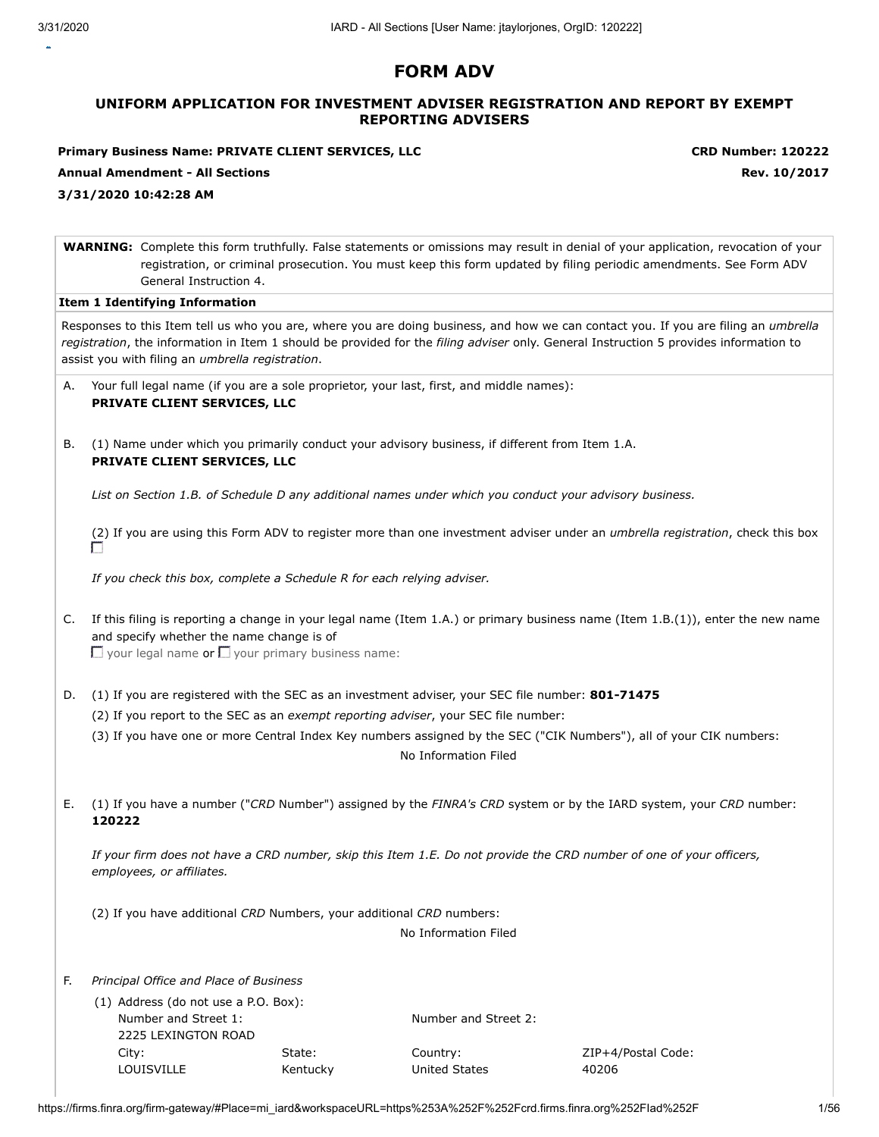# **FORM ADV**

# **UNIFORM APPLICATION FOR INVESTMENT ADVISER REGISTRATION AND REPORT BY EXEMPT REPORTING ADVISERS**

**Primary Business Name: PRIVATE CLIENT SERVICES, LLC CRD Number: 120222**

**Annual American Sections**  $\mathbb{R}$  Rev. 10/2017

|  | Annual Amendment - All Sectior |  |  |
|--|--------------------------------|--|--|
|  |                                |  |  |

## **3/31/2020 10:42:28 AM**

**WARNING:** Complete this form truthfully. False statements or omissions may result in denial of your application, revocation of your registration, or criminal prosecution. You must keep this form updated by filing periodic amendments. See Form ADV General Instruction 4.

## **Item 1 Identifying Information**

Responses to this Item tell us who you are, where you are doing business, and how we can contact you. If you are filing an *umbrella registration*, the information in Item 1 should be provided for the *filing adviser* only. General Instruction 5 provides information to assist you with filing an *umbrella registration*.

| А. | Your full legal name (if you are a sole proprietor, your last, first, and middle names): |
|----|------------------------------------------------------------------------------------------|
|    | <b>PRIVATE CLIENT SERVICES, LLC</b>                                                      |

B. (1) Name under which you primarily conduct your advisory business, if different from Item 1.A. **PRIVATE CLIENT SERVICES, LLC**

*List on Section 1.B. of Schedule D any additional names under which you conduct your advisory business.*

(2) If you are using this Form ADV to register more than one investment adviser under an *umbrella registration*, check this box г

*If you check this box, complete a Schedule R for each relying adviser.*

C. If this filing is reporting a change in your legal name (Item 1.A.) or primary business name (Item 1.B.(1)), enter the new name and specify whether the name change is of

 $\Box$  your legal name or  $\Box$  your primary business name:

- D. (1) If you are registered with the SEC as an investment adviser, your SEC file number: **801-71475**
	- (2) If you report to the SEC as an *exempt reporting adviser*, your SEC file number:
	- (3) If you have one or more Central Index Key numbers assigned by the SEC ("CIK Numbers"), all of your CIK numbers: No Information Filed
- E. (1) If you have a number ("*CRD* Number") assigned by the *FINRA's CRD* system or by the IARD system, your *CRD* number: **120222**

*If your firm does not have a CRD number, skip this Item 1.E. Do not provide the CRD number of one of your officers, employees, or affiliates.*

(2) If you have additional *CRD* Numbers, your additional *CRD* numbers:

No Information Filed

F. *Principal Office and Place of Business*

| (1) Address (do not use a P.O. Box): |          |
|--------------------------------------|----------|
| Number and Street 1:                 |          |
| 2225 LEXINGTON ROAD                  |          |
| City:                                | State:   |
| LOUISVILLE                           | Kentucky |

Number and Street 2:

Country: United States ZIP+4/Postal Code: 40206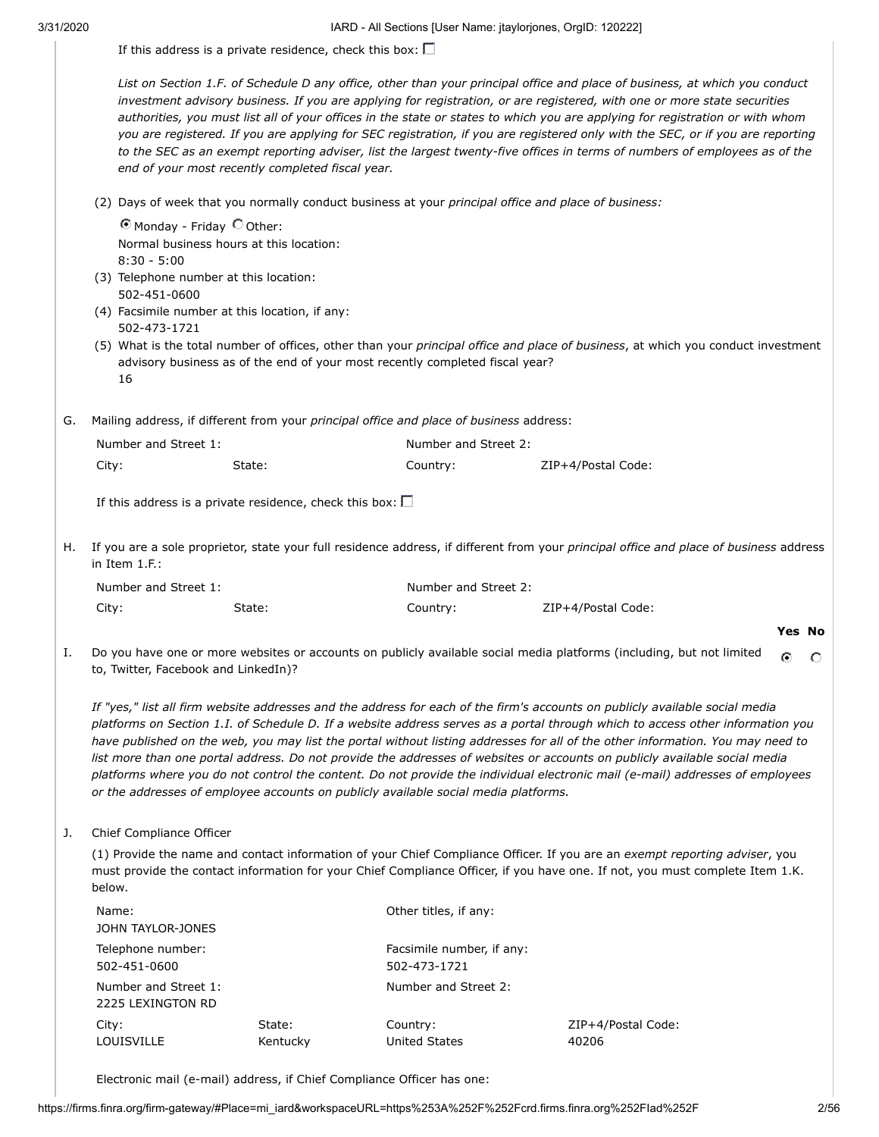If this address is a private residence, check this box:  $\square$ 

|    |                                                                                                          | end of your most recently completed fiscal year. | (2) Days of week that you normally conduct business at your principal office and place of business: | List on Section 1.F. of Schedule D any office, other than your principal office and place of business, at which you conduct<br>investment advisory business. If you are applying for registration, or are registered, with one or more state securities<br>authorities, you must list all of your offices in the state or states to which you are applying for registration or with whom<br>you are registered. If you are applying for SEC registration, if you are registered only with the SEC, or if you are reporting<br>to the SEC as an exempt reporting adviser, list the largest twenty-five offices in terms of numbers of employees as of the        |
|----|----------------------------------------------------------------------------------------------------------|--------------------------------------------------|-----------------------------------------------------------------------------------------------------|-----------------------------------------------------------------------------------------------------------------------------------------------------------------------------------------------------------------------------------------------------------------------------------------------------------------------------------------------------------------------------------------------------------------------------------------------------------------------------------------------------------------------------------------------------------------------------------------------------------------------------------------------------------------|
|    | C Monday - Friday O Other:<br>Normal business hours at this location:<br>$8:30 - 5:00$                   |                                                  |                                                                                                     |                                                                                                                                                                                                                                                                                                                                                                                                                                                                                                                                                                                                                                                                 |
|    | (3) Telephone number at this location:<br>502-451-0600<br>(4) Facsimile number at this location, if any: |                                                  |                                                                                                     |                                                                                                                                                                                                                                                                                                                                                                                                                                                                                                                                                                                                                                                                 |
|    | 502-473-1721<br>16                                                                                       |                                                  | advisory business as of the end of your most recently completed fiscal year?                        | (5) What is the total number of offices, other than your principal office and place of business, at which you conduct investment                                                                                                                                                                                                                                                                                                                                                                                                                                                                                                                                |
| G. |                                                                                                          |                                                  | Mailing address, if different from your principal office and place of business address:             |                                                                                                                                                                                                                                                                                                                                                                                                                                                                                                                                                                                                                                                                 |
|    | Number and Street 1:                                                                                     |                                                  | Number and Street 2:                                                                                |                                                                                                                                                                                                                                                                                                                                                                                                                                                                                                                                                                                                                                                                 |
|    | City:                                                                                                    | State:                                           | Country:                                                                                            | ZIP+4/Postal Code:                                                                                                                                                                                                                                                                                                                                                                                                                                                                                                                                                                                                                                              |
|    | If this address is a private residence, check this box: $\square$                                        |                                                  |                                                                                                     |                                                                                                                                                                                                                                                                                                                                                                                                                                                                                                                                                                                                                                                                 |
| Н. | in Item 1.F.:                                                                                            |                                                  |                                                                                                     | If you are a sole proprietor, state your full residence address, if different from your principal office and place of business address                                                                                                                                                                                                                                                                                                                                                                                                                                                                                                                          |
|    | Number and Street 1:                                                                                     |                                                  | Number and Street 2:                                                                                |                                                                                                                                                                                                                                                                                                                                                                                                                                                                                                                                                                                                                                                                 |
|    | City:                                                                                                    | State:                                           | Country:                                                                                            | ZIP+4/Postal Code:                                                                                                                                                                                                                                                                                                                                                                                                                                                                                                                                                                                                                                              |
| Ι. | to, Twitter, Facebook and LinkedIn)?                                                                     |                                                  |                                                                                                     | <b>Yes No</b><br>Do you have one or more websites or accounts on publicly available social media platforms (including, but not limited<br>Θ<br>O                                                                                                                                                                                                                                                                                                                                                                                                                                                                                                                |
|    |                                                                                                          |                                                  | or the addresses of employee accounts on publicly available social media platforms.                 | If "yes," list all firm website addresses and the address for each of the firm's accounts on publicly available social media<br>platforms on Section 1.I. of Schedule D. If a website address serves as a portal through which to access other information you<br>have published on the web, you may list the portal without listing addresses for all of the other information. You may need to<br>list more than one portal address. Do not provide the addresses of websites or accounts on publicly available social media<br>platforms where you do not control the content. Do not provide the individual electronic mail (e-mail) addresses of employees |
| J. | Chief Compliance Officer                                                                                 |                                                  |                                                                                                     |                                                                                                                                                                                                                                                                                                                                                                                                                                                                                                                                                                                                                                                                 |
|    | below.                                                                                                   |                                                  |                                                                                                     | (1) Provide the name and contact information of your Chief Compliance Officer. If you are an exempt reporting adviser, you<br>must provide the contact information for your Chief Compliance Officer, if you have one. If not, you must complete Item 1.K.                                                                                                                                                                                                                                                                                                                                                                                                      |
|    | Name:<br>JOHN TAYLOR-JONES                                                                               |                                                  | Other titles, if any:                                                                               |                                                                                                                                                                                                                                                                                                                                                                                                                                                                                                                                                                                                                                                                 |
|    | Telephone number:<br>502-451-0600                                                                        |                                                  | Facsimile number, if any:<br>502-473-1721                                                           |                                                                                                                                                                                                                                                                                                                                                                                                                                                                                                                                                                                                                                                                 |
|    | Number and Street 1:<br>2225 LEXINGTON RD                                                                |                                                  | Number and Street 2:                                                                                |                                                                                                                                                                                                                                                                                                                                                                                                                                                                                                                                                                                                                                                                 |
|    | City:<br>LOUISVILLE                                                                                      | State:<br>Kentucky                               | Country:<br><b>United States</b>                                                                    | ZIP+4/Postal Code:<br>40206                                                                                                                                                                                                                                                                                                                                                                                                                                                                                                                                                                                                                                     |
|    |                                                                                                          |                                                  |                                                                                                     |                                                                                                                                                                                                                                                                                                                                                                                                                                                                                                                                                                                                                                                                 |

Electronic mail (e-mail) address, if Chief Compliance Officer has one: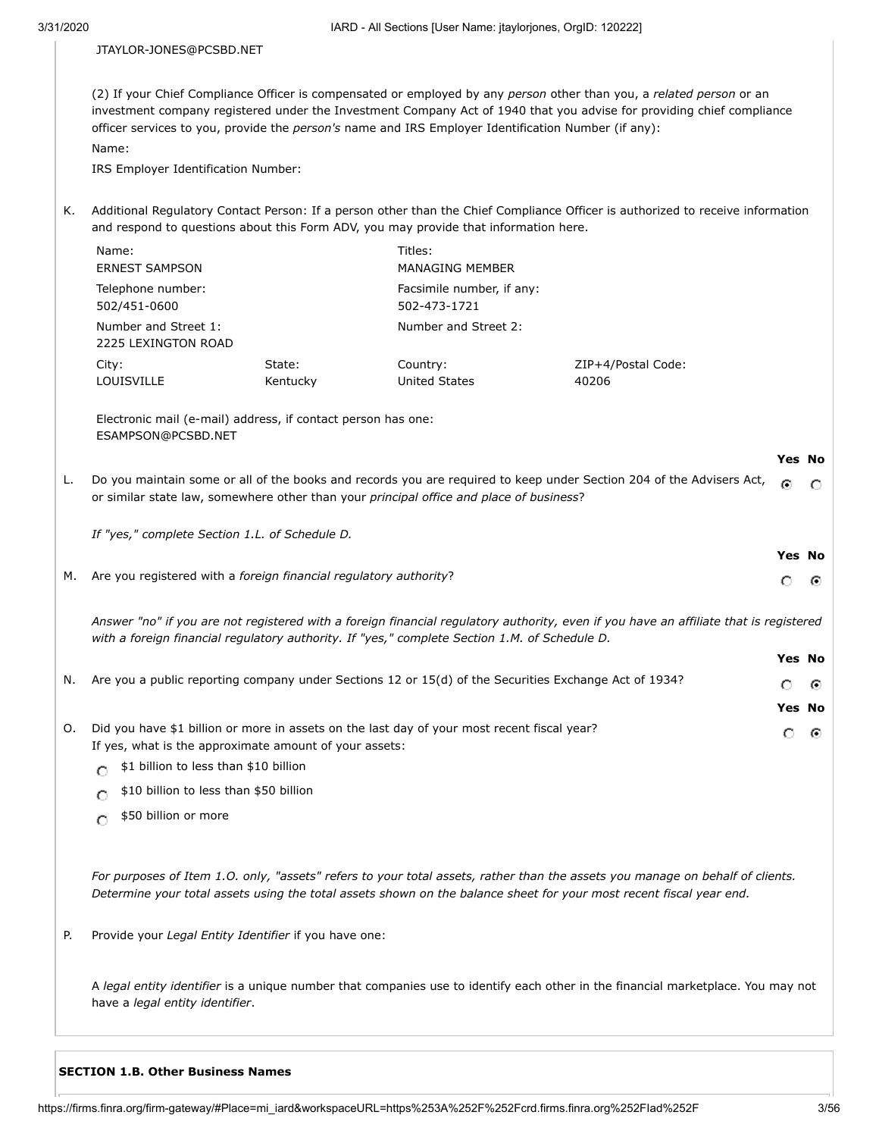JTAYLOR-JONES@PCSBD.NET

(2) If your Chief Compliance Officer is compensated or employed by any *person* other than you, a *related person* or an investment company registered under the Investment Company Act of 1940 that you advise for providing chief compliance officer services to you, provide the *person's* name and IRS Employer Identification Number (if any): Name:

IRS Employer Identification Number:

K. Additional Regulatory Contact Person: If a person other than the Chief Compliance Officer is authorized to receive information and respond to questions about this Form ADV, you may provide that information here.

| Name:<br><b>ERNEST SAMPSON</b>                                                     |          | Titles:<br>MANAGING MEMBER                |                    |  |
|------------------------------------------------------------------------------------|----------|-------------------------------------------|--------------------|--|
| Telephone number:<br>502/451-0600                                                  |          | Facsimile number, if any:<br>502-473-1721 |                    |  |
| Number and Street 1:<br>2225 LEXINGTON ROAD                                        |          | Number and Street 2:                      |                    |  |
| City:                                                                              | State:   | Country:                                  | ZIP+4/Postal Code: |  |
| LOUISVILLE                                                                         | Kentucky | United States                             | 40206              |  |
| Electronic mail (e-mail) address, if contact person has one:<br>ESAMPSON@PCSBD.NET |          |                                           |                    |  |

L. Do you maintain some or all of the books and records you are required to keep under Section 204 of the Advisers Act,  $\Omega$ - 0 or similar state law, somewhere other than your *principal office and place of business*?

*If "yes," complete Section 1.L. of Schedule D.*

M. Are you registered with a *foreign financial regulatory authority*?

*Answer "no" if you are not registered with a foreign financial regulatory authority, even if you have an affiliate that is registered with a foreign financial regulatory authority. If "yes," complete Section 1.M. of Schedule D.*

- N. Are you a public reporting company under Sections 12 or 15(d) of the Securities Exchange Act of 1934?  $\cap$
- O. Did you have \$1 billion or more in assets on the last day of your most recent fiscal year? If yes, what is the approximate amount of your assets:
	- $\bigcap$  \$1 billion to less than \$10 billion
	- \$10 billion to less than \$50 billion Ō
	- \$50 billion or more O.

*For purposes of Item 1.O. only, "assets" refers to your total assets, rather than the assets you manage on behalf of clients. Determine your total assets using the total assets shown on the balance sheet for your most recent fiscal year end.*

P. Provide your *Legal Entity Identifier* if you have one:

A *legal entity identifier* is a unique number that companies use to identify each other in the financial marketplace. You may not have a *legal entity identifier*.

### **SECTION 1.B. Other Business Names**

**Yes No**

**Yes No**

O  $\odot$ 

**Yes No**

**Yes No**

Ο  $\odot$ 

 $\odot$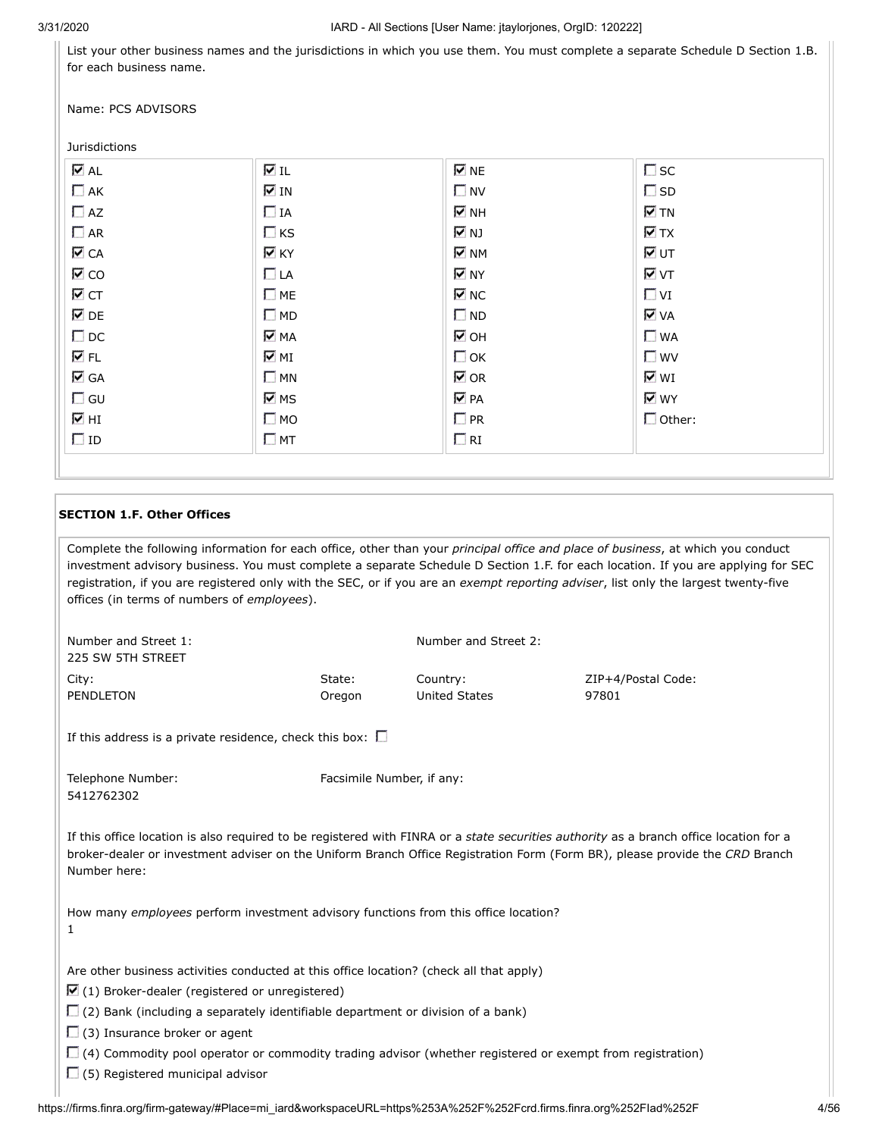List your other business names and the jurisdictions in which you use them. You must complete a separate Schedule D Section 1.B. for each business name.

Name: PCS ADVISORS

# Jurisdictions

| V AL                          | ৰ চ                           | <b>⊽</b> NE                   | $\square$ sc  |  |
|-------------------------------|-------------------------------|-------------------------------|---------------|--|
| $\Box$ AK                     | ি IN                          | $\Box$ NV                     | $\Box$ SD     |  |
| $\Box$ AZ                     | $\Box$ IA                     | Г нн                          | $\nabla$ TN   |  |
| $\Box$ AR                     | $\Box$ KS                     | ৰ NJ                          | $\nabla$ TX   |  |
| $\overline{\triangledown}$ CA | $\overline{\triangledown}$ KY | <b>⊽</b> NM                   | <b>⊽</b> ∪т   |  |
| $\overline{M}$ CO             | $\Box$ LA                     | $\overline{\triangledown}$ NY | ⊽ ∨⊤          |  |
| $\nabla$ ст                   | $\square$ ME                  | <b>⊽</b> NC                   | $\Box$ VI     |  |
| $\nabla$ DE                   | $\Box$ MD                     | $\Box$ ND                     | <b>VA</b>     |  |
| $\Box$ DC                     | l⊽ MA                         | ∣⊽ он                         | $\Box$ WA     |  |
| V FL                          | ি MI                          | $\Box$ OK                     | $\Box$ WV     |  |
| $\overline{M}$ GA             | $\Box$ MN                     | $\nabla$ OR                   | ি wi          |  |
| $\Box$ GU                     | $\nabla$ MS                   | $\nabla$ PA                   | <b>⊽</b> wY   |  |
| ⊽нг                           | $\square$ MO                  | $\Box$ PR                     | $\Box$ Other: |  |
| $\Box$ ID                     | $\Box$ MT                     | $\Box$ RI                     |               |  |

## **SECTION 1.F. Other Offices**

Complete the following information for each office, other than your *principal office and place of business*, at which you conduct investment advisory business. You must complete a separate Schedule D Section 1.F. for each location. If you are applying for SEC registration, if you are registered only with the SEC, or if you are an *exempt reporting adviser*, list only the largest twenty-five offices (in terms of numbers of *employees*).

| Number and Street 1:<br>225 SW 5TH STREET |        | Number and Street 2: |                    |
|-------------------------------------------|--------|----------------------|--------------------|
| City:                                     | State: | Country:             | ZIP+4/Postal Code: |
| PENDLETON                                 | Oregon | United States        | 97801              |

If this address is a private residence, check this box:  $\square$ 

| Telephone Number: |  |
|-------------------|--|
| 5412762302        |  |

Facsimile Number, if any:

If this office location is also required to be registered with FINRA or a *state securities authority* as a branch office location for a broker-dealer or investment adviser on the Uniform Branch Office Registration Form (Form BR), please provide the *CRD* Branch Number here:

How many *employees* perform investment advisory functions from this office location?

1

Are other business activities conducted at this office location? (check all that apply)

 $\nabla$  (1) Broker-dealer (registered or unregistered)

 $\square$  (2) Bank (including a separately identifiable department or division of a bank)

 $\Box$  (3) Insurance broker or agent

 $\Box$  (4) Commodity pool operator or commodity trading advisor (whether registered or exempt from registration)

 $\square$  (5) Registered municipal advisor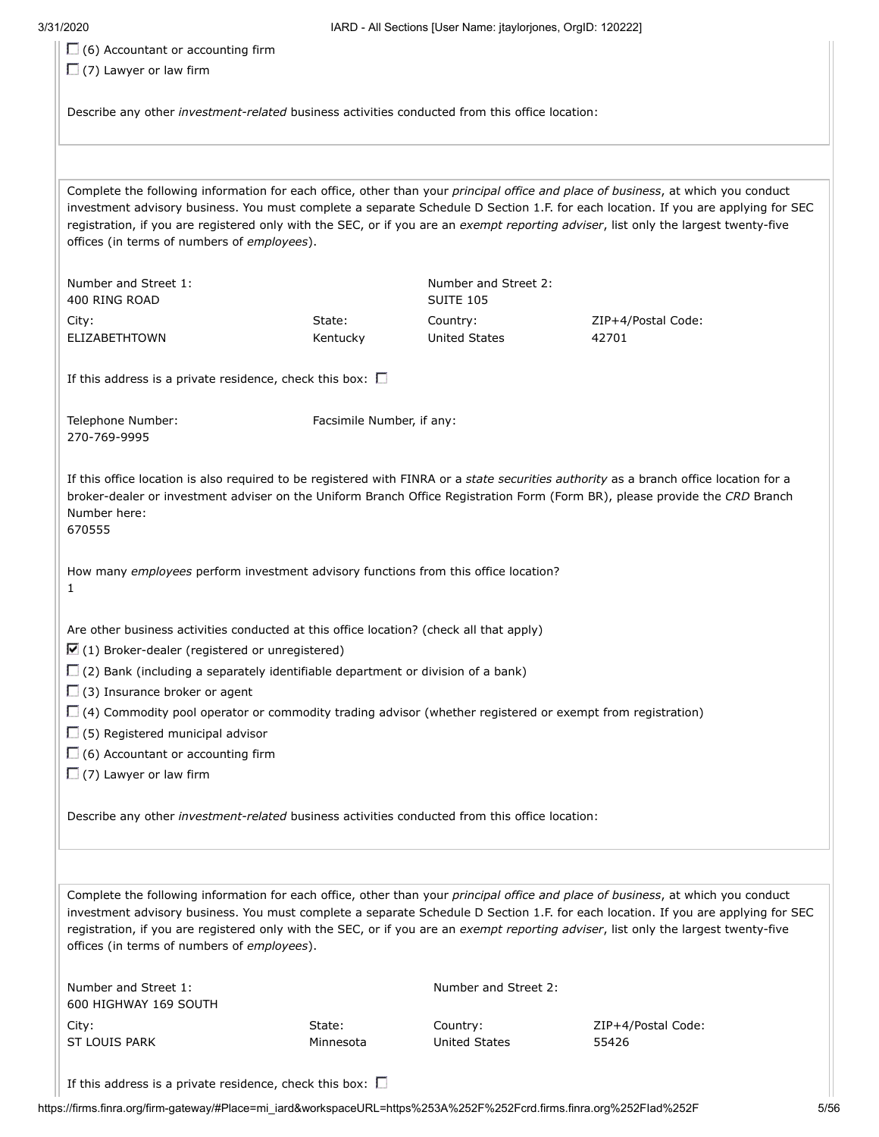| $\Box$ (6) Accountant or accounting firm                                                                                                                                                                                                                                                                                                                                                                                                                                                                                                                                         |                           |                                          |                                                                                                                                                                                                                                                                                                                                                                                                              |
|----------------------------------------------------------------------------------------------------------------------------------------------------------------------------------------------------------------------------------------------------------------------------------------------------------------------------------------------------------------------------------------------------------------------------------------------------------------------------------------------------------------------------------------------------------------------------------|---------------------------|------------------------------------------|--------------------------------------------------------------------------------------------------------------------------------------------------------------------------------------------------------------------------------------------------------------------------------------------------------------------------------------------------------------------------------------------------------------|
| $\Box$ (7) Lawyer or law firm                                                                                                                                                                                                                                                                                                                                                                                                                                                                                                                                                    |                           |                                          |                                                                                                                                                                                                                                                                                                                                                                                                              |
| Describe any other investment-related business activities conducted from this office location:                                                                                                                                                                                                                                                                                                                                                                                                                                                                                   |                           |                                          |                                                                                                                                                                                                                                                                                                                                                                                                              |
|                                                                                                                                                                                                                                                                                                                                                                                                                                                                                                                                                                                  |                           |                                          | Complete the following information for each office, other than your principal office and place of business, at which you conduct<br>investment advisory business. You must complete a separate Schedule D Section 1.F. for each location. If you are applying for SEC<br>registration, if you are registered only with the SEC, or if you are an exempt reporting adviser, list only the largest twenty-five |
| offices (in terms of numbers of employees).                                                                                                                                                                                                                                                                                                                                                                                                                                                                                                                                      |                           |                                          |                                                                                                                                                                                                                                                                                                                                                                                                              |
| Number and Street 1:<br>400 RING ROAD                                                                                                                                                                                                                                                                                                                                                                                                                                                                                                                                            |                           | Number and Street 2:<br><b>SUITE 105</b> |                                                                                                                                                                                                                                                                                                                                                                                                              |
| City:                                                                                                                                                                                                                                                                                                                                                                                                                                                                                                                                                                            | State:                    | Country:                                 | ZIP+4/Postal Code:                                                                                                                                                                                                                                                                                                                                                                                           |
| <b>ELIZABETHTOWN</b>                                                                                                                                                                                                                                                                                                                                                                                                                                                                                                                                                             | Kentucky                  | United States                            | 42701                                                                                                                                                                                                                                                                                                                                                                                                        |
| If this address is a private residence, check this box: $\square$                                                                                                                                                                                                                                                                                                                                                                                                                                                                                                                |                           |                                          |                                                                                                                                                                                                                                                                                                                                                                                                              |
| Telephone Number:<br>270-769-9995                                                                                                                                                                                                                                                                                                                                                                                                                                                                                                                                                | Facsimile Number, if any: |                                          |                                                                                                                                                                                                                                                                                                                                                                                                              |
|                                                                                                                                                                                                                                                                                                                                                                                                                                                                                                                                                                                  |                           |                                          | If this office location is also required to be registered with FINRA or a state securities authority as a branch office location for a<br>broker-dealer or investment adviser on the Uniform Branch Office Registration Form (Form BR), please provide the CRD Branch                                                                                                                                        |
|                                                                                                                                                                                                                                                                                                                                                                                                                                                                                                                                                                                  |                           |                                          |                                                                                                                                                                                                                                                                                                                                                                                                              |
|                                                                                                                                                                                                                                                                                                                                                                                                                                                                                                                                                                                  |                           |                                          |                                                                                                                                                                                                                                                                                                                                                                                                              |
|                                                                                                                                                                                                                                                                                                                                                                                                                                                                                                                                                                                  |                           |                                          |                                                                                                                                                                                                                                                                                                                                                                                                              |
|                                                                                                                                                                                                                                                                                                                                                                                                                                                                                                                                                                                  |                           |                                          |                                                                                                                                                                                                                                                                                                                                                                                                              |
|                                                                                                                                                                                                                                                                                                                                                                                                                                                                                                                                                                                  |                           |                                          |                                                                                                                                                                                                                                                                                                                                                                                                              |
| Number here:<br>670555<br>How many employees perform investment advisory functions from this office location?<br>1<br>Are other business activities conducted at this office location? (check all that apply)<br>$\triangledown$ (1) Broker-dealer (registered or unregistered)<br>$\Box$ (2) Bank (including a separately identifiable department or division of a bank)<br>$\Box$ (3) Insurance broker or agent<br>$\Box$ (4) Commodity pool operator or commodity trading advisor (whether registered or exempt from registration)<br>$\Box$ (5) Registered municipal advisor |                           |                                          |                                                                                                                                                                                                                                                                                                                                                                                                              |
| $\Box$ (6) Accountant or accounting firm<br>$\Box$ (7) Lawyer or law firm                                                                                                                                                                                                                                                                                                                                                                                                                                                                                                        |                           |                                          |                                                                                                                                                                                                                                                                                                                                                                                                              |
|                                                                                                                                                                                                                                                                                                                                                                                                                                                                                                                                                                                  |                           |                                          |                                                                                                                                                                                                                                                                                                                                                                                                              |
| Describe any other investment-related business activities conducted from this office location:                                                                                                                                                                                                                                                                                                                                                                                                                                                                                   |                           |                                          |                                                                                                                                                                                                                                                                                                                                                                                                              |
|                                                                                                                                                                                                                                                                                                                                                                                                                                                                                                                                                                                  |                           |                                          | Complete the following information for each office, other than your principal office and place of business, at which you conduct<br>investment advisory business. You must complete a separate Schedule D Section 1.F. for each location. If you are applying for SEC<br>registration, if you are registered only with the SEC, or if you are an exempt reporting adviser, list only the largest twenty-five |
| offices (in terms of numbers of employees).<br>Number and Street 1:<br>600 HIGHWAY 169 SOUTH                                                                                                                                                                                                                                                                                                                                                                                                                                                                                     |                           | Number and Street 2:                     |                                                                                                                                                                                                                                                                                                                                                                                                              |

https://firms.finra.org/firm-gateway/#Place=mi\_iard&workspaceURL=https%253A%252F%252Fcrd.firms.finra.org%252FIad%252F 5/56 If this address is a private residence, check this box:  $\square$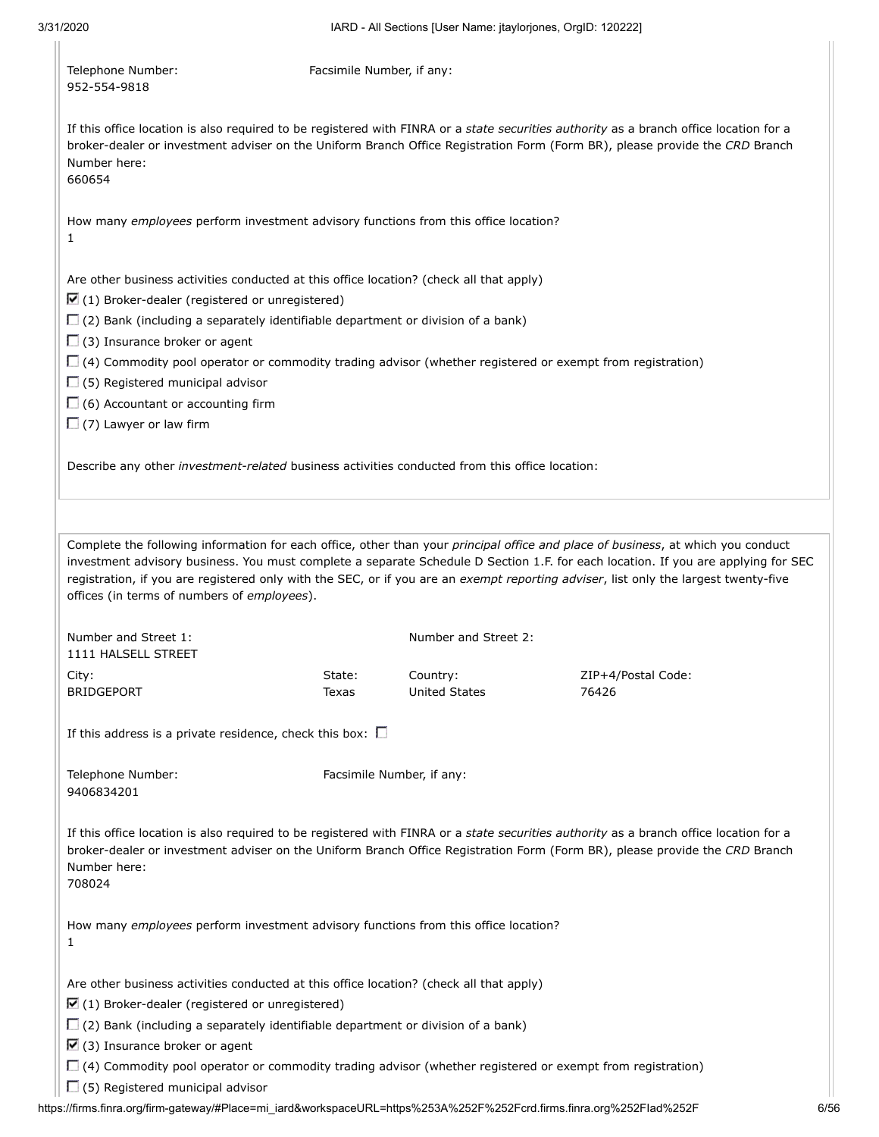| Telephone Number:<br>952-554-9818                                                                                                                              | Facsimile Number, if any: |                                  |                                                                                                                                                                                                                                                                                                                                                                                                              |
|----------------------------------------------------------------------------------------------------------------------------------------------------------------|---------------------------|----------------------------------|--------------------------------------------------------------------------------------------------------------------------------------------------------------------------------------------------------------------------------------------------------------------------------------------------------------------------------------------------------------------------------------------------------------|
| Number here:<br>660654                                                                                                                                         |                           |                                  | If this office location is also required to be registered with FINRA or a state securities authority as a branch office location for a<br>broker-dealer or investment adviser on the Uniform Branch Office Registration Form (Form BR), please provide the CRD Branch                                                                                                                                        |
| How many employees perform investment advisory functions from this office location?<br>1                                                                       |                           |                                  |                                                                                                                                                                                                                                                                                                                                                                                                              |
| Are other business activities conducted at this office location? (check all that apply)<br>$\blacktriangledown$ (1) Broker-dealer (registered or unregistered) |                           |                                  |                                                                                                                                                                                                                                                                                                                                                                                                              |
| $\Box$ (2) Bank (including a separately identifiable department or division of a bank)<br>$\Box$ (3) Insurance broker or agent                                 |                           |                                  |                                                                                                                                                                                                                                                                                                                                                                                                              |
| $\Box$ (4) Commodity pool operator or commodity trading advisor (whether registered or exempt from registration)<br>$\Box$ (5) Registered municipal advisor    |                           |                                  |                                                                                                                                                                                                                                                                                                                                                                                                              |
| $\Box$ (6) Accountant or accounting firm<br>$\Box$ (7) Lawyer or law firm                                                                                      |                           |                                  |                                                                                                                                                                                                                                                                                                                                                                                                              |
| Describe any other <i>investment-related</i> business activities conducted from this office location:                                                          |                           |                                  |                                                                                                                                                                                                                                                                                                                                                                                                              |
|                                                                                                                                                                |                           |                                  |                                                                                                                                                                                                                                                                                                                                                                                                              |
| offices (in terms of numbers of employees).                                                                                                                    |                           |                                  | Complete the following information for each office, other than your principal office and place of business, at which you conduct<br>investment advisory business. You must complete a separate Schedule D Section 1.F. for each location. If you are applying for SEC<br>registration, if you are registered only with the SEC, or if you are an exempt reporting adviser, list only the largest twenty-five |
| Number and Street 1:<br>1111 HALSELL STREET                                                                                                                    |                           | Number and Street 2:             |                                                                                                                                                                                                                                                                                                                                                                                                              |
| City:<br><b>BRIDGEPORT</b>                                                                                                                                     | State:<br>Texas           | Country:<br><b>United States</b> | ZIP+4/Postal Code:<br>76426                                                                                                                                                                                                                                                                                                                                                                                  |
| If this address is a private residence, check this box: $\square$                                                                                              |                           |                                  |                                                                                                                                                                                                                                                                                                                                                                                                              |
| Telephone Number:<br>9406834201                                                                                                                                |                           | Facsimile Number, if any:        |                                                                                                                                                                                                                                                                                                                                                                                                              |
| Number here:<br>708024                                                                                                                                         |                           |                                  | If this office location is also required to be registered with FINRA or a state securities authority as a branch office location for a<br>broker-dealer or investment adviser on the Uniform Branch Office Registration Form (Form BR), please provide the CRD Branch                                                                                                                                        |
| How many employees perform investment advisory functions from this office location?<br>1                                                                       |                           |                                  |                                                                                                                                                                                                                                                                                                                                                                                                              |
| Are other business activities conducted at this office location? (check all that apply)                                                                        |                           |                                  |                                                                                                                                                                                                                                                                                                                                                                                                              |
| $\blacktriangledown$ (1) Broker-dealer (registered or unregistered)<br>$\Box$ (2) Bank (including a separately identifiable department or division of a bank)  |                           |                                  |                                                                                                                                                                                                                                                                                                                                                                                                              |
| $\triangledown$ (3) Insurance broker or agent                                                                                                                  |                           |                                  |                                                                                                                                                                                                                                                                                                                                                                                                              |
| $\Box$ (4) Commodity pool operator or commodity trading advisor (whether registered or exempt from registration)<br>$\Box$ (5) Registered municipal advisor    |                           |                                  |                                                                                                                                                                                                                                                                                                                                                                                                              |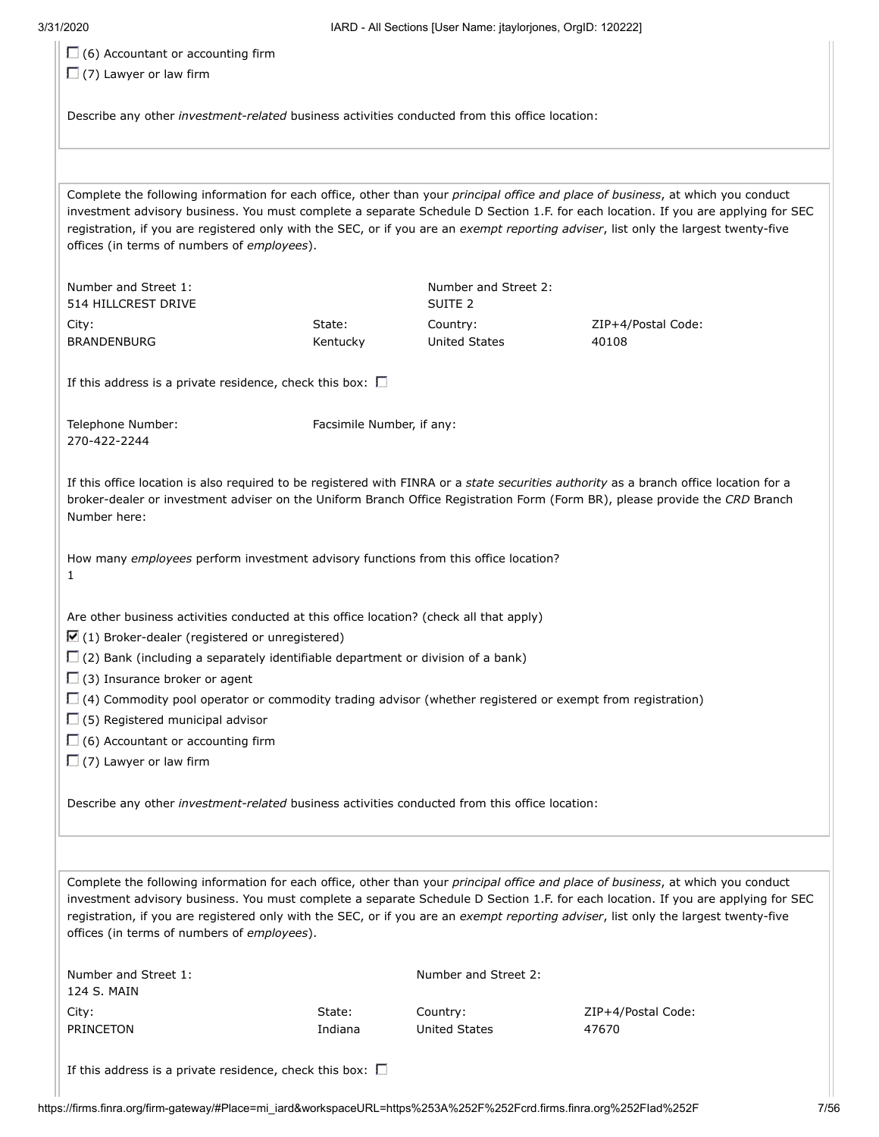| 3/31/2020 |
|-----------|
|           |

| 3/31/2020                                                                                                                                                                                                                                                                                                                                                                                                                                                                                                                                                                                                                           |                           | IARD - All Sections [User Name: jtaylorjones, OrgID: 120222] |                                                                                                                                                                                                                                                                          |
|-------------------------------------------------------------------------------------------------------------------------------------------------------------------------------------------------------------------------------------------------------------------------------------------------------------------------------------------------------------------------------------------------------------------------------------------------------------------------------------------------------------------------------------------------------------------------------------------------------------------------------------|---------------------------|--------------------------------------------------------------|--------------------------------------------------------------------------------------------------------------------------------------------------------------------------------------------------------------------------------------------------------------------------|
| $\Box$ (6) Accountant or accounting firm                                                                                                                                                                                                                                                                                                                                                                                                                                                                                                                                                                                            |                           |                                                              |                                                                                                                                                                                                                                                                          |
| $\Box$ (7) Lawyer or law firm                                                                                                                                                                                                                                                                                                                                                                                                                                                                                                                                                                                                       |                           |                                                              |                                                                                                                                                                                                                                                                          |
| Describe any other <i>investment-related</i> business activities conducted from this office location:                                                                                                                                                                                                                                                                                                                                                                                                                                                                                                                               |                           |                                                              |                                                                                                                                                                                                                                                                          |
|                                                                                                                                                                                                                                                                                                                                                                                                                                                                                                                                                                                                                                     |                           |                                                              | Complete the following information for each office, other than your principal office and place of business, at which you conduct                                                                                                                                         |
| offices (in terms of numbers of employees).                                                                                                                                                                                                                                                                                                                                                                                                                                                                                                                                                                                         |                           |                                                              | investment advisory business. You must complete a separate Schedule D Section 1.F. for each location. If you are applying for SEC<br>registration, if you are registered only with the SEC, or if you are an exempt reporting adviser, list only the largest twenty-five |
| Number and Street 1:<br><b>514 HILLCREST DRIVE</b>                                                                                                                                                                                                                                                                                                                                                                                                                                                                                                                                                                                  |                           | Number and Street 2:<br>SUITE <sub>2</sub>                   |                                                                                                                                                                                                                                                                          |
| City:<br><b>BRANDENBURG</b>                                                                                                                                                                                                                                                                                                                                                                                                                                                                                                                                                                                                         | State:<br>Kentucky        | Country:<br><b>United States</b>                             | ZIP+4/Postal Code:<br>40108                                                                                                                                                                                                                                              |
| If this address is a private residence, check this box: $\square$                                                                                                                                                                                                                                                                                                                                                                                                                                                                                                                                                                   |                           |                                                              |                                                                                                                                                                                                                                                                          |
| Telephone Number:<br>270-422-2244                                                                                                                                                                                                                                                                                                                                                                                                                                                                                                                                                                                                   | Facsimile Number, if any: |                                                              |                                                                                                                                                                                                                                                                          |
| Number here:                                                                                                                                                                                                                                                                                                                                                                                                                                                                                                                                                                                                                        |                           |                                                              | If this office location is also required to be registered with FINRA or a state securities authority as a branch office location for a<br>broker-dealer or investment adviser on the Uniform Branch Office Registration Form (Form BR), please provide the CRD Branch    |
|                                                                                                                                                                                                                                                                                                                                                                                                                                                                                                                                                                                                                                     |                           |                                                              |                                                                                                                                                                                                                                                                          |
|                                                                                                                                                                                                                                                                                                                                                                                                                                                                                                                                                                                                                                     |                           |                                                              |                                                                                                                                                                                                                                                                          |
|                                                                                                                                                                                                                                                                                                                                                                                                                                                                                                                                                                                                                                     |                           |                                                              |                                                                                                                                                                                                                                                                          |
|                                                                                                                                                                                                                                                                                                                                                                                                                                                                                                                                                                                                                                     |                           |                                                              |                                                                                                                                                                                                                                                                          |
|                                                                                                                                                                                                                                                                                                                                                                                                                                                                                                                                                                                                                                     |                           |                                                              |                                                                                                                                                                                                                                                                          |
|                                                                                                                                                                                                                                                                                                                                                                                                                                                                                                                                                                                                                                     |                           |                                                              |                                                                                                                                                                                                                                                                          |
|                                                                                                                                                                                                                                                                                                                                                                                                                                                                                                                                                                                                                                     |                           |                                                              |                                                                                                                                                                                                                                                                          |
|                                                                                                                                                                                                                                                                                                                                                                                                                                                                                                                                                                                                                                     |                           |                                                              |                                                                                                                                                                                                                                                                          |
| How many employees perform investment advisory functions from this office location?<br>1<br>Are other business activities conducted at this office location? (check all that apply)<br>$\triangledown$ (1) Broker-dealer (registered or unregistered)<br>$\Box$ (2) Bank (including a separately identifiable department or division of a bank)<br>$\Box$ (3) Insurance broker or agent<br>$\Box$ (4) Commodity pool operator or commodity trading advisor (whether registered or exempt from registration)<br>$\Box$ (5) Registered municipal advisor<br>$\Box$ (6) Accountant or accounting firm<br>$\Box$ (7) Lawyer or law firm |                           |                                                              |                                                                                                                                                                                                                                                                          |
|                                                                                                                                                                                                                                                                                                                                                                                                                                                                                                                                                                                                                                     |                           |                                                              |                                                                                                                                                                                                                                                                          |
|                                                                                                                                                                                                                                                                                                                                                                                                                                                                                                                                                                                                                                     |                           |                                                              | Complete the following information for each office, other than your principal office and place of business, at which you conduct<br>registration, if you are registered only with the SEC, or if you are an exempt reporting adviser, list only the largest twenty-five  |
|                                                                                                                                                                                                                                                                                                                                                                                                                                                                                                                                                                                                                                     |                           | Number and Street 2:                                         | investment advisory business. You must complete a separate Schedule D Section 1.F. for each location. If you are applying for SEC                                                                                                                                        |
| Describe any other investment-related business activities conducted from this office location:<br>offices (in terms of numbers of employees).<br>Number and Street 1:<br>124 S. MAIN<br>City:<br><b>PRINCETON</b>                                                                                                                                                                                                                                                                                                                                                                                                                   | State:<br>Indiana         | Country:<br><b>United States</b>                             | ZIP+4/Postal Code:<br>47670                                                                                                                                                                                                                                              |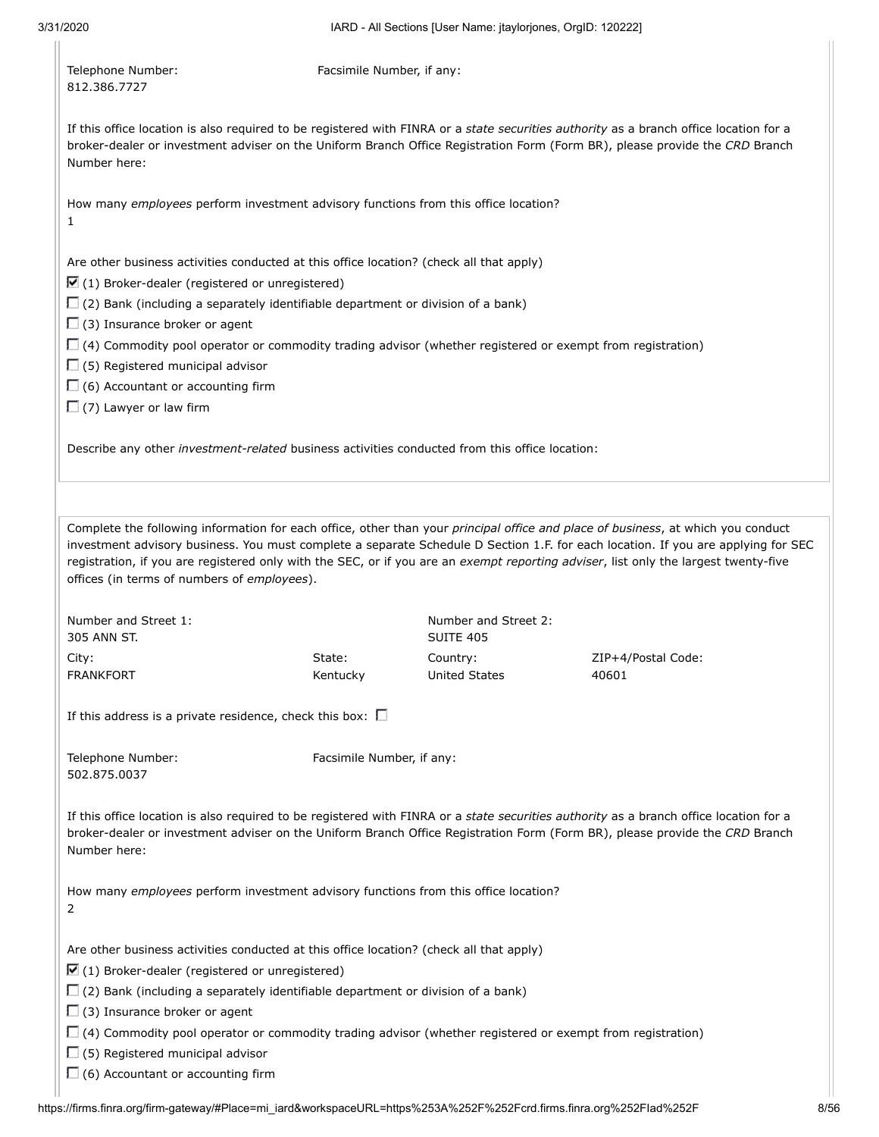| Telephone Number:<br>812.386.7727                                                                                                                                                                                                                                                                                                                                                                                                                                                                      | Facsimile Number, if any:                                                                                                                                                                                                                                                                                                                                                    |                                                      |                             |  |  |
|--------------------------------------------------------------------------------------------------------------------------------------------------------------------------------------------------------------------------------------------------------------------------------------------------------------------------------------------------------------------------------------------------------------------------------------------------------------------------------------------------------|------------------------------------------------------------------------------------------------------------------------------------------------------------------------------------------------------------------------------------------------------------------------------------------------------------------------------------------------------------------------------|------------------------------------------------------|-----------------------------|--|--|
| Number here:                                                                                                                                                                                                                                                                                                                                                                                                                                                                                           | If this office location is also required to be registered with FINRA or a state securities authority as a branch office location for a<br>broker-dealer or investment adviser on the Uniform Branch Office Registration Form (Form BR), please provide the CRD Branch                                                                                                        |                                                      |                             |  |  |
| How many employees perform investment advisory functions from this office location?<br>1                                                                                                                                                                                                                                                                                                                                                                                                               |                                                                                                                                                                                                                                                                                                                                                                              |                                                      |                             |  |  |
| $\Box$ (3) Insurance broker or agent<br>$\Box$ (5) Registered municipal advisor<br>$\Box$ (6) Accountant or accounting firm<br>$\Box$ (7) Lawyer or law firm                                                                                                                                                                                                                                                                                                                                           | Are other business activities conducted at this office location? (check all that apply)<br>$\blacktriangledown$ (1) Broker-dealer (registered or unregistered)<br>$\Box$ (2) Bank (including a separately identifiable department or division of a bank)<br>$\Box$ (4) Commodity pool operator or commodity trading advisor (whether registered or exempt from registration) |                                                      |                             |  |  |
| Describe any other <i>investment-related</i> business activities conducted from this office location:                                                                                                                                                                                                                                                                                                                                                                                                  |                                                                                                                                                                                                                                                                                                                                                                              |                                                      |                             |  |  |
|                                                                                                                                                                                                                                                                                                                                                                                                                                                                                                        |                                                                                                                                                                                                                                                                                                                                                                              |                                                      |                             |  |  |
| Complete the following information for each office, other than your principal office and place of business, at which you conduct<br>investment advisory business. You must complete a separate Schedule D Section 1.F. for each location. If you are applying for SEC<br>registration, if you are registered only with the SEC, or if you are an exempt reporting adviser, list only the largest twenty-five<br>offices (in terms of numbers of employees).                                            |                                                                                                                                                                                                                                                                                                                                                                              |                                                      |                             |  |  |
| Number and Street 1:                                                                                                                                                                                                                                                                                                                                                                                                                                                                                   |                                                                                                                                                                                                                                                                                                                                                                              | Number and Street 2:                                 |                             |  |  |
| 305 ANN ST.<br>City:<br><b>FRANKFORT</b>                                                                                                                                                                                                                                                                                                                                                                                                                                                               | State:<br>Kentucky                                                                                                                                                                                                                                                                                                                                                           | <b>SUITE 405</b><br>Country:<br><b>United States</b> | ZIP+4/Postal Code:<br>40601 |  |  |
| If this address is a private residence, check this box: $\square$                                                                                                                                                                                                                                                                                                                                                                                                                                      |                                                                                                                                                                                                                                                                                                                                                                              |                                                      |                             |  |  |
| Telephone Number:<br>502.875.0037                                                                                                                                                                                                                                                                                                                                                                                                                                                                      | Facsimile Number, if any:                                                                                                                                                                                                                                                                                                                                                    |                                                      |                             |  |  |
| If this office location is also required to be registered with FINRA or a state securities authority as a branch office location for a<br>broker-dealer or investment adviser on the Uniform Branch Office Registration Form (Form BR), please provide the CRD Branch<br>Number here:                                                                                                                                                                                                                  |                                                                                                                                                                                                                                                                                                                                                                              |                                                      |                             |  |  |
| How many employees perform investment advisory functions from this office location?<br>2                                                                                                                                                                                                                                                                                                                                                                                                               |                                                                                                                                                                                                                                                                                                                                                                              |                                                      |                             |  |  |
| Are other business activities conducted at this office location? (check all that apply)<br>$\triangledown$ (1) Broker-dealer (registered or unregistered)<br>$\Box$ (2) Bank (including a separately identifiable department or division of a bank)<br>$\Box$ (3) Insurance broker or agent<br>$\Box$ (4) Commodity pool operator or commodity trading advisor (whether registered or exempt from registration)<br>$\Box$ (5) Registered municipal advisor<br>$\Box$ (6) Accountant or accounting firm |                                                                                                                                                                                                                                                                                                                                                                              |                                                      |                             |  |  |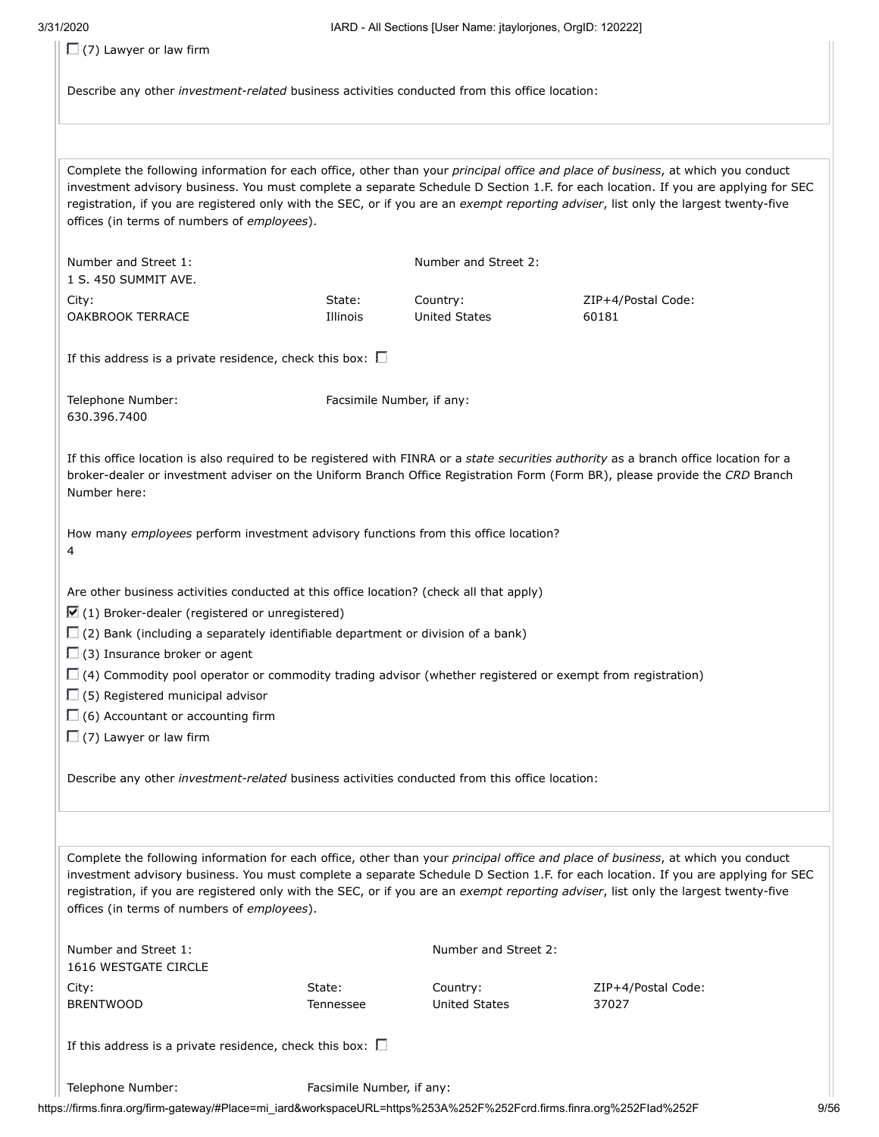| 3/31/2020                                                                                                                                                                                                                                           |                           | IARD - All Sections [User Name: jtaylorjones, OrgID: 120222] |                                                                                                                                                                                                                                                                                                                                                                                                              |
|-----------------------------------------------------------------------------------------------------------------------------------------------------------------------------------------------------------------------------------------------------|---------------------------|--------------------------------------------------------------|--------------------------------------------------------------------------------------------------------------------------------------------------------------------------------------------------------------------------------------------------------------------------------------------------------------------------------------------------------------------------------------------------------------|
| $\Box$ (7) Lawyer or law firm                                                                                                                                                                                                                       |                           |                                                              |                                                                                                                                                                                                                                                                                                                                                                                                              |
| Describe any other <i>investment-related</i> business activities conducted from this office location:                                                                                                                                               |                           |                                                              |                                                                                                                                                                                                                                                                                                                                                                                                              |
| offices (in terms of numbers of employees).                                                                                                                                                                                                         |                           |                                                              | Complete the following information for each office, other than your principal office and place of business, at which you conduct<br>investment advisory business. You must complete a separate Schedule D Section 1.F. for each location. If you are applying for SEC<br>registration, if you are registered only with the SEC, or if you are an exempt reporting adviser, list only the largest twenty-five |
| Number and Street 1:<br>1 S. 450 SUMMIT AVE.                                                                                                                                                                                                        |                           | Number and Street 2:                                         |                                                                                                                                                                                                                                                                                                                                                                                                              |
| City:<br><b>OAKBROOK TERRACE</b>                                                                                                                                                                                                                    | State:<br>Illinois        | Country:<br><b>United States</b>                             | ZIP+4/Postal Code:<br>60181                                                                                                                                                                                                                                                                                                                                                                                  |
| If this address is a private residence, check this box: $\square$                                                                                                                                                                                   |                           |                                                              |                                                                                                                                                                                                                                                                                                                                                                                                              |
| Telephone Number:<br>630.396.7400                                                                                                                                                                                                                   |                           | Facsimile Number, if any:                                    |                                                                                                                                                                                                                                                                                                                                                                                                              |
| Number here:                                                                                                                                                                                                                                        |                           |                                                              | If this office location is also required to be registered with FINRA or a state securities authority as a branch office location for a<br>broker-dealer or investment adviser on the Uniform Branch Office Registration Form (Form BR), please provide the CRD Branch                                                                                                                                        |
| How many employees perform investment advisory functions from this office location?<br>4                                                                                                                                                            |                           |                                                              |                                                                                                                                                                                                                                                                                                                                                                                                              |
| Are other business activities conducted at this office location? (check all that apply)<br>$\triangledown$ (1) Broker-dealer (registered or unregistered)<br>$\Box$ (2) Bank (including a separately identifiable department or division of a bank) |                           |                                                              |                                                                                                                                                                                                                                                                                                                                                                                                              |
| $\Box$ (3) Insurance broker or agent<br>$\Box$ (4) Commodity pool operator or commodity trading advisor (whether registered or exempt from registration)<br>$\Box$ (5) Registered municipal advisor                                                 |                           |                                                              |                                                                                                                                                                                                                                                                                                                                                                                                              |
| $\Box$ (6) Accountant or accounting firm<br>$\Box$ (7) Lawyer or law firm                                                                                                                                                                           |                           |                                                              |                                                                                                                                                                                                                                                                                                                                                                                                              |
| Describe any other investment-related business activities conducted from this office location:                                                                                                                                                      |                           |                                                              |                                                                                                                                                                                                                                                                                                                                                                                                              |
| offices (in terms of numbers of employees).                                                                                                                                                                                                         |                           |                                                              | Complete the following information for each office, other than your principal office and place of business, at which you conduct<br>investment advisory business. You must complete a separate Schedule D Section 1.F. for each location. If you are applying for SEC<br>registration, if you are registered only with the SEC, or if you are an exempt reporting adviser, list only the largest twenty-five |
| Number and Street 1:<br>1616 WESTGATE CIRCLE                                                                                                                                                                                                        |                           | Number and Street 2:                                         |                                                                                                                                                                                                                                                                                                                                                                                                              |
| City:<br><b>BRENTWOOD</b>                                                                                                                                                                                                                           | State:<br>Tennessee       | Country:<br><b>United States</b>                             | ZIP+4/Postal Code:<br>37027                                                                                                                                                                                                                                                                                                                                                                                  |
| If this address is a private residence, check this box: $\square$                                                                                                                                                                                   |                           |                                                              |                                                                                                                                                                                                                                                                                                                                                                                                              |
| Telephone Number:                                                                                                                                                                                                                                   | Facsimile Number, if any: |                                                              |                                                                                                                                                                                                                                                                                                                                                                                                              |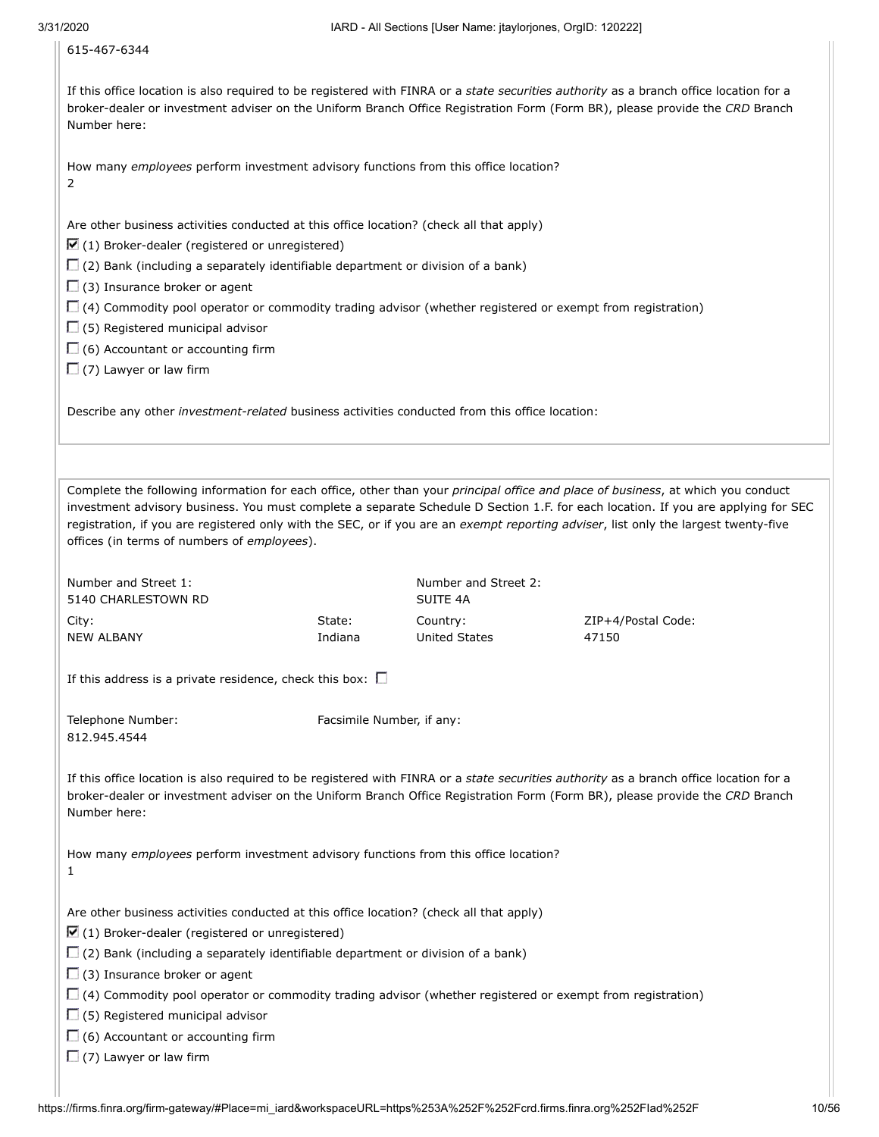| 615-467-6344                                                                                                                                                                                                                                                                          |                                                                                                                                                                                                                                                     |                           |                                                                                                                                                                                                                                                                                                                                                                                                              |  |  |
|---------------------------------------------------------------------------------------------------------------------------------------------------------------------------------------------------------------------------------------------------------------------------------------|-----------------------------------------------------------------------------------------------------------------------------------------------------------------------------------------------------------------------------------------------------|---------------------------|--------------------------------------------------------------------------------------------------------------------------------------------------------------------------------------------------------------------------------------------------------------------------------------------------------------------------------------------------------------------------------------------------------------|--|--|
| If this office location is also required to be registered with FINRA or a state securities authority as a branch office location for a<br>broker-dealer or investment adviser on the Uniform Branch Office Registration Form (Form BR), please provide the CRD Branch<br>Number here: |                                                                                                                                                                                                                                                     |                           |                                                                                                                                                                                                                                                                                                                                                                                                              |  |  |
| How many employees perform investment advisory functions from this office location?<br>2                                                                                                                                                                                              |                                                                                                                                                                                                                                                     |                           |                                                                                                                                                                                                                                                                                                                                                                                                              |  |  |
| $\Box$ (3) Insurance broker or agent<br>$\Box$ (4) Commodity pool operator or commodity trading advisor (whether registered or exempt from registration)                                                                                                                              | Are other business activities conducted at this office location? (check all that apply)<br>$\triangledown$ (1) Broker-dealer (registered or unregistered)<br>$\Box$ (2) Bank (including a separately identifiable department or division of a bank) |                           |                                                                                                                                                                                                                                                                                                                                                                                                              |  |  |
| $\Box$ (5) Registered municipal advisor                                                                                                                                                                                                                                               |                                                                                                                                                                                                                                                     |                           |                                                                                                                                                                                                                                                                                                                                                                                                              |  |  |
| $\Box$ (6) Accountant or accounting firm                                                                                                                                                                                                                                              |                                                                                                                                                                                                                                                     |                           |                                                                                                                                                                                                                                                                                                                                                                                                              |  |  |
| $\Box$ (7) Lawyer or law firm                                                                                                                                                                                                                                                         |                                                                                                                                                                                                                                                     |                           |                                                                                                                                                                                                                                                                                                                                                                                                              |  |  |
| Describe any other <i>investment-related</i> business activities conducted from this office location:                                                                                                                                                                                 |                                                                                                                                                                                                                                                     |                           |                                                                                                                                                                                                                                                                                                                                                                                                              |  |  |
|                                                                                                                                                                                                                                                                                       |                                                                                                                                                                                                                                                     |                           |                                                                                                                                                                                                                                                                                                                                                                                                              |  |  |
| offices (in terms of numbers of employees).                                                                                                                                                                                                                                           |                                                                                                                                                                                                                                                     |                           | Complete the following information for each office, other than your principal office and place of business, at which you conduct<br>investment advisory business. You must complete a separate Schedule D Section 1.F. for each location. If you are applying for SEC<br>registration, if you are registered only with the SEC, or if you are an exempt reporting adviser, list only the largest twenty-five |  |  |
| Number and Street 1:                                                                                                                                                                                                                                                                  |                                                                                                                                                                                                                                                     | Number and Street 2:      |                                                                                                                                                                                                                                                                                                                                                                                                              |  |  |
| 5140 CHARLESTOWN RD                                                                                                                                                                                                                                                                   |                                                                                                                                                                                                                                                     | SUITE 4A                  |                                                                                                                                                                                                                                                                                                                                                                                                              |  |  |
| City:<br><b>NEW ALBANY</b>                                                                                                                                                                                                                                                            | State:<br>Indiana                                                                                                                                                                                                                                   | Country:<br>United States | ZIP+4/Postal Code:<br>47150                                                                                                                                                                                                                                                                                                                                                                                  |  |  |
| If this address is a private residence, check this box: $\square$                                                                                                                                                                                                                     |                                                                                                                                                                                                                                                     |                           |                                                                                                                                                                                                                                                                                                                                                                                                              |  |  |
| Telephone Number:<br>812.945.4544                                                                                                                                                                                                                                                     | Facsimile Number, if any:                                                                                                                                                                                                                           |                           |                                                                                                                                                                                                                                                                                                                                                                                                              |  |  |
| Number here:                                                                                                                                                                                                                                                                          |                                                                                                                                                                                                                                                     |                           | If this office location is also required to be registered with FINRA or a state securities authority as a branch office location for a<br>broker-dealer or investment adviser on the Uniform Branch Office Registration Form (Form BR), please provide the CRD Branch                                                                                                                                        |  |  |
| How many employees perform investment advisory functions from this office location?<br>1                                                                                                                                                                                              |                                                                                                                                                                                                                                                     |                           |                                                                                                                                                                                                                                                                                                                                                                                                              |  |  |
| Are other business activities conducted at this office location? (check all that apply)<br>$\triangledown$ (1) Broker-dealer (registered or unregistered)                                                                                                                             |                                                                                                                                                                                                                                                     |                           |                                                                                                                                                                                                                                                                                                                                                                                                              |  |  |
| $\Box$ (2) Bank (including a separately identifiable department or division of a bank)                                                                                                                                                                                                |                                                                                                                                                                                                                                                     |                           |                                                                                                                                                                                                                                                                                                                                                                                                              |  |  |
| $\Box$ (3) Insurance broker or agent                                                                                                                                                                                                                                                  |                                                                                                                                                                                                                                                     |                           |                                                                                                                                                                                                                                                                                                                                                                                                              |  |  |
| $\Box$ (4) Commodity pool operator or commodity trading advisor (whether registered or exempt from registration)<br>$\Box$ (5) Registered municipal advisor                                                                                                                           |                                                                                                                                                                                                                                                     |                           |                                                                                                                                                                                                                                                                                                                                                                                                              |  |  |
| $\Box$ (6) Accountant or accounting firm                                                                                                                                                                                                                                              |                                                                                                                                                                                                                                                     |                           |                                                                                                                                                                                                                                                                                                                                                                                                              |  |  |
| $\Box$ (7) Lawyer or law firm                                                                                                                                                                                                                                                         |                                                                                                                                                                                                                                                     |                           |                                                                                                                                                                                                                                                                                                                                                                                                              |  |  |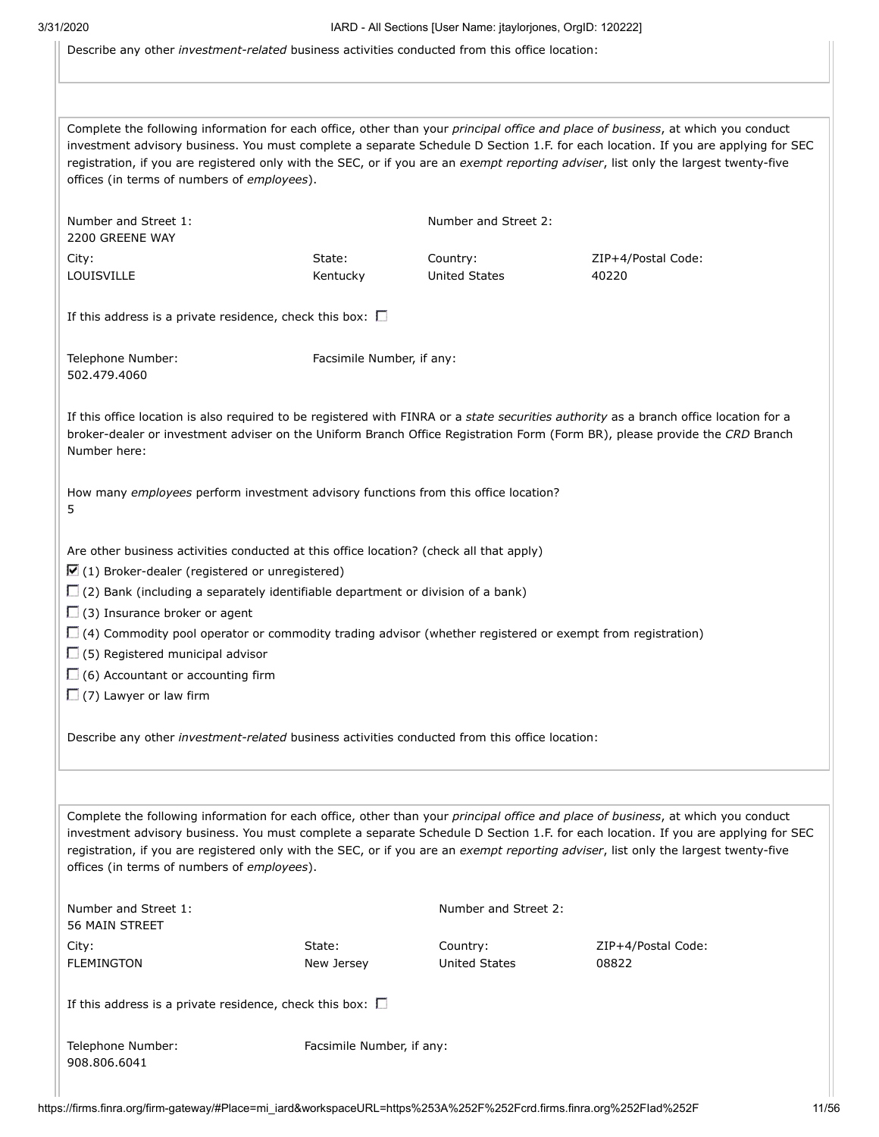Describe any other *investment-related* business activities conducted from this office location:

| Complete the following information for each office, other than your principal office and place of business, at which you conduct<br>investment advisory business. You must complete a separate Schedule D Section 1.F. for each location. If you are applying for SEC<br>registration, if you are registered only with the SEC, or if you are an exempt reporting adviser, list only the largest twenty-five<br>offices (in terms of numbers of employees). |                                                                                                                                                                                                                                                                                                                                                                                                                                                                                |                                  |                             |  |  |
|-------------------------------------------------------------------------------------------------------------------------------------------------------------------------------------------------------------------------------------------------------------------------------------------------------------------------------------------------------------------------------------------------------------------------------------------------------------|--------------------------------------------------------------------------------------------------------------------------------------------------------------------------------------------------------------------------------------------------------------------------------------------------------------------------------------------------------------------------------------------------------------------------------------------------------------------------------|----------------------------------|-----------------------------|--|--|
| Number and Street 1:<br>2200 GREENE WAY                                                                                                                                                                                                                                                                                                                                                                                                                     |                                                                                                                                                                                                                                                                                                                                                                                                                                                                                | Number and Street 2:             |                             |  |  |
| City:<br>LOUISVILLE                                                                                                                                                                                                                                                                                                                                                                                                                                         | State:<br>Kentucky                                                                                                                                                                                                                                                                                                                                                                                                                                                             | Country:<br><b>United States</b> | ZIP+4/Postal Code:<br>40220 |  |  |
| If this address is a private residence, check this box: $\square$                                                                                                                                                                                                                                                                                                                                                                                           |                                                                                                                                                                                                                                                                                                                                                                                                                                                                                |                                  |                             |  |  |
| Telephone Number:<br>502.479.4060                                                                                                                                                                                                                                                                                                                                                                                                                           | Facsimile Number, if any:                                                                                                                                                                                                                                                                                                                                                                                                                                                      |                                  |                             |  |  |
| If this office location is also required to be registered with FINRA or a state securities authority as a branch office location for a<br>broker-dealer or investment adviser on the Uniform Branch Office Registration Form (Form BR), please provide the CRD Branch<br>Number here:                                                                                                                                                                       |                                                                                                                                                                                                                                                                                                                                                                                                                                                                                |                                  |                             |  |  |
| How many employees perform investment advisory functions from this office location?<br>5                                                                                                                                                                                                                                                                                                                                                                    |                                                                                                                                                                                                                                                                                                                                                                                                                                                                                |                                  |                             |  |  |
| $\Box$ (3) Insurance broker or agent<br>$\Box$ (5) Registered municipal advisor<br>$\Box$ (6) Accountant or accounting firm<br>$\Box$ (7) Lawyer or law firm                                                                                                                                                                                                                                                                                                | Are other business activities conducted at this office location? (check all that apply)<br>$\blacktriangledown$ (1) Broker-dealer (registered or unregistered)<br>$\Box$ (2) Bank (including a separately identifiable department or division of a bank)<br>$\Box$ (4) Commodity pool operator or commodity trading advisor (whether registered or exempt from registration)<br>Describe any other investment-related business activities conducted from this office location: |                                  |                             |  |  |
|                                                                                                                                                                                                                                                                                                                                                                                                                                                             |                                                                                                                                                                                                                                                                                                                                                                                                                                                                                |                                  |                             |  |  |
| Complete the following information for each office, other than your principal office and place of business, at which you conduct<br>investment advisory business. You must complete a separate Schedule D Section 1.F. for each location. If you are applying for SEC<br>registration, if you are registered only with the SEC, or if you are an exempt reporting adviser, list only the largest twenty-five<br>offices (in terms of numbers of employees). |                                                                                                                                                                                                                                                                                                                                                                                                                                                                                |                                  |                             |  |  |
| Number and Street 1:<br>56 MAIN STREET                                                                                                                                                                                                                                                                                                                                                                                                                      |                                                                                                                                                                                                                                                                                                                                                                                                                                                                                | Number and Street 2:             |                             |  |  |
| City:<br><b>FLEMINGTON</b>                                                                                                                                                                                                                                                                                                                                                                                                                                  | State:<br>New Jersey                                                                                                                                                                                                                                                                                                                                                                                                                                                           | Country:<br>United States        | ZIP+4/Postal Code:<br>08822 |  |  |
| If this address is a private residence, check this box: $\Box$                                                                                                                                                                                                                                                                                                                                                                                              |                                                                                                                                                                                                                                                                                                                                                                                                                                                                                |                                  |                             |  |  |
| Telephone Number:<br>908.806.6041                                                                                                                                                                                                                                                                                                                                                                                                                           | Facsimile Number, if any:                                                                                                                                                                                                                                                                                                                                                                                                                                                      |                                  |                             |  |  |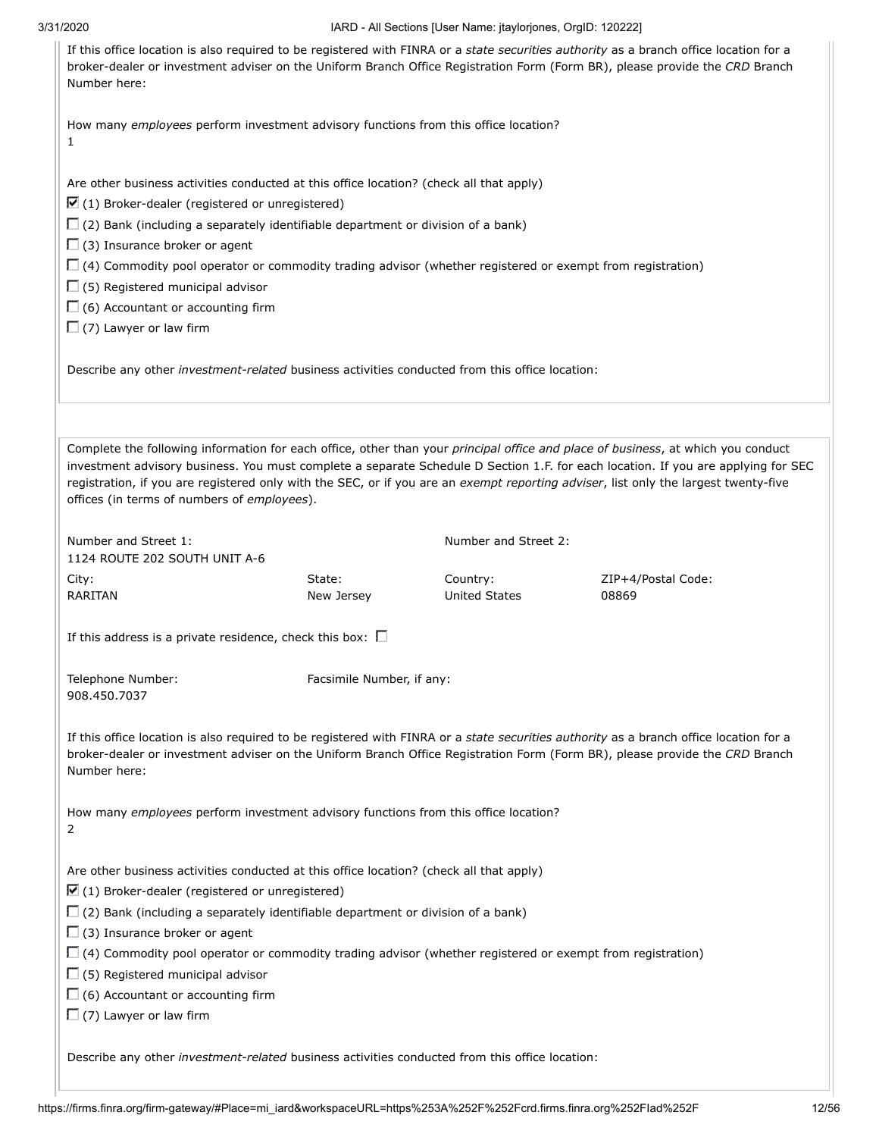| If this office location is also required to be registered with FINRA or a state securities authority as a branch office location for a<br>broker-dealer or investment adviser on the Uniform Branch Office Registration Form (Form BR), please provide the CRD Branch<br>Number here: |                                                                                         |                      |                                                                                                                                                                                                                                                                                                                                                                                                              |  |  |
|---------------------------------------------------------------------------------------------------------------------------------------------------------------------------------------------------------------------------------------------------------------------------------------|-----------------------------------------------------------------------------------------|----------------------|--------------------------------------------------------------------------------------------------------------------------------------------------------------------------------------------------------------------------------------------------------------------------------------------------------------------------------------------------------------------------------------------------------------|--|--|
| 1                                                                                                                                                                                                                                                                                     | How many employees perform investment advisory functions from this office location?     |                      |                                                                                                                                                                                                                                                                                                                                                                                                              |  |  |
| Are other business activities conducted at this office location? (check all that apply)                                                                                                                                                                                               |                                                                                         |                      |                                                                                                                                                                                                                                                                                                                                                                                                              |  |  |
| $\blacktriangleright$ (1) Broker-dealer (registered or unregistered)                                                                                                                                                                                                                  |                                                                                         |                      |                                                                                                                                                                                                                                                                                                                                                                                                              |  |  |
| $\Box$ (2) Bank (including a separately identifiable department or division of a bank)                                                                                                                                                                                                |                                                                                         |                      |                                                                                                                                                                                                                                                                                                                                                                                                              |  |  |
| $\Box$ (3) Insurance broker or agent                                                                                                                                                                                                                                                  |                                                                                         |                      |                                                                                                                                                                                                                                                                                                                                                                                                              |  |  |
| $\Box$ (4) Commodity pool operator or commodity trading advisor (whether registered or exempt from registration)                                                                                                                                                                      |                                                                                         |                      |                                                                                                                                                                                                                                                                                                                                                                                                              |  |  |
| $\Box$ (5) Registered municipal advisor                                                                                                                                                                                                                                               |                                                                                         |                      |                                                                                                                                                                                                                                                                                                                                                                                                              |  |  |
| $\Box$ (6) Accountant or accounting firm<br>$\Box$ (7) Lawyer or law firm                                                                                                                                                                                                             |                                                                                         |                      |                                                                                                                                                                                                                                                                                                                                                                                                              |  |  |
|                                                                                                                                                                                                                                                                                       |                                                                                         |                      |                                                                                                                                                                                                                                                                                                                                                                                                              |  |  |
| Describe any other <i>investment-related</i> business activities conducted from this office location:                                                                                                                                                                                 |                                                                                         |                      |                                                                                                                                                                                                                                                                                                                                                                                                              |  |  |
| offices (in terms of numbers of employees).                                                                                                                                                                                                                                           |                                                                                         |                      | Complete the following information for each office, other than your principal office and place of business, at which you conduct<br>investment advisory business. You must complete a separate Schedule D Section 1.F. for each location. If you are applying for SEC<br>registration, if you are registered only with the SEC, or if you are an exempt reporting adviser, list only the largest twenty-five |  |  |
| Number and Street 1:<br>1124 ROUTE 202 SOUTH UNIT A-6                                                                                                                                                                                                                                 |                                                                                         | Number and Street 2: |                                                                                                                                                                                                                                                                                                                                                                                                              |  |  |
| City:                                                                                                                                                                                                                                                                                 | State:                                                                                  | Country:             | ZIP+4/Postal Code:                                                                                                                                                                                                                                                                                                                                                                                           |  |  |
| <b>RARITAN</b>                                                                                                                                                                                                                                                                        | New Jersey                                                                              | <b>United States</b> | 08869                                                                                                                                                                                                                                                                                                                                                                                                        |  |  |
| If this address is a private residence, check this box: $\square$                                                                                                                                                                                                                     |                                                                                         |                      |                                                                                                                                                                                                                                                                                                                                                                                                              |  |  |
| Telephone Number:<br>908.450.7037                                                                                                                                                                                                                                                     | Facsimile Number, if any:                                                               |                      |                                                                                                                                                                                                                                                                                                                                                                                                              |  |  |
| Number here:                                                                                                                                                                                                                                                                          |                                                                                         |                      | If this office location is also required to be registered with FINRA or a state securities authority as a branch office location for a<br>broker-dealer or investment adviser on the Uniform Branch Office Registration Form (Form BR), please provide the CRD Branch                                                                                                                                        |  |  |
| How many employees perform investment advisory functions from this office location?<br>2                                                                                                                                                                                              |                                                                                         |                      |                                                                                                                                                                                                                                                                                                                                                                                                              |  |  |
|                                                                                                                                                                                                                                                                                       | Are other business activities conducted at this office location? (check all that apply) |                      |                                                                                                                                                                                                                                                                                                                                                                                                              |  |  |
| $\blacktriangledown$ (1) Broker-dealer (registered or unregistered)                                                                                                                                                                                                                   |                                                                                         |                      |                                                                                                                                                                                                                                                                                                                                                                                                              |  |  |
| $\Box$ (2) Bank (including a separately identifiable department or division of a bank)                                                                                                                                                                                                |                                                                                         |                      |                                                                                                                                                                                                                                                                                                                                                                                                              |  |  |
| $\Box$ (3) Insurance broker or agent                                                                                                                                                                                                                                                  |                                                                                         |                      |                                                                                                                                                                                                                                                                                                                                                                                                              |  |  |
| $\Box$ (4) Commodity pool operator or commodity trading advisor (whether registered or exempt from registration)                                                                                                                                                                      |                                                                                         |                      |                                                                                                                                                                                                                                                                                                                                                                                                              |  |  |
| $\Box$ (5) Registered municipal advisor                                                                                                                                                                                                                                               |                                                                                         |                      |                                                                                                                                                                                                                                                                                                                                                                                                              |  |  |
| $\Box$ (6) Accountant or accounting firm                                                                                                                                                                                                                                              |                                                                                         |                      |                                                                                                                                                                                                                                                                                                                                                                                                              |  |  |
| $\Box$ (7) Lawyer or law firm                                                                                                                                                                                                                                                         |                                                                                         |                      |                                                                                                                                                                                                                                                                                                                                                                                                              |  |  |
| Describe any other investment-related business activities conducted from this office location:                                                                                                                                                                                        |                                                                                         |                      |                                                                                                                                                                                                                                                                                                                                                                                                              |  |  |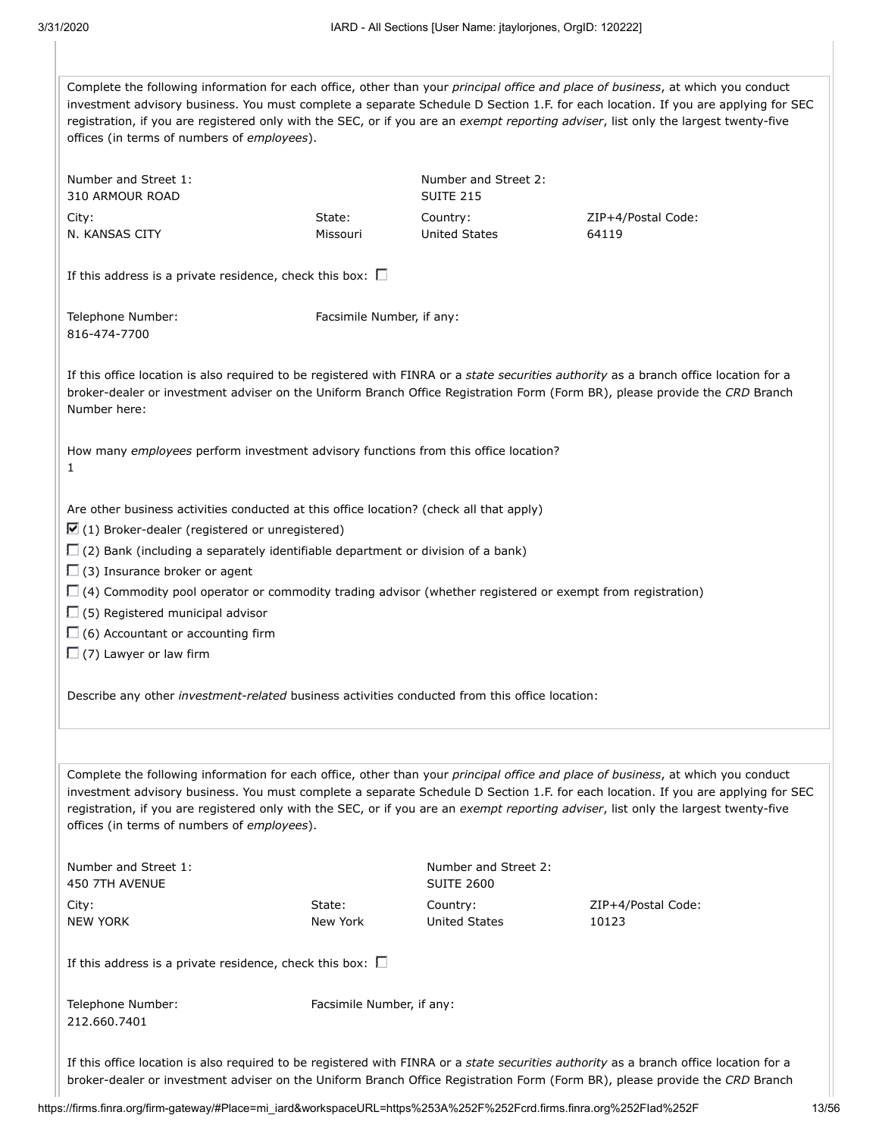Complete the following information for each office, other than your *principal office and place of business*, at which you conduct investment advisory business. You must complete a separate Schedule D Section 1.F. for each location. If you are applying for SEC registration, if you are registered only with the SEC, or if you are an *exempt reporting adviser*, list only the largest twenty-five offices (in terms of numbers of *employees*). Number and Street 1: 310 ARMOUR ROAD Number and Street 2: SUITE 215 City: N. KANSAS CITY State: Missouri Country: United States ZIP+4/Postal Code: 64119 If this address is a private residence, check this box:  $\Box$ Telephone Number: 816-474-7700 Facsimile Number, if any: If this office location is also required to be registered with FINRA or a *state securities authority* as a branch office location for a broker-dealer or investment adviser on the Uniform Branch Office Registration Form (Form BR), please provide the *CRD* Branch Number here: How many *employees* perform investment advisory functions from this office location? 1 Are other business activities conducted at this office location? (check all that apply)  $\triangledown$  (1) Broker-dealer (registered or unregistered)  $\square$  (2) Bank (including a separately identifiable department or division of a bank)  $\Box$  (3) Insurance broker or agent  $\Box$  (4) Commodity pool operator or commodity trading advisor (whether registered or exempt from registration)  $\Box$  (5) Registered municipal advisor  $\square$  (6) Accountant or accounting firm  $\Box$  (7) Lawyer or law firm Describe any other *investment-related* business activities conducted from this office location: Complete the following information for each office, other than your *principal office and place of business*, at which you conduct investment advisory business. You must complete a separate Schedule D Section 1.F. for each location. If you are applying for SEC registration, if you are registered only with the SEC, or if you are an *exempt reporting adviser*, list only the largest twenty-five offices (in terms of numbers of *employees*). Number and Street 1: 450 7TH AVENUE Number and Street 2: SUITE 2600 City: NEW YORK State: New York Country: United States ZIP+4/Postal Code: 10123 If this address is a private residence, check this box:  $\Box$ Telephone Number: 212.660.7401 Facsimile Number, if any: If this office location is also required to be registered with FINRA or a *state securities authority* as a branch office location for a broker-dealer or investment adviser on the Uniform Branch Office Registration Form (Form BR), please provide the *CRD* Branch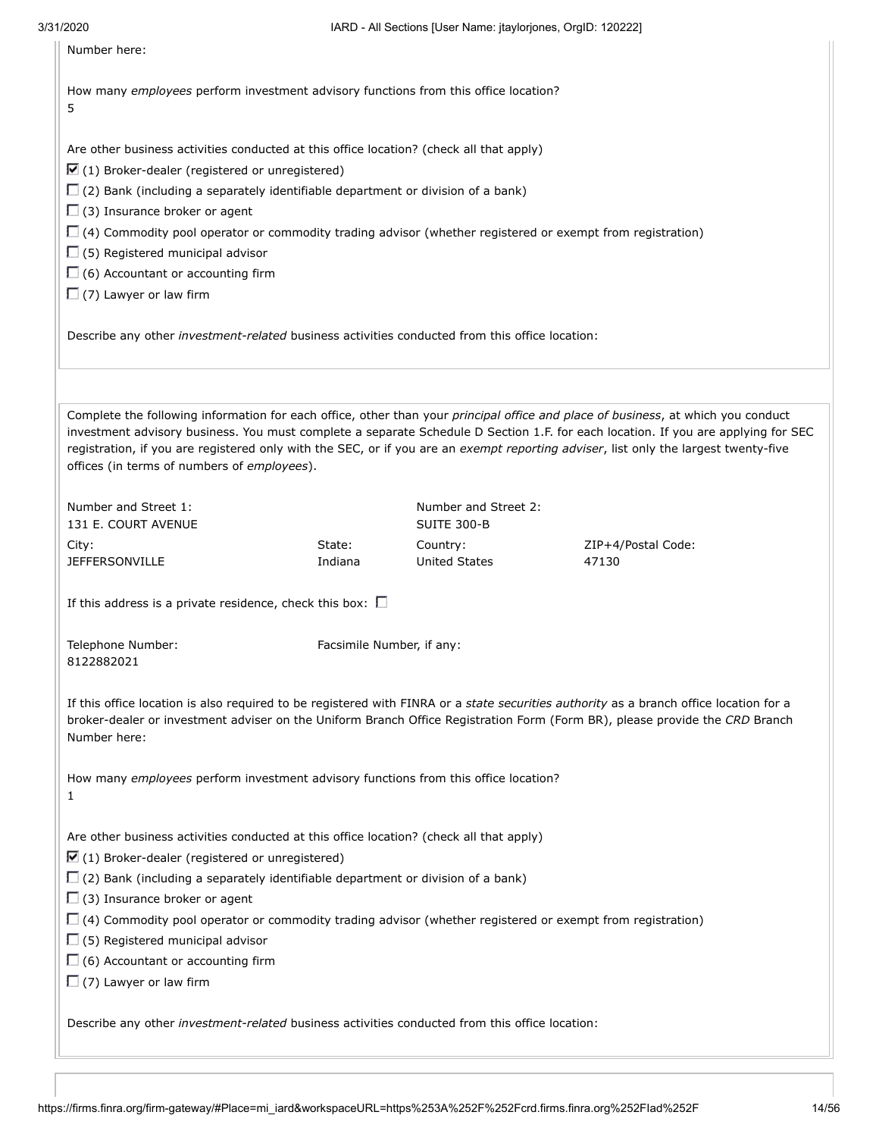| Number here:                                                                                                                                                                                                                                                                                                                                                                                                                                                |                           |                                            |                                                                                                                                                                                                                                                                       |  |
|-------------------------------------------------------------------------------------------------------------------------------------------------------------------------------------------------------------------------------------------------------------------------------------------------------------------------------------------------------------------------------------------------------------------------------------------------------------|---------------------------|--------------------------------------------|-----------------------------------------------------------------------------------------------------------------------------------------------------------------------------------------------------------------------------------------------------------------------|--|
| How many employees perform investment advisory functions from this office location?<br>5                                                                                                                                                                                                                                                                                                                                                                    |                           |                                            |                                                                                                                                                                                                                                                                       |  |
| Are other business activities conducted at this office location? (check all that apply)<br>$\blacktriangledown$ (1) Broker-dealer (registered or unregistered)<br>$\Box$ (2) Bank (including a separately identifiable department or division of a bank)                                                                                                                                                                                                    |                           |                                            |                                                                                                                                                                                                                                                                       |  |
| $\Box$ (3) Insurance broker or agent<br>$\Box$ (4) Commodity pool operator or commodity trading advisor (whether registered or exempt from registration)<br>$\Box$ (5) Registered municipal advisor                                                                                                                                                                                                                                                         |                           |                                            |                                                                                                                                                                                                                                                                       |  |
| $\Box$ (6) Accountant or accounting firm<br>$\Box$ (7) Lawyer or law firm                                                                                                                                                                                                                                                                                                                                                                                   |                           |                                            |                                                                                                                                                                                                                                                                       |  |
| Describe any other investment-related business activities conducted from this office location:                                                                                                                                                                                                                                                                                                                                                              |                           |                                            |                                                                                                                                                                                                                                                                       |  |
| Complete the following information for each office, other than your principal office and place of business, at which you conduct<br>investment advisory business. You must complete a separate Schedule D Section 1.F. for each location. If you are applying for SEC<br>registration, if you are registered only with the SEC, or if you are an exempt reporting adviser, list only the largest twenty-five<br>offices (in terms of numbers of employees). |                           |                                            |                                                                                                                                                                                                                                                                       |  |
| Number and Street 1:<br>131 E. COURT AVENUE                                                                                                                                                                                                                                                                                                                                                                                                                 |                           | Number and Street 2:<br><b>SUITE 300-B</b> |                                                                                                                                                                                                                                                                       |  |
| City:<br><b>JEFFERSONVILLE</b>                                                                                                                                                                                                                                                                                                                                                                                                                              | State:<br>Indiana         | Country:<br><b>United States</b>           | ZIP+4/Postal Code:<br>47130                                                                                                                                                                                                                                           |  |
| If this address is a private residence, check this box: $\square$                                                                                                                                                                                                                                                                                                                                                                                           |                           |                                            |                                                                                                                                                                                                                                                                       |  |
| Telephone Number:<br>8122882021                                                                                                                                                                                                                                                                                                                                                                                                                             | Facsimile Number, if any: |                                            |                                                                                                                                                                                                                                                                       |  |
| Number here:                                                                                                                                                                                                                                                                                                                                                                                                                                                |                           |                                            | If this office location is also required to be registered with FINRA or a state securities authority as a branch office location for a<br>broker-dealer or investment adviser on the Uniform Branch Office Registration Form (Form BR), please provide the CRD Branch |  |
| How many employees perform investment advisory functions from this office location?<br>1                                                                                                                                                                                                                                                                                                                                                                    |                           |                                            |                                                                                                                                                                                                                                                                       |  |
| Are other business activities conducted at this office location? (check all that apply)<br>$\triangledown$ (1) Broker-dealer (registered or unregistered)                                                                                                                                                                                                                                                                                                   |                           |                                            |                                                                                                                                                                                                                                                                       |  |
| $\Box$ (2) Bank (including a separately identifiable department or division of a bank)<br>$\Box$ (3) Insurance broker or agent                                                                                                                                                                                                                                                                                                                              |                           |                                            |                                                                                                                                                                                                                                                                       |  |
| $\Box$ (4) Commodity pool operator or commodity trading advisor (whether registered or exempt from registration)<br>$\Box$ (5) Registered municipal advisor<br>$\Box$ (6) Accountant or accounting firm                                                                                                                                                                                                                                                     |                           |                                            |                                                                                                                                                                                                                                                                       |  |
| $\Box$ (7) Lawyer or law firm                                                                                                                                                                                                                                                                                                                                                                                                                               |                           |                                            |                                                                                                                                                                                                                                                                       |  |
| Describe any other investment-related business activities conducted from this office location:                                                                                                                                                                                                                                                                                                                                                              |                           |                                            |                                                                                                                                                                                                                                                                       |  |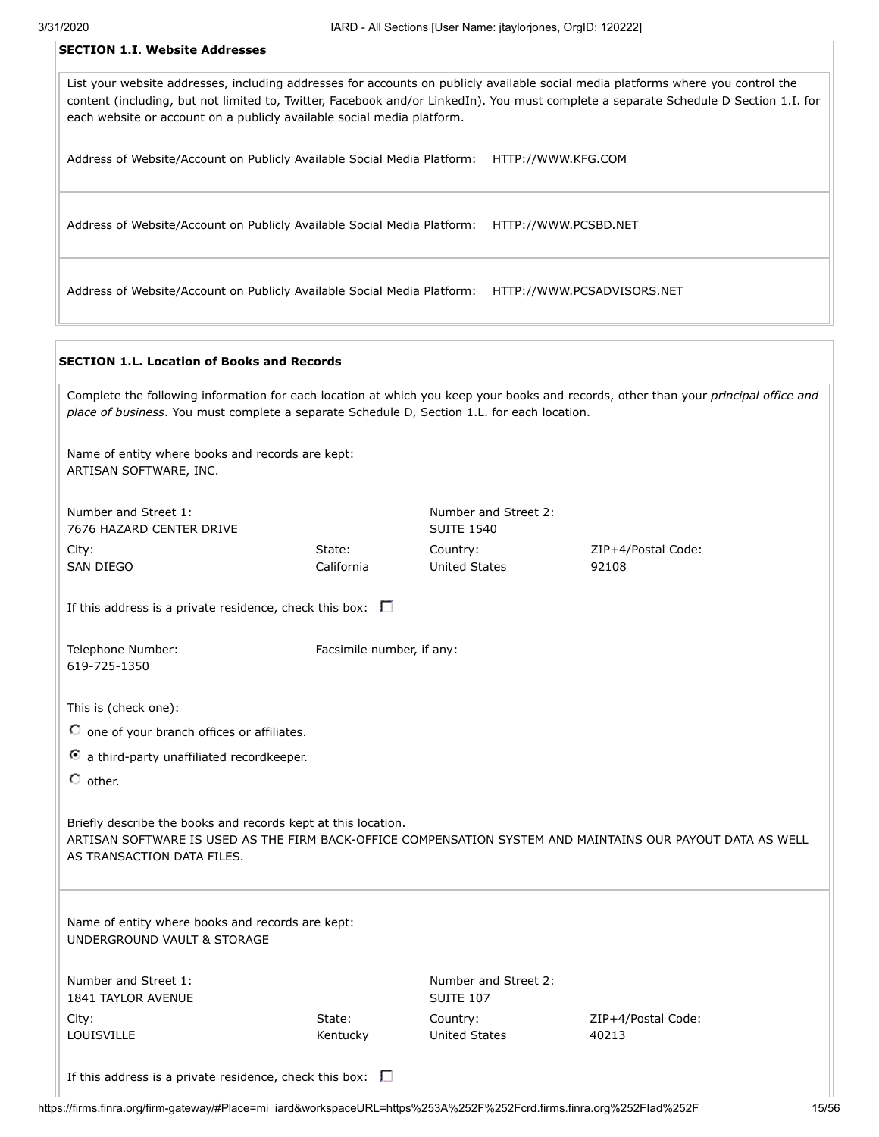| <b>SECTION 1.I. Website Addresses</b>                                                              |                           |                                           |                                                                                                                                                                                                                                                                          |
|----------------------------------------------------------------------------------------------------|---------------------------|-------------------------------------------|--------------------------------------------------------------------------------------------------------------------------------------------------------------------------------------------------------------------------------------------------------------------------|
| each website or account on a publicly available social media platform.                             |                           |                                           | List your website addresses, including addresses for accounts on publicly available social media platforms where you control the<br>content (including, but not limited to, Twitter, Facebook and/or LinkedIn). You must complete a separate Schedule D Section 1.I. for |
| Address of Website/Account on Publicly Available Social Media Platform: HTTP://WWW.KFG.COM         |                           |                                           |                                                                                                                                                                                                                                                                          |
| Address of Website/Account on Publicly Available Social Media Platform: HTTP://WWW.PCSBD.NET       |                           |                                           |                                                                                                                                                                                                                                                                          |
| Address of Website/Account on Publicly Available Social Media Platform: HTTP://WWW.PCSADVISORS.NET |                           |                                           |                                                                                                                                                                                                                                                                          |
| <b>SECTION 1.L. Location of Books and Records</b>                                                  |                           |                                           |                                                                                                                                                                                                                                                                          |
| place of business. You must complete a separate Schedule D, Section 1.L. for each location.        |                           |                                           | Complete the following information for each location at which you keep your books and records, other than your principal office and                                                                                                                                      |
| Name of entity where books and records are kept:<br>ARTISAN SOFTWARE, INC.                         |                           |                                           |                                                                                                                                                                                                                                                                          |
| Number and Street 1:<br>7676 HAZARD CENTER DRIVE                                                   |                           | Number and Street 2:<br><b>SUITE 1540</b> |                                                                                                                                                                                                                                                                          |
| City:<br><b>SAN DIEGO</b>                                                                          | State:<br>California      | Country:<br>United States                 | ZIP+4/Postal Code:<br>92108                                                                                                                                                                                                                                              |
| If this address is a private residence, check this box: $\square$                                  |                           |                                           |                                                                                                                                                                                                                                                                          |
| Telephone Number:<br>619-725-1350                                                                  | Facsimile number, if any: |                                           |                                                                                                                                                                                                                                                                          |
| This is (check one):                                                                               |                           |                                           |                                                                                                                                                                                                                                                                          |
| O one of your branch offices or affiliates.                                                        |                           |                                           |                                                                                                                                                                                                                                                                          |
| a third-party unaffiliated recordkeeper.                                                           |                           |                                           |                                                                                                                                                                                                                                                                          |
| $\circ$ other.                                                                                     |                           |                                           |                                                                                                                                                                                                                                                                          |
| Briefly describe the books and records kept at this location.<br>AS TRANSACTION DATA FILES.        |                           |                                           | ARTISAN SOFTWARE IS USED AS THE FIRM BACK-OFFICE COMPENSATION SYSTEM AND MAINTAINS OUR PAYOUT DATA AS WELL                                                                                                                                                               |
| Name of entity where books and records are kept:<br>UNDERGROUND VAULT & STORAGE                    |                           |                                           |                                                                                                                                                                                                                                                                          |
| Number and Street 1:<br>1841 TAYLOR AVENUE                                                         |                           | Number and Street 2:<br><b>SUITE 107</b>  |                                                                                                                                                                                                                                                                          |
| City:                                                                                              | State:                    | Country:                                  | ZIP+4/Postal Code:                                                                                                                                                                                                                                                       |
| LOUISVILLE                                                                                         | Kentucky                  | <b>United States</b>                      | 40213                                                                                                                                                                                                                                                                    |
| If this address is a private residence, check this box: $\square$                                  |                           |                                           |                                                                                                                                                                                                                                                                          |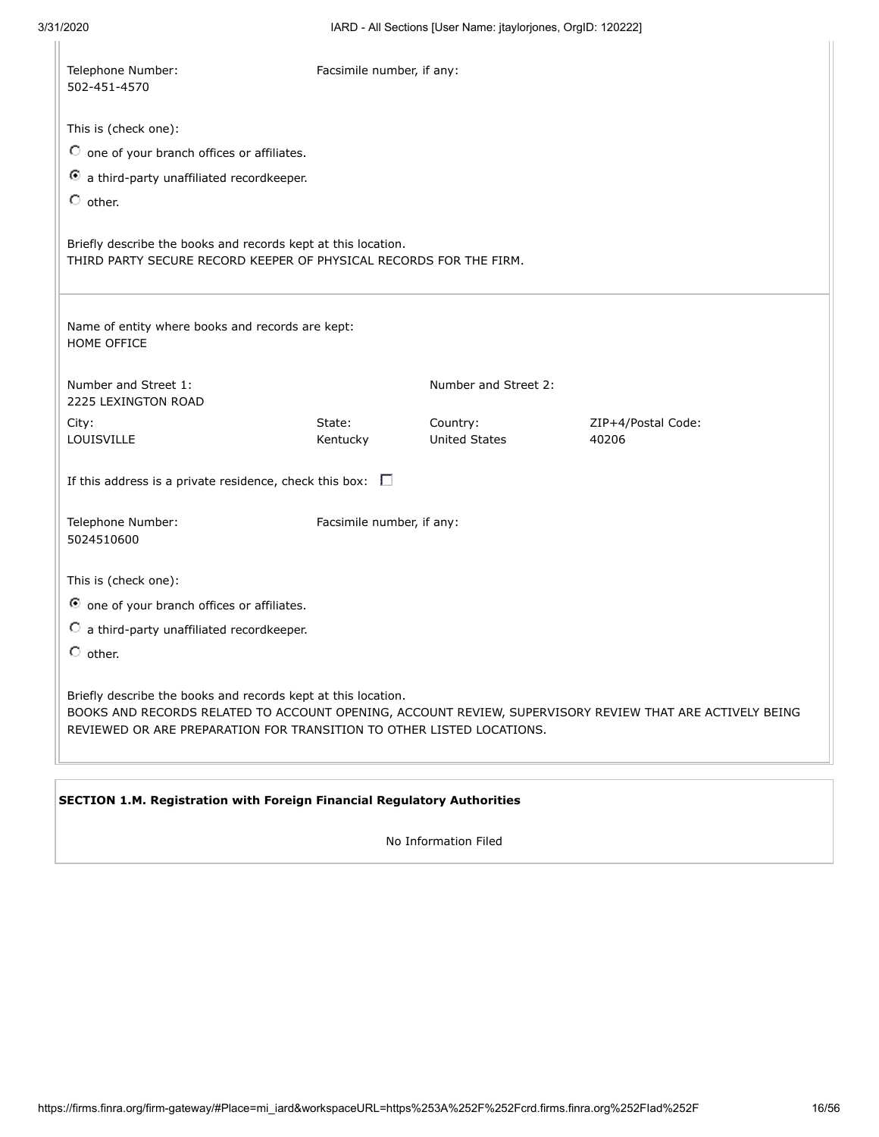| Telephone Number:<br>502-451-4570                                                                                                                                                                                                                  | Facsimile number, if any: |                      |                    |
|----------------------------------------------------------------------------------------------------------------------------------------------------------------------------------------------------------------------------------------------------|---------------------------|----------------------|--------------------|
| This is (check one):                                                                                                                                                                                                                               |                           |                      |                    |
| O one of your branch offices or affiliates.                                                                                                                                                                                                        |                           |                      |                    |
| a third-party unaffiliated recordkeeper.                                                                                                                                                                                                           |                           |                      |                    |
| $\circ$ other.                                                                                                                                                                                                                                     |                           |                      |                    |
| Briefly describe the books and records kept at this location.<br>THIRD PARTY SECURE RECORD KEEPER OF PHYSICAL RECORDS FOR THE FIRM.                                                                                                                |                           |                      |                    |
| Name of entity where books and records are kept:<br><b>HOME OFFICE</b>                                                                                                                                                                             |                           |                      |                    |
| Number and Street 1:<br>2225 LEXINGTON ROAD                                                                                                                                                                                                        |                           | Number and Street 2: |                    |
| City:                                                                                                                                                                                                                                              | State:                    | Country:             | ZIP+4/Postal Code: |
| LOUISVILLE                                                                                                                                                                                                                                         | Kentucky                  | <b>United States</b> | 40206              |
| If this address is a private residence, check this box: $\square$                                                                                                                                                                                  |                           |                      |                    |
| Telephone Number:<br>5024510600                                                                                                                                                                                                                    | Facsimile number, if any: |                      |                    |
| This is (check one):                                                                                                                                                                                                                               |                           |                      |                    |
| O one of your branch offices or affiliates.                                                                                                                                                                                                        |                           |                      |                    |
| $\circ$ a third-party unaffiliated recordkeeper.                                                                                                                                                                                                   |                           |                      |                    |
| $\circ$ other.                                                                                                                                                                                                                                     |                           |                      |                    |
| Briefly describe the books and records kept at this location.<br>BOOKS AND RECORDS RELATED TO ACCOUNT OPENING, ACCOUNT REVIEW, SUPERVISORY REVIEW THAT ARE ACTIVELY BEING<br>REVIEWED OR ARE PREPARATION FOR TRANSITION TO OTHER LISTED LOCATIONS. |                           |                      |                    |

# **SECTION 1.M. Registration with Foreign Financial Regulatory Authorities**

No Information Filed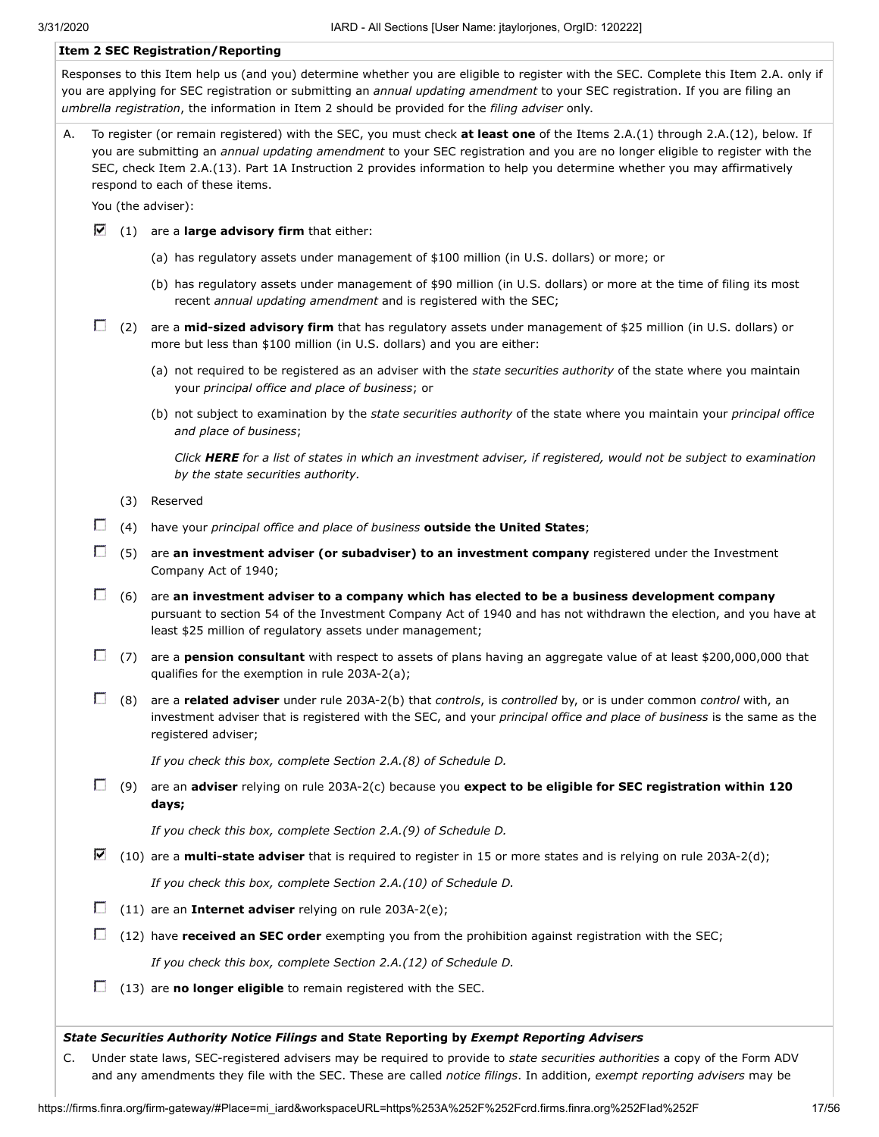### **Item 2 SEC Registration/Reporting**

Responses to this Item help us (and you) determine whether you are eligible to register with the SEC. Complete this Item 2.A. only if you are applying for SEC registration or submitting an *annual updating amendment* to your SEC registration. If you are filing an *umbrella registration*, the information in Item 2 should be provided for the *filing adviser* only.

| А. | To register (or remain registered) with the SEC, you must check at least one of the Items 2.A.(1) through 2.A.(12), below. If       |
|----|-------------------------------------------------------------------------------------------------------------------------------------|
|    | you are submitting an <i>annual updating amendment</i> to your SEC registration and you are no longer eligible to register with the |
|    | SEC, check Item 2.A.(13). Part 1A Instruction 2 provides information to help you determine whether you may affirmatively            |
|    | respond to each of these items.                                                                                                     |

You (the adviser):

- (1) are a **large advisory firm** that either:
	- (a) has regulatory assets under management of \$100 million (in U.S. dollars) or more; or
	- (b) has regulatory assets under management of \$90 million (in U.S. dollars) or more at the time of filing its most recent *annual updating amendment* and is registered with the SEC;
- (2) are a **mid-sized advisory firm** that has regulatory assets under management of \$25 million (in U.S. dollars) or more but less than \$100 million (in U.S. dollars) and you are either:
	- (a) not required to be registered as an adviser with the *state securities authority* of the state where you maintain your *principal office and place of business*; or
	- (b) not subject to examination by the *state securities authority* of the state where you maintain your *principal office and place of business*;

*Click HERE for a list of states in which an investment adviser, if registered, would not be subject to examination by the state securities authority.*

- (3) Reserved
- (4) have your *principal office and place of business* **outside the United States**;
- (5) are **an investment adviser (or subadviser) to an investment company** registered under the Investment Company Act of 1940;
- (6) are **an investment adviser to a company which has elected to be a business development company** pursuant to section 54 of the Investment Company Act of 1940 and has not withdrawn the election, and you have at least \$25 million of regulatory assets under management;
- (7) are a **pension consultant** with respect to assets of plans having an aggregate value of at least \$200,000,000 that qualifies for the exemption in rule 203A-2(a);
- (8) are a **related adviser** under rule 203A-2(b) that *controls*, is *controlled* by, or is under common *control* with, an investment adviser that is registered with the SEC, and your *principal office and place of business* is the same as the registered adviser;

*If you check this box, complete Section 2.A.(8) of Schedule D.*

(9) are an **adviser** relying on rule 203A-2(c) because you **expect to be eligible for SEC registration within 120 days;**

*If you check this box, complete Section 2.A.(9) of Schedule D.*

(10) are a **multi-state adviser** that is required to register in 15 or more states and is relying on rule 203A-2(d);

*If you check this box, complete Section 2.A.(10) of Schedule D.*

- (11) are an **Internet adviser** relying on rule 203A-2(e);
- (12) have **received an SEC order** exempting you from the prohibition against registration with the SEC;

*If you check this box, complete Section 2.A.(12) of Schedule D.*

(13) are **no longer eligible** to remain registered with the SEC.

## *State Securities Authority Notice Filings* **and State Reporting by** *Exempt Reporting Advisers*

C. Under state laws, SEC-registered advisers may be required to provide to *state securities authorities* a copy of the Form ADV and any amendments they file with the SEC. These are called *notice filings*. In addition, *exempt reporting advisers* may be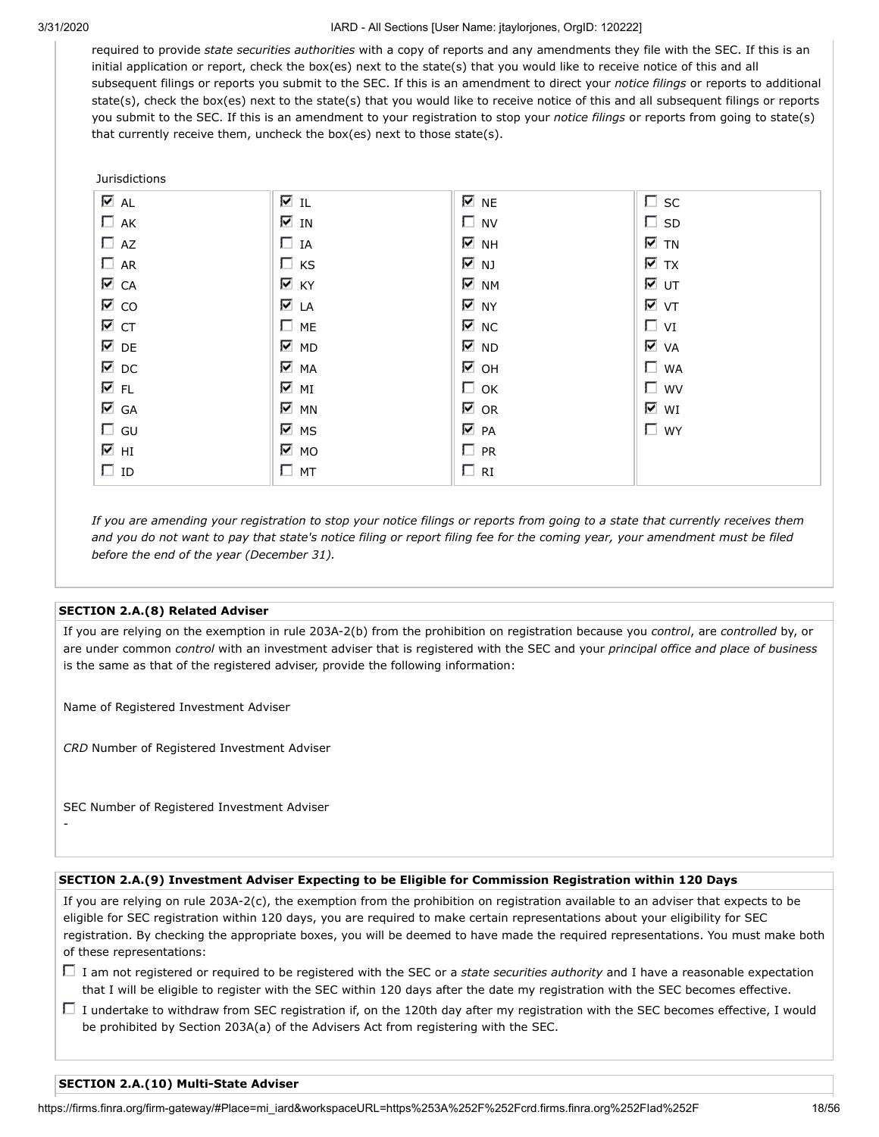required to provide *state securities authorities* with a copy of reports and any amendments they file with the SEC. If this is an initial application or report, check the box(es) next to the state(s) that you would like to receive notice of this and all subsequent filings or reports you submit to the SEC. If this is an amendment to direct your *notice filings* or reports to additional state(s), check the box(es) next to the state(s) that you would like to receive notice of this and all subsequent filings or reports you submit to the SEC. If this is an amendment to your registration to stop your *notice filings* or reports from going to state(s) that currently receive them, uncheck the box(es) next to those state(s).

| <b>Jurisdictions</b>          |                               |                               |                               |
|-------------------------------|-------------------------------|-------------------------------|-------------------------------|
| $\overline{\triangledown}$ al | ⊽ il                          | $\nabla$ NE                   | $\square$ sc                  |
| $\Box$ AK                     | $\overline{M}$ IN             | $\square$ NV                  | $\square$ SD                  |
| $\Box$ AZ                     | $\Box$ IA                     | $\overline{\triangledown}$ NH | $\overline{M}$ TN             |
| $\Box$ AR                     | $\Box$ KS                     | V NJ                          | $\overline{\triangledown}$ TX |
| $\overline{V}$ CA             | $\overline{M}$ KY             | $\overline{\triangledown}$ NM | ⊽ ∪T                          |
| $\triangledown$ co            | <b>⊽</b> LA                   | $\overline{\triangledown}$ NY | ⊽ ∨⊤                          |
| $\nabla$ CT                   | $\Box$ ME                     | $\triangledown$ NC            | $\Box$ vi                     |
| $\triangledown$ DE            | $\triangledown$ MD            | $\overline{\triangledown}$ ND | $\triangledown$ VA            |
| $\nabla$ DC                   | $\overline{\triangledown}$ MA | ∣⊌ ⊽                          | $\Box$ WA                     |
| 1⊽ FL                         | $\overline{\triangledown}$ MI | $\Box$ OK                     | $\Box$ wv                     |
| $\overline{M}$ GA             | $\triangledown$ MN            | $\overline{M}$ OR             | $\overline{\triangledown}$ wi |
| $\Box$ GU                     | $\overline{\triangledown}$ MS | $\overline{V}$ PA             | $\Box$ WY                     |
| ⊽ нг                          | $\overline{M}$ MO             | $\Box$ PR                     |                               |
| $\square$ ID                  | $\square$ MT                  | $\Box$ RI                     |                               |

*If you are amending your registration to stop your notice filings or reports from going to a state that currently receives them and you do not want to pay that state's notice filing or report filing fee for the coming year, your amendment must be filed before the end of the year (December 31).*

## **SECTION 2.A.(8) Related Adviser**

If you are relying on the exemption in rule 203A-2(b) from the prohibition on registration because you *control*, are *controlled* by, or are under common *control* with an investment adviser that is registered with the SEC and your *principal office and place of business* is the same as that of the registered adviser, provide the following information:

Name of Registered Investment Adviser

*CRD* Number of Registered Investment Adviser

SEC Number of Registered Investment Adviser

-

## **SECTION 2.A.(9) Investment Adviser Expecting to be Eligible for Commission Registration within 120 Days**

If you are relying on rule 203A-2(c), the exemption from the prohibition on registration available to an adviser that expects to be eligible for SEC registration within 120 days, you are required to make certain representations about your eligibility for SEC registration. By checking the appropriate boxes, you will be deemed to have made the required representations. You must make both of these representations:

- I am not registered or required to be registered with the SEC or a *state securities authority* and I have a reasonable expectation that I will be eligible to register with the SEC within 120 days after the date my registration with the SEC becomes effective.
- $\Box$  I undertake to withdraw from SEC registration if, on the 120th day after my registration with the SEC becomes effective, I would be prohibited by Section 203A(a) of the Advisers Act from registering with the SEC.

## **SECTION 2.A.(10) Multi-State Adviser**

https://firms.finra.org/firm-gateway/#Place=mi\_iard&workspaceURL=https%253A%252F%252Fcrd.firms.finra.org%252FIad%252F 18/56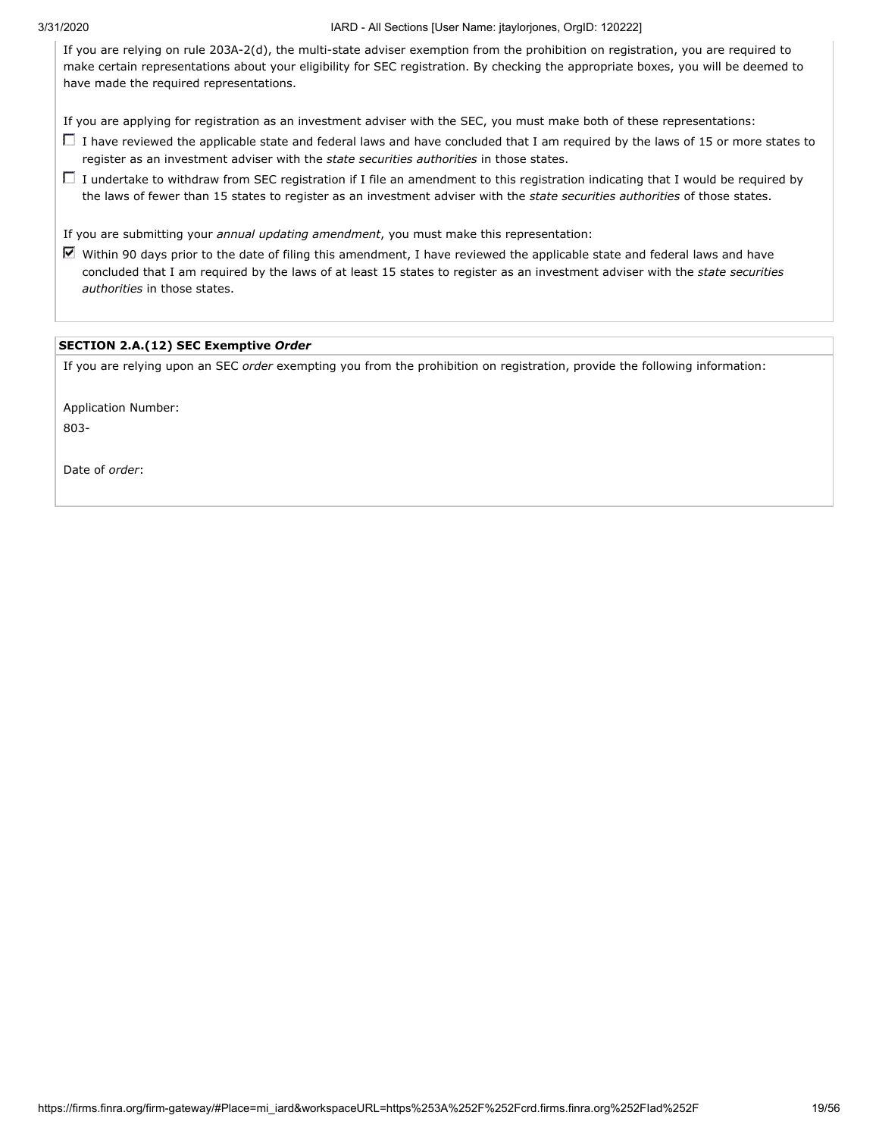If you are relying on rule 203A-2(d), the multi-state adviser exemption from the prohibition on registration, you are required to make certain representations about your eligibility for SEC registration. By checking the appropriate boxes, you will be deemed to have made the required representations.

If you are applying for registration as an investment adviser with the SEC, you must make both of these representations:

- $\Box$  I have reviewed the applicable state and federal laws and have concluded that I am required by the laws of 15 or more states to register as an investment adviser with the *state securities authorities* in those states.
- $\Box$  I undertake to withdraw from SEC registration if I file an amendment to this registration indicating that I would be required by the laws of fewer than 15 states to register as an investment adviser with the *state securities authorities* of those states.

If you are submitting your *annual updating amendment*, you must make this representation:

 $\blacksquare$  Within 90 days prior to the date of filing this amendment, I have reviewed the applicable state and federal laws and have concluded that I am required by the laws of at least 15 states to register as an investment adviser with the *state securities authorities* in those states.

# **SECTION 2.A.(12) SEC Exemptive** *Order*

If you are relying upon an SEC *order* exempting you from the prohibition on registration, provide the following information:

Application Number:

803-

Date of *order*: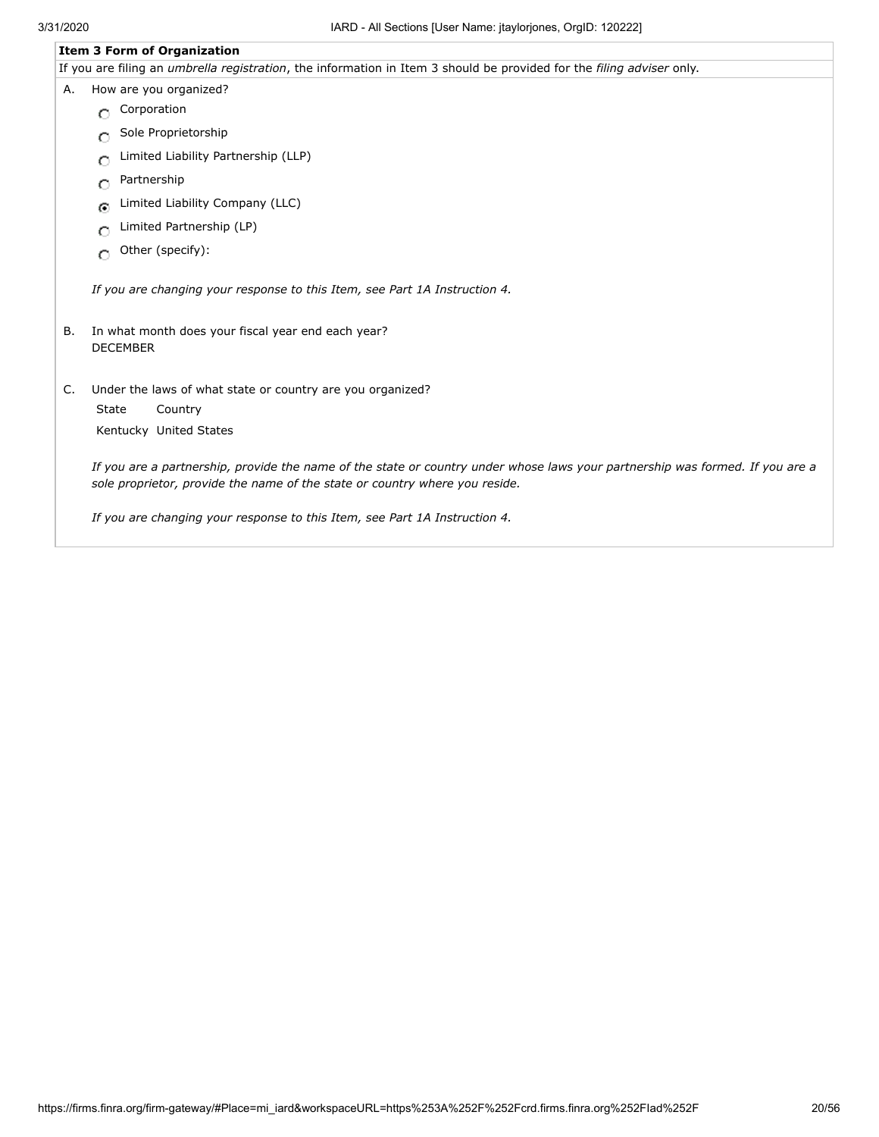## **Item 3 Form of Organization**

If you are filing an *umbrella registration*, the information in Item 3 should be provided for the *filing adviser* only.

- A. How are you organized?
	- C Corporation
	- **Sole Proprietorship**
	- C Limited Liability Partnership (LLP)
	- Partnership
	- Limited Liability Company (LLC)  $\odot$
	- Limited Partnership (LP)  $\circ$
	- $\bigcirc$  Other (specify):

*If you are changing your response to this Item, see Part 1A Instruction 4.*

- B. In what month does your fiscal year end each year? DECEMBER
- C. Under the laws of what state or country are you organized?

State Country Kentucky United States

*If you are a partnership, provide the name of the state or country under whose laws your partnership was formed. If you are a sole proprietor, provide the name of the state or country where you reside.* 

*If you are changing your response to this Item, see Part 1A Instruction 4.*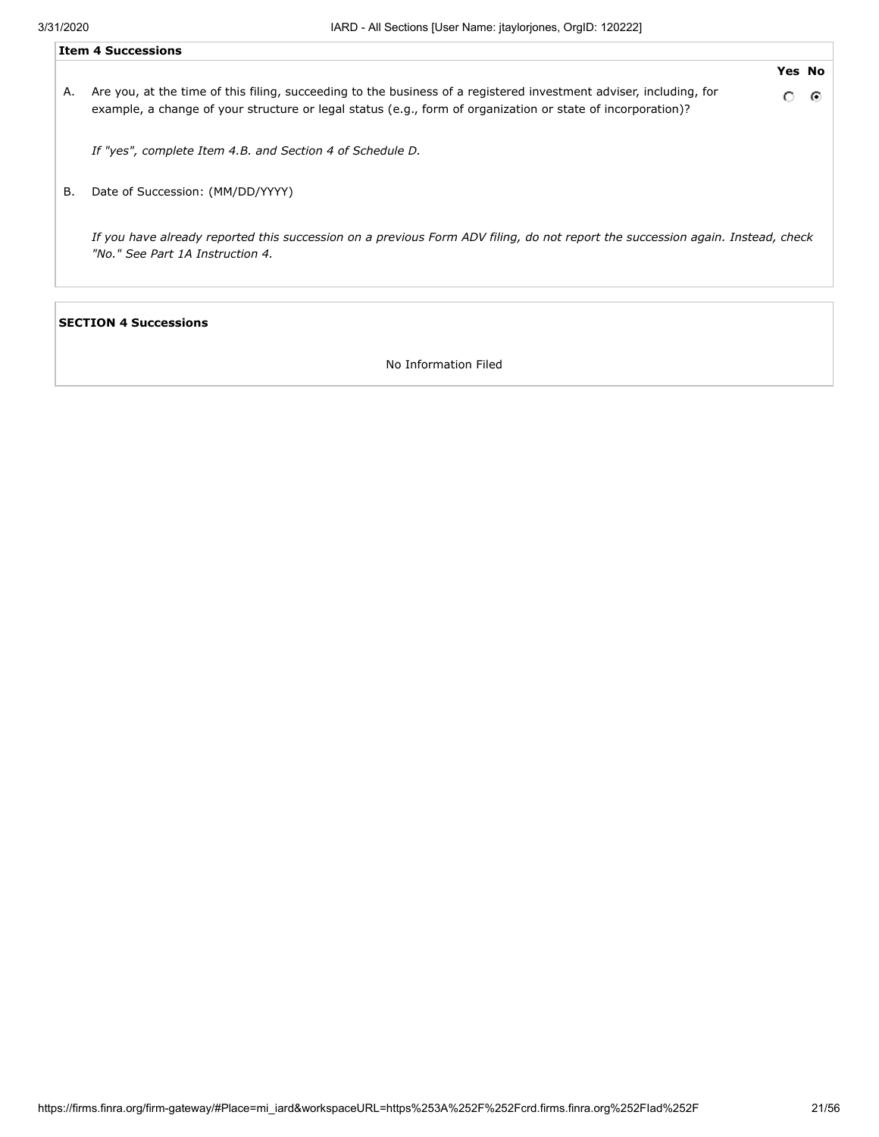**SECTION 4 Successions**

|    | <b>Item 4 Successions</b>                                                                                                                                                                                                         |               |
|----|-----------------------------------------------------------------------------------------------------------------------------------------------------------------------------------------------------------------------------------|---------------|
|    |                                                                                                                                                                                                                                   | <b>Yes No</b> |
| А. | Are you, at the time of this filing, succeeding to the business of a registered investment adviser, including, for<br>example, a change of your structure or legal status (e.g., form of organization or state of incorporation)? | O<br>⊙        |
|    | If "yes", complete Item 4.B. and Section 4 of Schedule D.                                                                                                                                                                         |               |
| В. | Date of Succession: (MM/DD/YYYY)                                                                                                                                                                                                  |               |
|    | If you have already reported this succession on a previous Form ADV filing, do not report the succession again. Instead, check<br>"No." See Part 1A Instruction 4.                                                                |               |
|    |                                                                                                                                                                                                                                   |               |
|    |                                                                                                                                                                                                                                   |               |

No Information Filed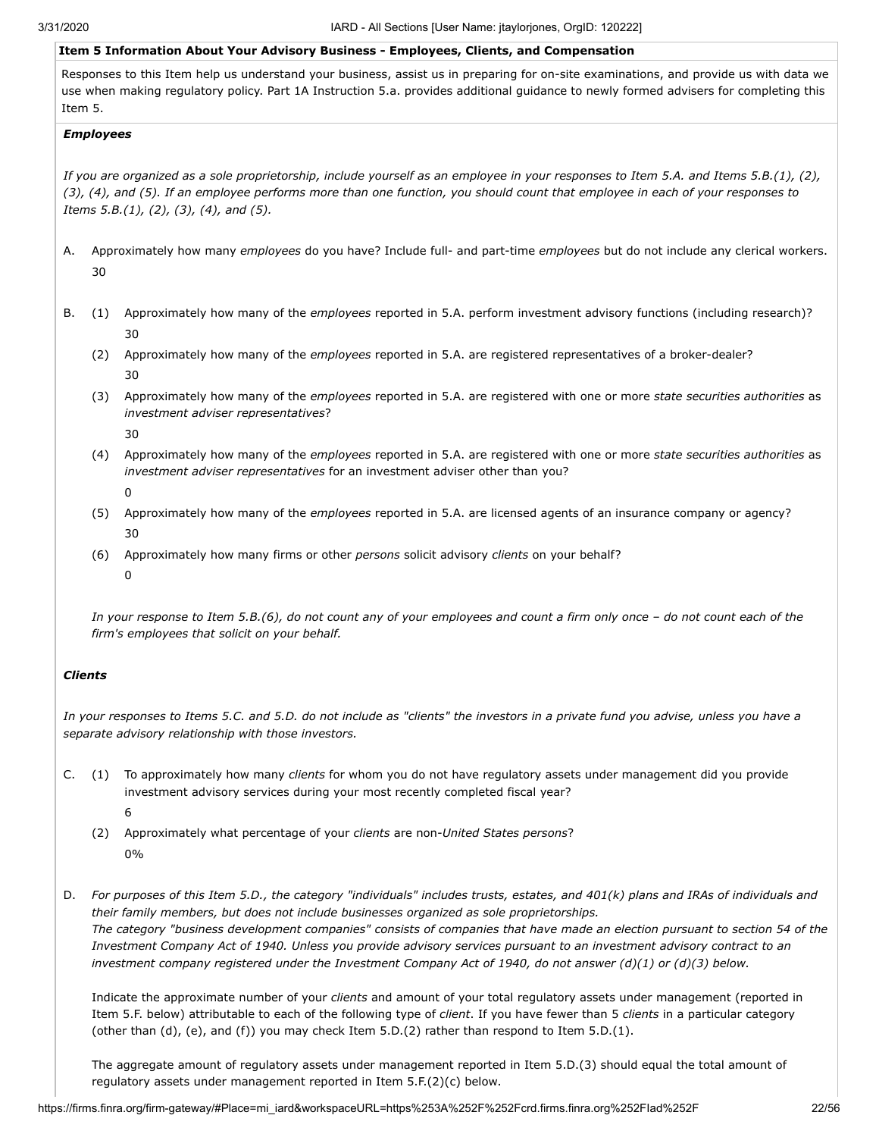## **Item 5 Information About Your Advisory Business - Employees, Clients, and Compensation**

Responses to this Item help us understand your business, assist us in preparing for on-site examinations, and provide us with data we use when making regulatory policy. Part 1A Instruction 5.a. provides additional guidance to newly formed advisers for completing this Item 5.

# *Employees*

*If you are organized as a sole proprietorship, include yourself as an employee in your responses to Item 5.A. and Items 5.B.(1), (2), (3), (4), and (5). If an employee performs more than one function, you should count that employee in each of your responses to Items 5.B.(1), (2), (3), (4), and (5).*

- A. Approximately how many *employees* do you have? Include full- and part-time *employees* but do not include any clerical workers. 30
- B. (1) Approximately how many of the *employees* reported in 5.A. perform investment advisory functions (including research)? 30
	- (2) Approximately how many of the *employees* reported in 5.A. are registered representatives of a broker-dealer? 30
	- (3) Approximately how many of the *employees* reported in 5.A. are registered with one or more *state securities authorities* as *investment adviser representatives*?

30

- (4) Approximately how many of the *employees* reported in 5.A. are registered with one or more *state securities authorities* as *investment adviser representatives* for an investment adviser other than you?
	- 0
- (5) Approximately how many of the *employees* reported in 5.A. are licensed agents of an insurance company or agency? 30
- (6) Approximately how many firms or other *persons* solicit advisory *clients* on your behalf? 0

*In your response to Item 5.B.(6), do not count any of your employees and count a firm only once – do not count each of the firm's employees that solicit on your behalf.*

## *Clients*

*In your responses to Items 5.C. and 5.D. do not include as "clients" the investors in a private fund you advise, unless you have a separate advisory relationship with those investors.*

- C. (1) To approximately how many *clients* for whom you do not have regulatory assets under management did you provide investment advisory services during your most recently completed fiscal year?
	- 6 (2) Approximately what percentage of your *clients* are non-*United States persons*?
		- 0%
- D. *For purposes of this Item 5.D., the category "individuals" includes trusts, estates, and 401(k) plans and IRAs of individuals and their family members, but does not include businesses organized as sole proprietorships. The category "business development companies" consists of companies that have made an election pursuant to section 54 of the Investment Company Act of 1940. Unless you provide advisory services pursuant to an investment advisory contract to an investment company registered under the Investment Company Act of 1940, do not answer (d)(1) or (d)(3) below.*

Indicate the approximate number of your *clients* and amount of your total regulatory assets under management (reported in Item 5.F. below) attributable to each of the following type of *client*. If you have fewer than 5 *clients* in a particular category (other than  $(d)$ ,  $(e)$ , and  $(f)$ ) you may check Item 5.D.(2) rather than respond to Item 5.D.(1).

The aggregate amount of regulatory assets under management reported in Item 5.D.(3) should equal the total amount of regulatory assets under management reported in Item 5.F.(2)(c) below.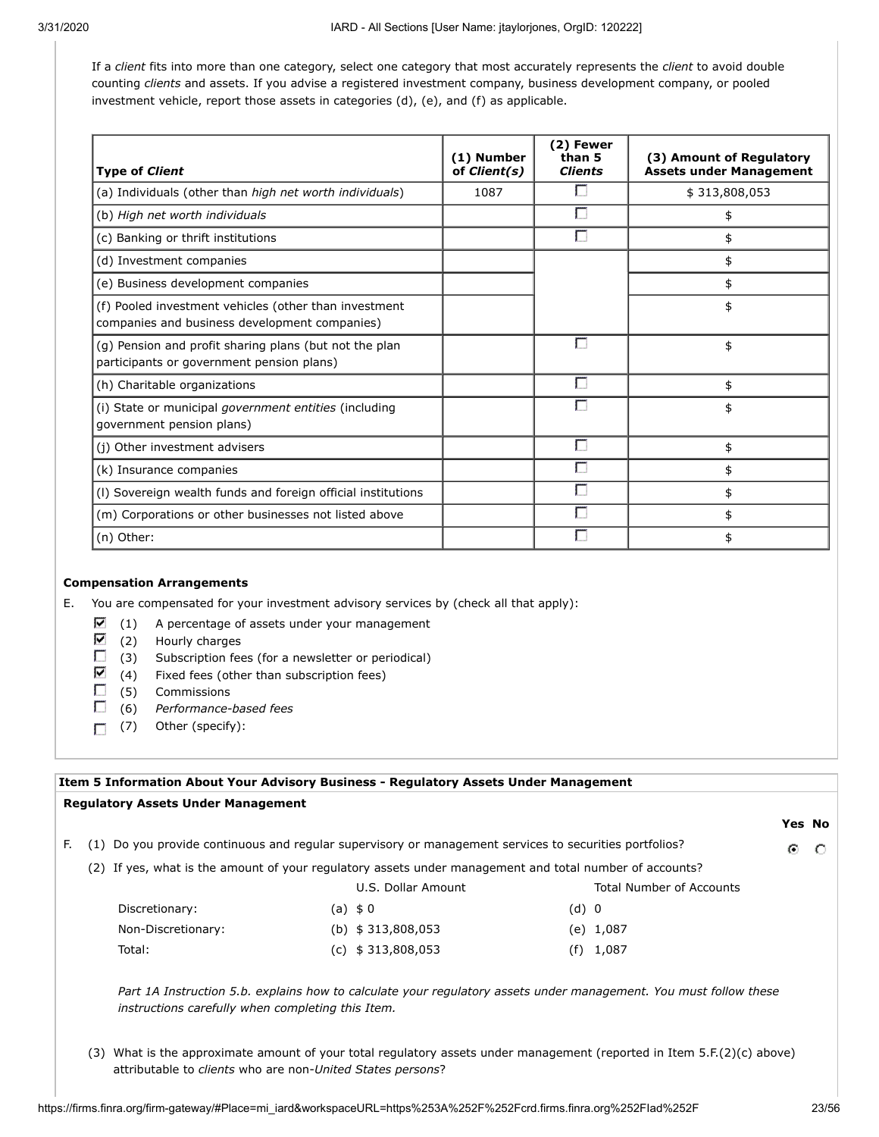If a *client* fits into more than one category, select one category that most accurately represents the *client* to avoid double counting *clients* and assets. If you advise a registered investment company, business development company, or pooled investment vehicle, report those assets in categories (d), (e), and (f) as applicable.

| <b>Type of Client</b>                                                                                  | (1) Number<br>of Client(s) | (2) Fewer<br>than 5<br><b>Clients</b> | (3) Amount of Regulatory<br><b>Assets under Management</b> |
|--------------------------------------------------------------------------------------------------------|----------------------------|---------------------------------------|------------------------------------------------------------|
| (a) Individuals (other than high net worth individuals)                                                | 1087                       |                                       | \$313,808,053                                              |
| (b) High net worth individuals                                                                         |                            |                                       | \$                                                         |
| (c) Banking or thrift institutions                                                                     |                            |                                       | \$                                                         |
| (d) Investment companies                                                                               |                            |                                       | \$                                                         |
| (e) Business development companies                                                                     |                            |                                       | \$                                                         |
| (f) Pooled investment vehicles (other than investment<br>companies and business development companies) |                            |                                       | \$                                                         |
| (g) Pension and profit sharing plans (but not the plan<br>participants or government pension plans)    |                            | г                                     | \$                                                         |
| (h) Charitable organizations                                                                           |                            |                                       | \$                                                         |
| (i) State or municipal <i>government entities</i> (including<br>government pension plans)              |                            |                                       | \$                                                         |
| (j) Other investment advisers                                                                          |                            | г                                     | \$                                                         |
| (k) Insurance companies                                                                                |                            |                                       | \$                                                         |
| (I) Sovereign wealth funds and foreign official institutions                                           |                            |                                       | \$                                                         |
| (m) Corporations or other businesses not listed above                                                  |                            |                                       | \$                                                         |
| (n) Other:                                                                                             |                            |                                       | \$                                                         |

## **Compensation Arrangements**

E. You are compensated for your investment advisory services by (check all that apply):

 $\triangledown$  (1) A percentage of assets under your management

- $\triangledown$  (2) Hourly charges
- $\Box$ (3) Subscription fees (for a newsletter or periodical)
- ☑ (4) Fixed fees (other than subscription fees)
- D. (5) Commissions
- $\Box$ (6) *Performance-based fees*
- (7) Other (specify):

# **Item 5 Information About Your Advisory Business - Regulatory Assets Under Management Regulatory Assets Under Management**

| F. |                                                   | (1) Do you provide continuous and regular supervisory or management services to securities portfolios?<br>(2) If yes, what is the amount of your regulatory assets under management and total number of accounts? |                                 | ⊙. | - 0 |
|----|---------------------------------------------------|-------------------------------------------------------------------------------------------------------------------------------------------------------------------------------------------------------------------|---------------------------------|----|-----|
|    |                                                   | U.S. Dollar Amount                                                                                                                                                                                                | <b>Total Number of Accounts</b> |    |     |
|    | Discretionary:                                    | (a) \$0                                                                                                                                                                                                           | $(d)$ 0                         |    |     |
|    | Non-Discretionary:                                | (b) $$313,808,053$                                                                                                                                                                                                | (e) 1,087                       |    |     |
|    | Total:                                            | $(c)$ \$ 313,808,053                                                                                                                                                                                              | 1,087<br>(f)                    |    |     |
|    | instructions carefully when completing this Item. | Part 1A Instruction 5.b. explains how to calculate your regulatory assets under management. You must follow these                                                                                                 |                                 |    |     |

(3) What is the approximate amount of your total regulatory assets under management (reported in Item 5.F.(2)(c) above) attributable to *clients* who are non-*United States persons*?

**Yes No**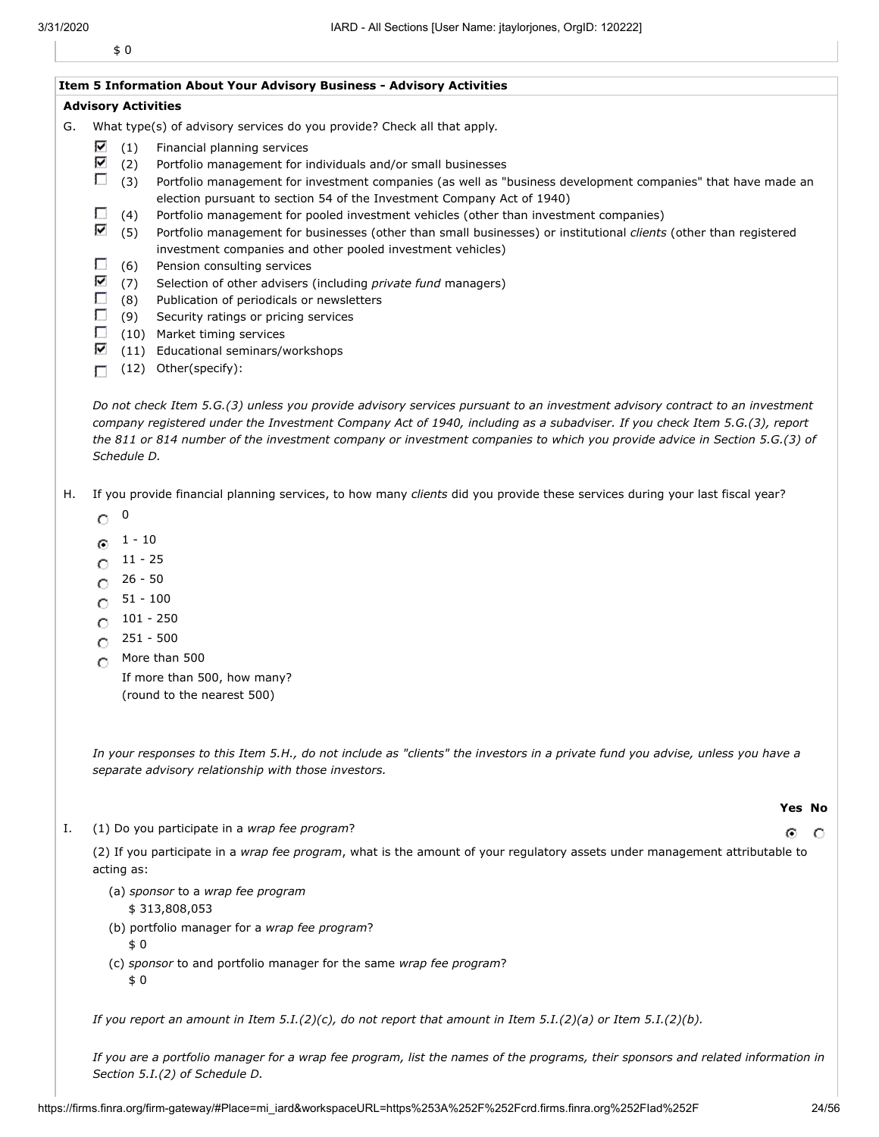\$ 0

## **Item 5 Information About Your Advisory Business - Advisory Activities**

## **Advisory Activities**

- G. What type(s) of advisory services do you provide? Check all that apply.
	- $\triangledown$  (1) Financial planning services
	- ▽ (2) Portfolio management for individuals and/or small businesses
	- П (3) Portfolio management for investment companies (as well as "business development companies" that have made an election pursuant to section 54 of the Investment Company Act of 1940)
	- П (4) Portfolio management for pooled investment vehicles (other than investment companies)
	- ☑ (5) Portfolio management for businesses (other than small businesses) or institutional *clients* (other than registered investment companies and other pooled investment vehicles)
	- П (6) Pension consulting services
	- ⊽ (7) Selection of other advisers (including *private fund* managers)
	- п (8) Publication of periodicals or newsletters
	- $\Box$  (9) Security ratings or pricing services
	- $\Box$ (10) Market timing services
	- $\blacksquare$  (11) Educational seminars/workshops
	- (12) Other(specify):

*Do not check Item 5.G.(3) unless you provide advisory services pursuant to an investment advisory contract to an investment company registered under the Investment Company Act of 1940, including as a subadviser. If you check Item 5.G.(3), report the 811 or 814 number of the investment company or investment companies to which you provide advice in Section 5.G.(3) of Schedule D.* 

- H. If you provide financial planning services, to how many *clients* did you provide these services during your last fiscal year?
	- 0  $\circ$
	- $\odot$  1 10
	- 11 25  $\circ$
	- 26 50  $\circ$
	- 51 100  $\circ$
	- 101 250 O
	- 251 500 O.
	- More than 500 O

If more than 500, how many? (round to the nearest 500)

*In your responses to this Item 5.H., do not include as "clients" the investors in a private fund you advise, unless you have a separate advisory relationship with those investors.* 

I. (1) Do you participate in a *wrap fee program*?

(2) If you participate in a *wrap fee program*, what is the amount of your regulatory assets under management attributable to

acting as:

- (a) *sponsor* to a *wrap fee program* \$ 313,808,053
- (b) portfolio manager for a *wrap fee program*?
	- \$ 0
- (c) *sponsor* to and portfolio manager for the same *wrap fee program*? \$ 0

*If you report an amount in Item 5.I.(2)(c), do not report that amount in Item 5.I.(2)(a) or Item 5.I.(2)(b).* 

*If you are a portfolio manager for a wrap fee program, list the names of the programs, their sponsors and related information in Section 5.I.(2) of Schedule D.* 

## **Yes No**

### Θ  $\circ$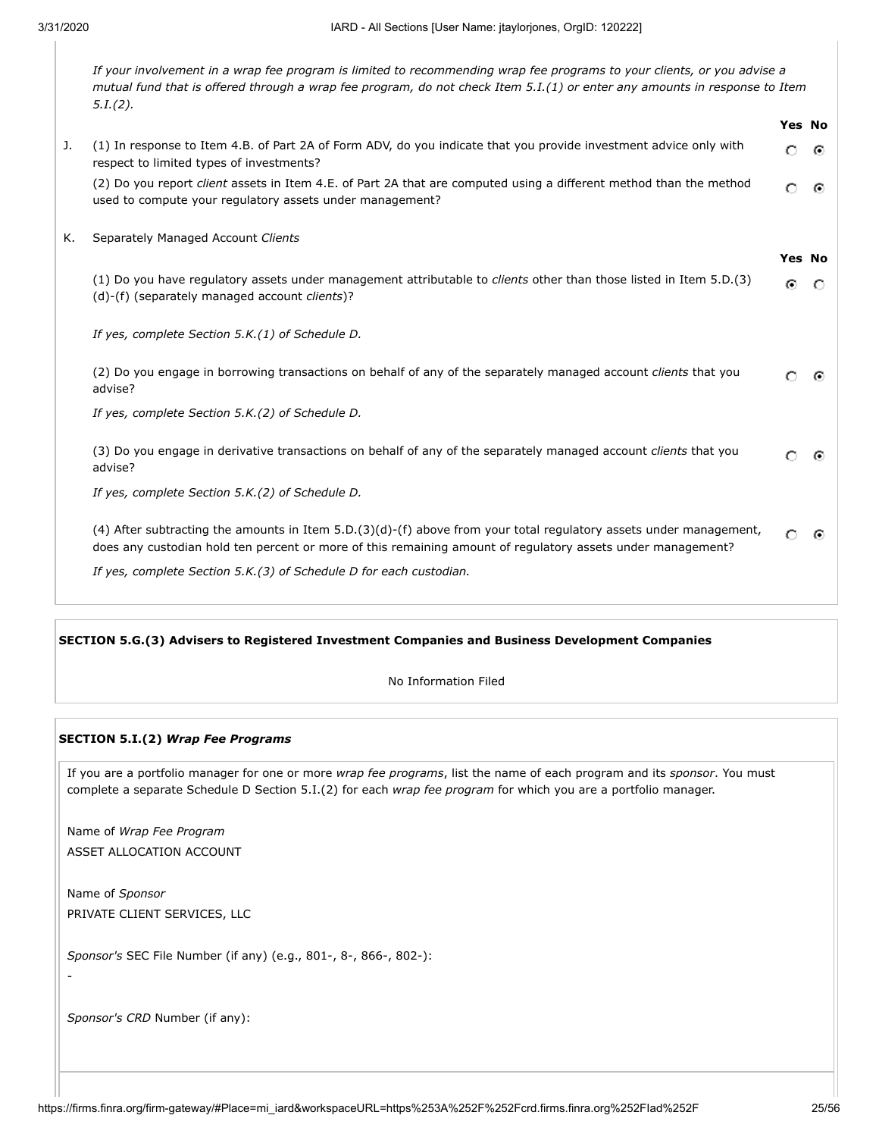| If your involvement in a wrap fee program is limited to recommending wrap fee programs to your clients, or you advise a    |
|----------------------------------------------------------------------------------------------------------------------------|
| mutual fund that is offered through a wrap fee program, do not check Item 5.I.(1) or enter any amounts in response to Item |
| $5.1(2)$ .                                                                                                                 |

| J. | (1) In response to Item 4.B. of Part 2A of Form ADV, do you indicate that you provide investment advice only with<br>respect to limited types of investments?<br>(2) Do you report <i>client</i> assets in Item 4.E. of Part 2A that are computed using a different method than the method<br>used to compute your regulatory assets under management? |               | ⊙<br>O |
|----|--------------------------------------------------------------------------------------------------------------------------------------------------------------------------------------------------------------------------------------------------------------------------------------------------------------------------------------------------------|---------------|--------|
| К. | Separately Managed Account Clients                                                                                                                                                                                                                                                                                                                     | <b>Yes No</b> |        |
|    | (1) Do you have regulatory assets under management attributable to <i>clients</i> other than those listed in Item 5.D.(3)                                                                                                                                                                                                                              |               |        |

*If yes, complete Section 5.K.(1) of Schedule D.*

(d)-(f) (separately managed account *clients*)?

(2) Do you engage in borrowing transactions on behalf of any of the separately managed account *clients* that you  $\circ$  $\odot$ advise?

*If yes, complete Section 5.K.(2) of Schedule D.*

(3) Do you engage in derivative transactions on behalf of any of the separately managed account *clients* that you ◠  $\odot$ advise?

*If yes, complete Section 5.K.(2) of Schedule D.*

(4) After subtracting the amounts in Item 5.D.(3)(d)-(f) above from your total regulatory assets under management, O  $\odot$ does any custodian hold ten percent or more of this remaining amount of regulatory assets under management?

*If yes, complete Section 5.K.(3) of Schedule D for each custodian.*

## **SECTION 5.G.(3) Advisers to Registered Investment Companies and Business Development Companies**

No Information Filed

## **SECTION 5.I.(2)** *Wrap Fee Programs*

If you are a portfolio manager for one or more *wrap fee programs*, list the name of each program and its *sponsor*. You must complete a separate Schedule D Section 5.I.(2) for each *wrap fee program* for which you are a portfolio manager.

Name of *Wrap Fee Program* ASSET ALLOCATION ACCOUNT

Name of *Sponsor* PRIVATE CLIENT SERVICES, LLC

*Sponsor's* SEC File Number (if any) (e.g., 801-, 8-, 866-, 802-):

*Sponsor's CRD* Number (if any):

-

**Yes No**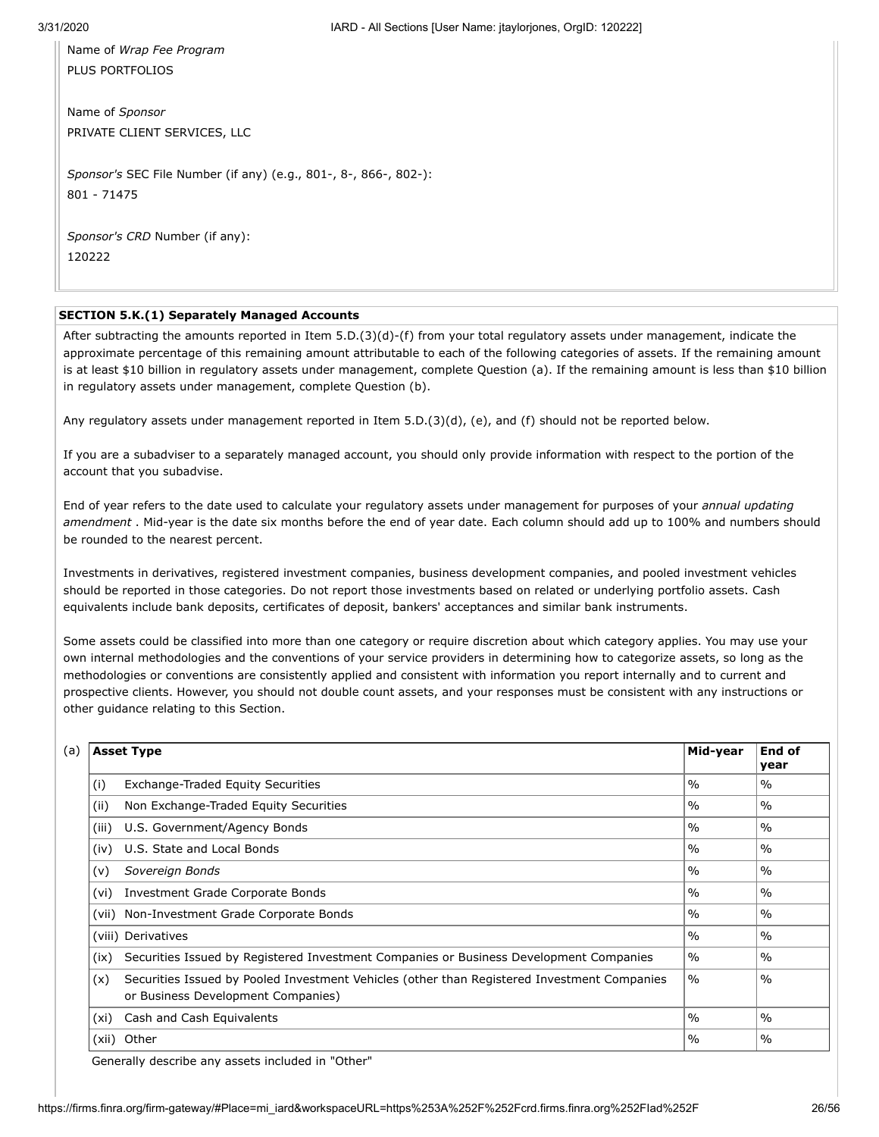Name of *Wrap Fee Program* PLUS PORTFOLIOS

Name of *Sponsor* PRIVATE CLIENT SERVICES, LLC

*Sponsor's* SEC File Number (if any) (e.g., 801-, 8-, 866-, 802-): 801 - 71475

*Sponsor's CRD* Number (if any): 120222

## **SECTION 5.K.(1) Separately Managed Accounts**

After subtracting the amounts reported in Item 5.D.(3)(d)-(f) from your total regulatory assets under management, indicate the approximate percentage of this remaining amount attributable to each of the following categories of assets. If the remaining amount is at least \$10 billion in regulatory assets under management, complete Question (a). If the remaining amount is less than \$10 billion in regulatory assets under management, complete Question (b).

Any regulatory assets under management reported in Item 5.D.(3)(d), (e), and (f) should not be reported below.

If you are a subadviser to a separately managed account, you should only provide information with respect to the portion of the account that you subadvise.

End of year refers to the date used to calculate your regulatory assets under management for purposes of your *annual updating amendment* . Mid-year is the date six months before the end of year date. Each column should add up to 100% and numbers should be rounded to the nearest percent.

Investments in derivatives, registered investment companies, business development companies, and pooled investment vehicles should be reported in those categories. Do not report those investments based on related or underlying portfolio assets. Cash equivalents include bank deposits, certificates of deposit, bankers' acceptances and similar bank instruments.

Some assets could be classified into more than one category or require discretion about which category applies. You may use your own internal methodologies and the conventions of your service providers in determining how to categorize assets, so long as the methodologies or conventions are consistently applied and consistent with information you report internally and to current and prospective clients. However, you should not double count assets, and your responses must be consistent with any instructions or other guidance relating to this Section.

| (a)   | <b>Asset Type</b>                                                                                                                 | Mid-year      | End of<br>year |
|-------|-----------------------------------------------------------------------------------------------------------------------------------|---------------|----------------|
| (i)   | Exchange-Traded Equity Securities                                                                                                 | $\frac{0}{0}$ | $\frac{0}{0}$  |
| (ii)  | Non Exchange-Traded Equity Securities                                                                                             | $\frac{0}{0}$ | $\frac{0}{0}$  |
| (iii) | U.S. Government/Agency Bonds                                                                                                      | $\frac{0}{0}$ | $\frac{0}{0}$  |
| (iv)  | U.S. State and Local Bonds                                                                                                        | $\frac{0}{0}$ | $\frac{0}{0}$  |
| (v)   | Sovereign Bonds                                                                                                                   | $\frac{0}{0}$ | $\frac{0}{0}$  |
| (vi)  | Investment Grade Corporate Bonds                                                                                                  | $\frac{0}{0}$ | $\frac{0}{0}$  |
|       | (vii) Non-Investment Grade Corporate Bonds                                                                                        | $\frac{0}{0}$ | $\frac{0}{0}$  |
|       | (viii) Derivatives                                                                                                                | $\%$          | $\%$           |
| (ix)  | Securities Issued by Registered Investment Companies or Business Development Companies                                            | $\frac{0}{0}$ | $\frac{0}{0}$  |
| (x)   | Securities Issued by Pooled Investment Vehicles (other than Registered Investment Companies<br>or Business Development Companies) | $\frac{0}{0}$ | $\frac{0}{0}$  |
| (xi)  | Cash and Cash Equivalents                                                                                                         | $\frac{0}{0}$ | $\frac{0}{0}$  |
|       | (xii) Other                                                                                                                       | $\frac{0}{0}$ | $\frac{0}{0}$  |

Generally describe any assets included in "Other"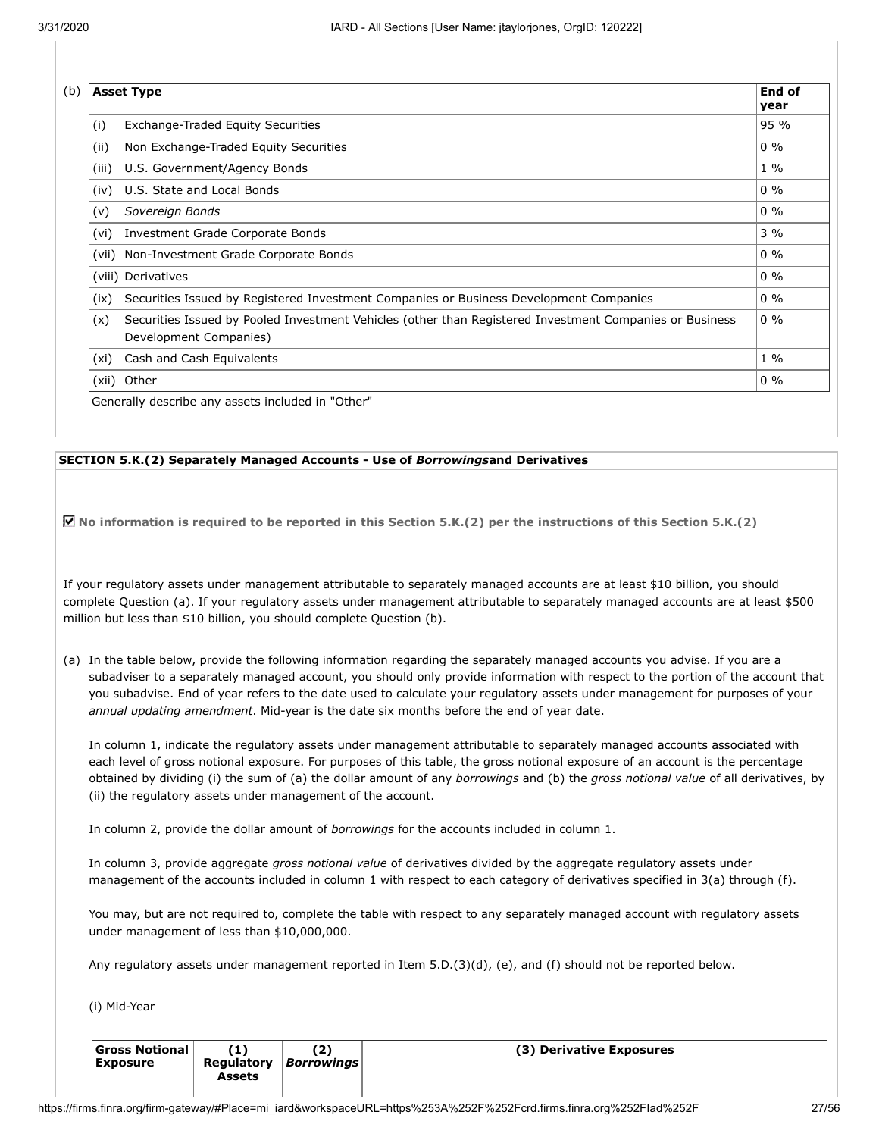|       | <b>Asset Type</b>                                                                                                                 | End of<br>year |
|-------|-----------------------------------------------------------------------------------------------------------------------------------|----------------|
| (i)   | Exchange-Traded Equity Securities                                                                                                 | 95 %           |
| (ii)  | Non Exchange-Traded Equity Securities                                                                                             | $0\%$          |
| (iii) | U.S. Government/Agency Bonds                                                                                                      | $1\%$          |
| (iv)  | U.S. State and Local Bonds                                                                                                        | $0\%$          |
| (v)   | Sovereign Bonds                                                                                                                   | $0\%$          |
| (vi)  | Investment Grade Corporate Bonds                                                                                                  | $3\%$          |
| (vii) | Non-Investment Grade Corporate Bonds                                                                                              | $0\%$          |
|       | (viii) Derivatives                                                                                                                | $0\%$          |
| (ix)  | Securities Issued by Registered Investment Companies or Business Development Companies                                            | $0\%$          |
| (x)   | Securities Issued by Pooled Investment Vehicles (other than Registered Investment Companies or Business<br>Development Companies) | $0\%$          |
| (xi)  | Cash and Cash Equivalents                                                                                                         | $1\%$          |
|       | (xii) Other                                                                                                                       | $0\%$          |

## **SECTION 5.K.(2) Separately Managed Accounts - Use of** *Borrowings***and Derivatives**

**No information is required to be reported in this Section 5.K.(2) per the instructions of this Section 5.K.(2)**

If your regulatory assets under management attributable to separately managed accounts are at least \$10 billion, you should complete Question (a). If your regulatory assets under management attributable to separately managed accounts are at least \$500 million but less than \$10 billion, you should complete Question (b).

(a) In the table below, provide the following information regarding the separately managed accounts you advise. If you are a subadviser to a separately managed account, you should only provide information with respect to the portion of the account that you subadvise. End of year refers to the date used to calculate your regulatory assets under management for purposes of your *annual updating amendment*. Mid-year is the date six months before the end of year date.

In column 1, indicate the regulatory assets under management attributable to separately managed accounts associated with each level of gross notional exposure. For purposes of this table, the gross notional exposure of an account is the percentage obtained by dividing (i) the sum of (a) the dollar amount of any *borrowings* and (b) the *gross notional value* of all derivatives, by (ii) the regulatory assets under management of the account.

In column 2, provide the dollar amount of *borrowings* for the accounts included in column 1.

In column 3, provide aggregate *gross notional value* of derivatives divided by the aggregate regulatory assets under management of the accounts included in column 1 with respect to each category of derivatives specified in 3(a) through (f).

You may, but are not required to, complete the table with respect to any separately managed account with regulatory assets under management of less than \$10,000,000.

Any regulatory assets under management reported in Item 5.D.(3)(d), (e), and (f) should not be reported below.

(i) Mid-Year

| <b>Gross Notional</b> |                   |            | (3) Derivative Exposures |
|-----------------------|-------------------|------------|--------------------------|
| Exposure              | <b>Regulatory</b> | Borrowinas |                          |
|                       | Assets            |            |                          |
|                       |                   |            |                          |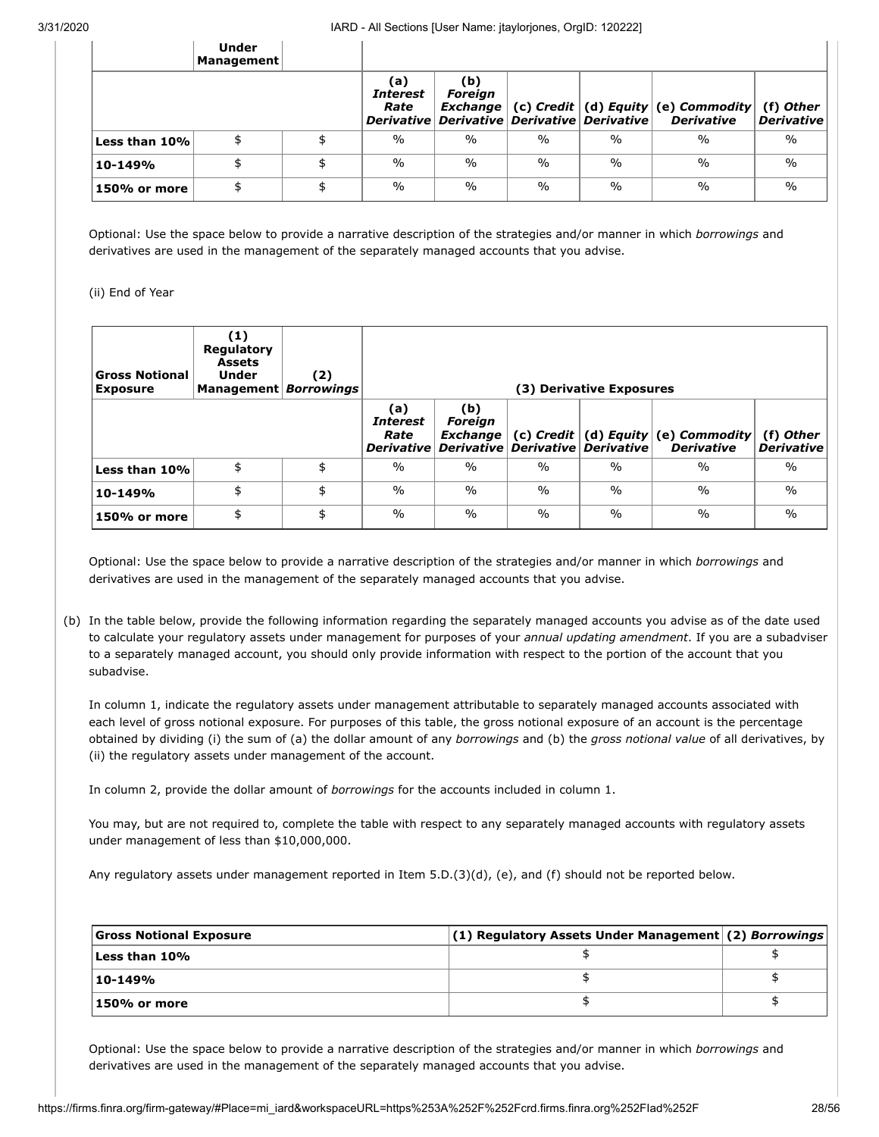|               | <b>Under</b><br><b>Management</b> |                                |                       |               |                                                   |                                                                                            |                         |
|---------------|-----------------------------------|--------------------------------|-----------------------|---------------|---------------------------------------------------|--------------------------------------------------------------------------------------------|-------------------------|
|               |                                   | (a)<br><i>Interest</i><br>Rate | (b)<br><b>Foreign</b> |               | Derivative   Derivative   Derivative   Derivative | Exchange $\vert$ (c) Credit $\vert$ (d) Equity $\vert$ (e) Commodity $\vert$<br>Derivative | (f) Other<br>Derivative |
| Less than 10% |                                   | $\frac{0}{0}$                  | $\frac{0}{0}$         | $\%$          | $\frac{0}{0}$                                     | $\%$                                                                                       | $\%$                    |
| 10-149%       |                                   | $\%$                           | $\frac{0}{0}$         | $\frac{0}{0}$ | $\frac{0}{0}$                                     | $\%$                                                                                       | $\%$                    |
| 150% or more  |                                   | $\frac{0}{0}$                  | $\frac{0}{0}$         | $\%$          | $\frac{0}{0}$                                     | $\frac{0}{0}$                                                                              | $\frac{0}{0}$           |

Optional: Use the space below to provide a narrative description of the strategies and/or manner in which *borrowings* and derivatives are used in the management of the separately managed accounts that you advise.

## (ii) End of Year

| <b>Gross Notional</b><br><b>Exposure</b> | (1)<br>Regulatory<br>Assets<br>Under<br>Management <i>Borrowings</i> | (2) |                                |                                                                                               |               | (3) Derivative Exposures |                                                                      |                                |
|------------------------------------------|----------------------------------------------------------------------|-----|--------------------------------|-----------------------------------------------------------------------------------------------|---------------|--------------------------|----------------------------------------------------------------------|--------------------------------|
|                                          |                                                                      |     | (a)<br><b>Interest</b><br>Rate | (b)<br><b>Foreign</b><br><b>Exchange</b><br>Derivative   Derivative   Derivative   Derivative |               |                          | (c) Credit $ $ (d) Equity $ $ (e) Commodity $ $<br><b>Derivative</b> | (f) Other<br><b>Derivative</b> |
| Less than 10%                            | \$                                                                   | \$  | $\frac{0}{0}$                  | $\frac{0}{0}$                                                                                 | $\%$          | $\frac{0}{0}$            | $\frac{0}{0}$                                                        | $\%$                           |
| 10-149%                                  | \$                                                                   | \$  | $\frac{0}{0}$                  | $\frac{0}{0}$                                                                                 | $\frac{0}{0}$ | $\frac{0}{0}$            | $\frac{0}{0}$                                                        | $\frac{0}{0}$                  |
| 150% or more                             | \$                                                                   | \$  | $\frac{0}{0}$                  | $\frac{0}{0}$                                                                                 | $\frac{0}{0}$ | $\frac{0}{0}$            | $\frac{0}{0}$                                                        | $\frac{0}{0}$                  |

Optional: Use the space below to provide a narrative description of the strategies and/or manner in which *borrowings* and derivatives are used in the management of the separately managed accounts that you advise.

(b) In the table below, provide the following information regarding the separately managed accounts you advise as of the date used to calculate your regulatory assets under management for purposes of your *annual updating amendment*. If you are a subadviser to a separately managed account, you should only provide information with respect to the portion of the account that you subadvise.

In column 1, indicate the regulatory assets under management attributable to separately managed accounts associated with each level of gross notional exposure. For purposes of this table, the gross notional exposure of an account is the percentage obtained by dividing (i) the sum of (a) the dollar amount of any *borrowings* and (b) the *gross notional value* of all derivatives, by (ii) the regulatory assets under management of the account.

In column 2, provide the dollar amount of *borrowings* for the accounts included in column 1.

You may, but are not required to, complete the table with respect to any separately managed accounts with regulatory assets under management of less than \$10,000,000.

Any regulatory assets under management reported in Item 5.D.(3)(d), (e), and (f) should not be reported below.

| <b>Gross Notional Exposure</b> | $(1)$ Regulatory Assets Under Management $(2)$ Borrowings |  |
|--------------------------------|-----------------------------------------------------------|--|
| Less than 10%                  |                                                           |  |
| 10-149%                        |                                                           |  |
| 150% or more                   |                                                           |  |

Optional: Use the space below to provide a narrative description of the strategies and/or manner in which *borrowings* and derivatives are used in the management of the separately managed accounts that you advise.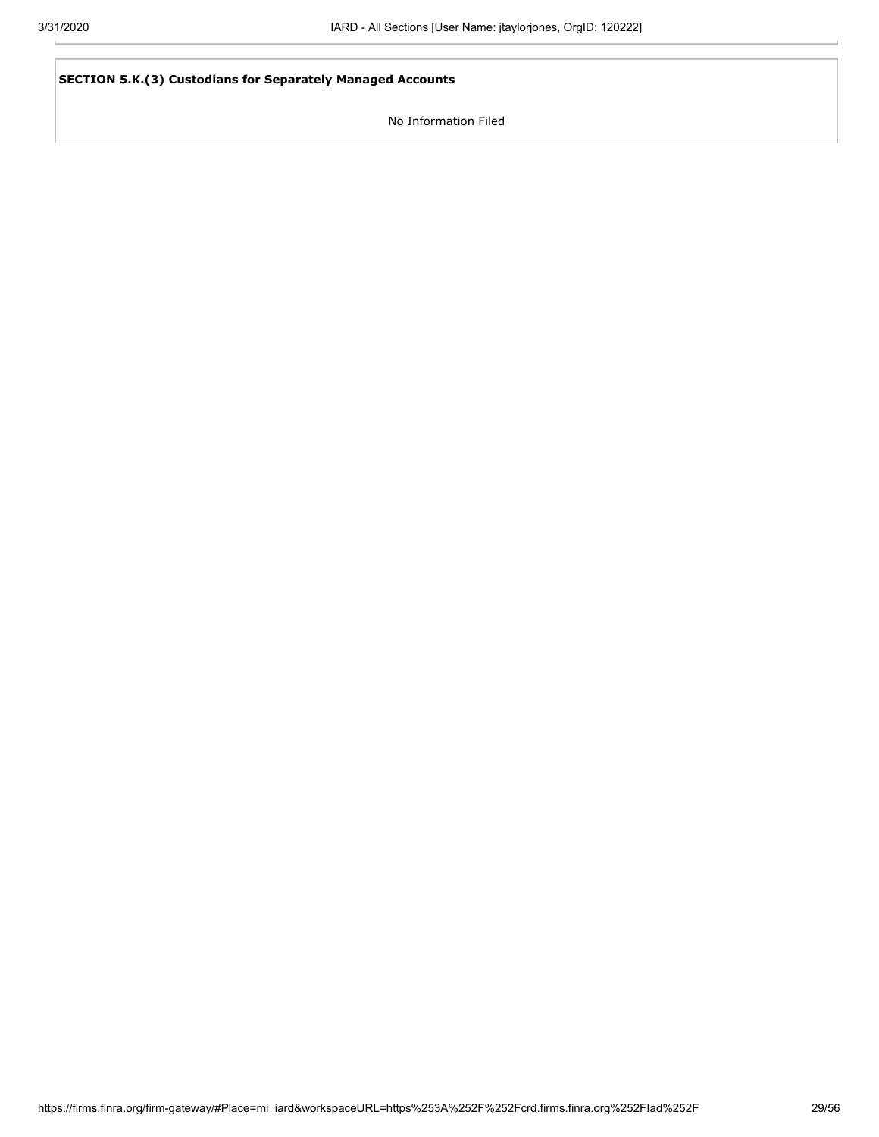# **SECTION 5.K.(3) Custodians for Separately Managed Accounts**

No Information Filed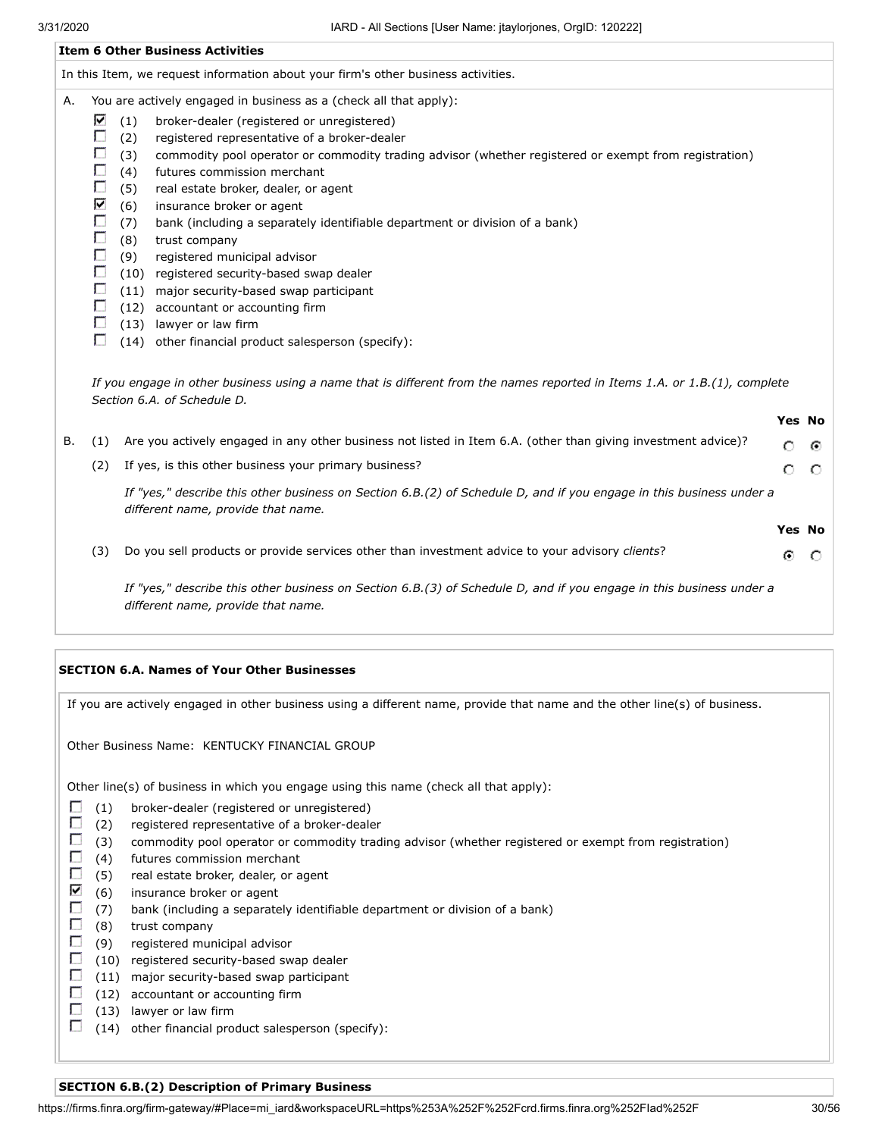|    | <b>Item 6 Other Business Activities</b>                                                                                                                   |        |         |
|----|-----------------------------------------------------------------------------------------------------------------------------------------------------------|--------|---------|
|    | In this Item, we request information about your firm's other business activities.                                                                         |        |         |
| Α. | You are actively engaged in business as a (check all that apply):                                                                                         |        |         |
|    | ⊽<br>(1)<br>broker-dealer (registered or unregistered)                                                                                                    |        |         |
|    | п<br>(2)<br>registered representative of a broker-dealer<br>Г                                                                                             |        |         |
|    | (3)<br>commodity pool operator or commodity trading advisor (whether registered or exempt from registration)<br>Г                                         |        |         |
|    | (4)<br>futures commission merchant<br>П                                                                                                                   |        |         |
|    | (5)<br>real estate broker, dealer, or agent<br>⊽                                                                                                          |        |         |
|    | (6)<br>insurance broker or agent<br>П<br>(7)                                                                                                              |        |         |
|    | bank (including a separately identifiable department or division of a bank)<br>П<br>(8)<br>trust company                                                  |        |         |
|    | П<br>(9)<br>registered municipal advisor                                                                                                                  |        |         |
|    | П<br>(10)<br>registered security-based swap dealer                                                                                                        |        |         |
|    | П<br>(11)<br>major security-based swap participant                                                                                                        |        |         |
|    | П<br>(12) accountant or accounting firm                                                                                                                   |        |         |
|    | П<br>(13) lawyer or law firm                                                                                                                              |        |         |
|    | Г<br>(14) other financial product salesperson (specify):                                                                                                  |        |         |
|    | If you engage in other business using a name that is different from the names reported in Items 1.A. or 1.B.(1), complete<br>Section 6.A. of Schedule D.  | Yes No |         |
|    |                                                                                                                                                           |        |         |
| В. | Are you actively engaged in any other business not listed in Item 6.A. (other than giving investment advice)?<br>(1)                                      | O      | ⊙       |
|    | (2)<br>If yes, is this other business your primary business?                                                                                              | O      | $\circ$ |
|    | If "yes," describe this other business on Section 6.B.(2) of Schedule D, and if you engage in this business under a<br>different name, provide that name. |        |         |
|    |                                                                                                                                                           | Yes No |         |
|    | Do you sell products or provide services other than investment advice to your advisory clients?<br>(3)                                                    | Θ      | O       |
|    | If "yes," describe this other business on Section 6.B.(3) of Schedule D, and if you engage in this business under a<br>different name, provide that name. |        |         |

## **SECTION 6.A. Names of Your Other Businesses**

If you are actively engaged in other business using a different name, provide that name and the other line(s) of business.

Other Business Name: KENTUCKY FINANCIAL GROUP

Other line(s) of business in which you engage using this name (check all that apply):

- $\Box$  (1) broker-dealer (registered or unregistered)
- $\Box$  $\Box$  (2) registered representative of a broker-dealer  $\Box$  (3) commodity pool operator or commodity trad
- commodity pool operator or commodity trading advisor (whether registered or exempt from registration)
- $\Box$  (4) futures commission merchant
- П (5) real estate broker, dealer, or agent
- V (6) insurance broker or agent
- Г (7) bank (including a separately identifiable department or division of a bank)
- $\Box$ (8) trust company
- $\Box$ (9) registered municipal advisor
- П (10) registered security-based swap dealer
- П (11) major security-based swap participant
- $\Box$ (12) accountant or accounting firm
- $\overline{\phantom{a}}$ (13) lawyer or law firm
- П (14) other financial product salesperson (specify):

# **SECTION 6.B.(2) Description of Primary Business**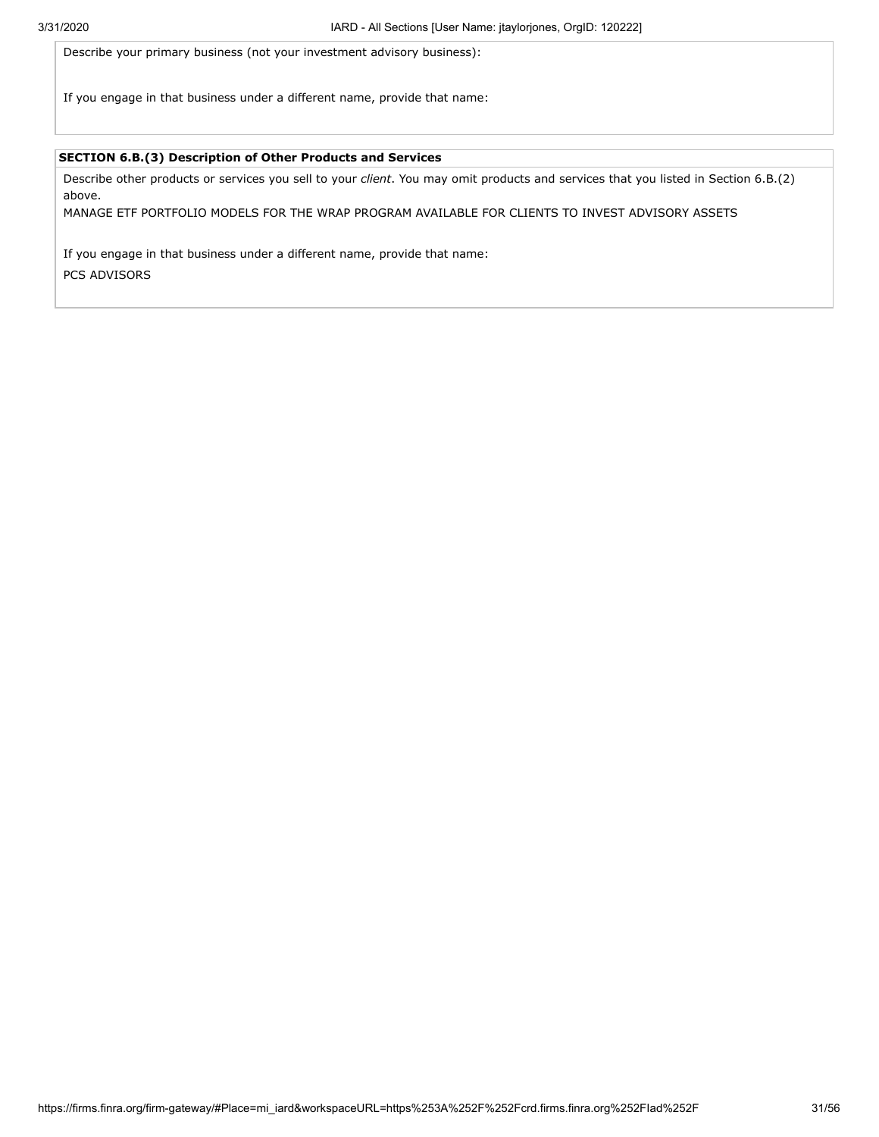Describe your primary business (not your investment advisory business):

If you engage in that business under a different name, provide that name:

# **SECTION 6.B.(3) Description of Other Products and Services**

Describe other products or services you sell to your *client*. You may omit products and services that you listed in Section 6.B.(2) above.

MANAGE ETF PORTFOLIO MODELS FOR THE WRAP PROGRAM AVAILABLE FOR CLIENTS TO INVEST ADVISORY ASSETS

If you engage in that business under a different name, provide that name: PCS ADVISORS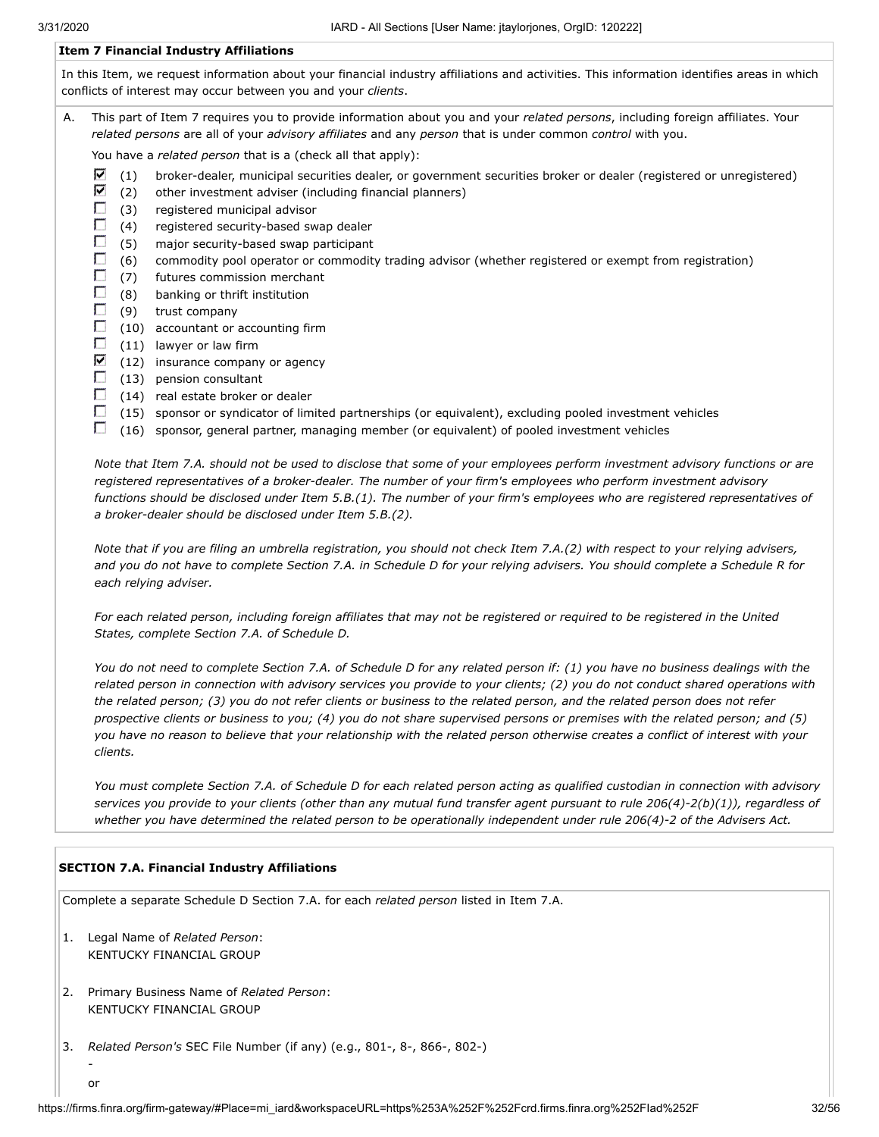## **Item 7 Financial Industry Affiliations**

In this Item, we request information about your financial industry affiliations and activities. This information identifies areas in which conflicts of interest may occur between you and your *clients*.

A. This part of Item 7 requires you to provide information about you and your *related persons*, including foreign affiliates. Your *related persons* are all of your *advisory affiliates* and any *person* that is under common *control* with you.

You have a *related person* that is a (check all that apply):

- $\triangledown$  (1) broker-dealer, municipal securities dealer, or government securities broker or dealer (registered or unregistered)
- ⊽ (2) other investment adviser (including financial planners)
- O (3) registered municipal advisor
- $\Box$ (4) registered security-based swap dealer
- $\Box$ (5) major security-based swap participant
- $\Box$ (6) commodity pool operator or commodity trading advisor (whether registered or exempt from registration)
- П (7) futures commission merchant
- $\Box$ (8) banking or thrift institution
- $\Box$ (9) trust company
- $\Box$ (10) accountant or accounting firm
- O. (11) lawyer or law firm
- $\blacksquare$  (12) insurance company or agency
- $\Box$  (13) pension consultant
- $\Box$ (14) real estate broker or dealer
- $\Box$ (15) sponsor or syndicator of limited partnerships (or equivalent), excluding pooled investment vehicles
- O (16) sponsor, general partner, managing member (or equivalent) of pooled investment vehicles

*Note that Item 7.A. should not be used to disclose that some of your employees perform investment advisory functions or are registered representatives of a broker-dealer. The number of your firm's employees who perform investment advisory functions should be disclosed under Item 5.B.(1). The number of your firm's employees who are registered representatives of a broker-dealer should be disclosed under Item 5.B.(2).* 

*Note that if you are filing an umbrella registration, you should not check Item 7.A.(2) with respect to your relying advisers, and you do not have to complete Section 7.A. in Schedule D for your relying advisers. You should complete a Schedule R for each relying adviser.* 

*For each related person, including foreign affiliates that may not be registered or required to be registered in the United States, complete Section 7.A. of Schedule D.* 

*You do not need to complete Section 7.A. of Schedule D for any related person if: (1) you have no business dealings with the related person in connection with advisory services you provide to your clients; (2) you do not conduct shared operations with the related person; (3) you do not refer clients or business to the related person, and the related person does not refer prospective clients or business to you; (4) you do not share supervised persons or premises with the related person; and (5) you have no reason to believe that your relationship with the related person otherwise creates a conflict of interest with your clients.* 

*You must complete Section 7.A. of Schedule D for each related person acting as qualified custodian in connection with advisory services you provide to your clients (other than any mutual fund transfer agent pursuant to rule 206(4)-2(b)(1)), regardless of whether you have determined the related person to be operationally independent under rule 206(4)-2 of the Advisers Act.*

## **SECTION 7.A. Financial Industry Affiliations**

Complete a separate Schedule D Section 7.A. for each *related person* listed in Item 7.A.

- 1. Legal Name of *Related Person*: KENTUCKY FINANCIAL GROUP
- 2. Primary Business Name of *Related Person*: KENTUCKY FINANCIAL GROUP
- 3. *Related Person's* SEC File Number (if any) (e.g., 801-, 8-, 866-, 802-)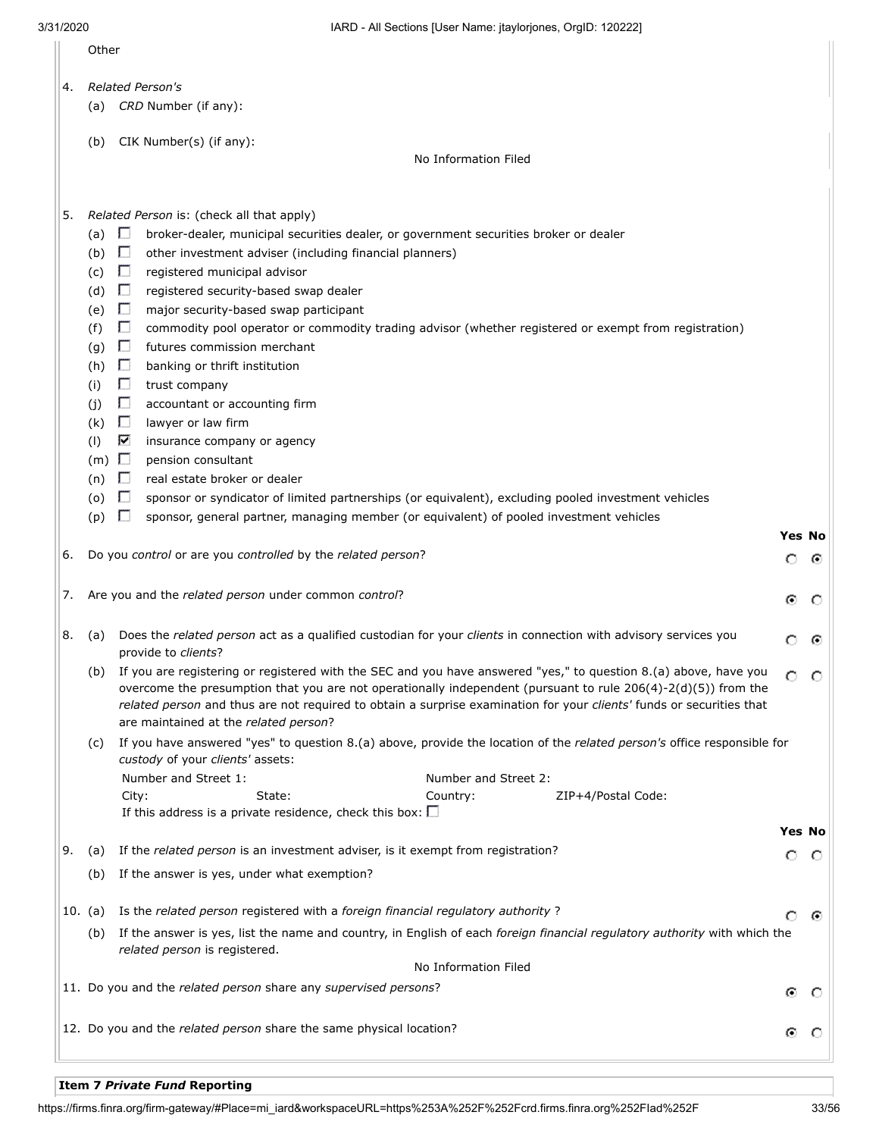|    | Other        |                                                                                                                                                             |    |               |
|----|--------------|-------------------------------------------------------------------------------------------------------------------------------------------------------------|----|---------------|
|    |              |                                                                                                                                                             |    |               |
| 4. |              | <b>Related Person's</b>                                                                                                                                     |    |               |
|    |              | (a) CRD Number (if any):                                                                                                                                    |    |               |
|    |              |                                                                                                                                                             |    |               |
|    | (b)          | CIK Number(s) (if any):<br>No Information Filed                                                                                                             |    |               |
|    |              |                                                                                                                                                             |    |               |
|    |              |                                                                                                                                                             |    |               |
| 5. |              | Related Person is: (check all that apply)                                                                                                                   |    |               |
|    | (a)          | L.<br>broker-dealer, municipal securities dealer, or government securities broker or dealer                                                                 |    |               |
|    | (b)          | $\Box$<br>other investment adviser (including financial planners)                                                                                           |    |               |
|    | (c)          | O<br>registered municipal advisor                                                                                                                           |    |               |
|    | (d)          | O<br>registered security-based swap dealer                                                                                                                  |    |               |
|    | (e)          | O<br>major security-based swap participant                                                                                                                  |    |               |
|    | (f)          | ш<br>commodity pool operator or commodity trading advisor (whether registered or exempt from registration)                                                  |    |               |
|    | (g)<br>(h)   | $\Box$<br>futures commission merchant<br>Ð                                                                                                                  |    |               |
|    | (i)          | banking or thrift institution<br>□<br>trust company                                                                                                         |    |               |
|    | (j)          | П<br>accountant or accounting firm                                                                                                                          |    |               |
|    | (k)          | □<br>lawyer or law firm                                                                                                                                     |    |               |
|    | (1)          | ☑<br>insurance company or agency                                                                                                                            |    |               |
|    | $(m)$ $\Box$ | pension consultant                                                                                                                                          |    |               |
|    | (n)          | ш<br>real estate broker or dealer                                                                                                                           |    |               |
|    | (o)          | ш<br>sponsor or syndicator of limited partnerships (or equivalent), excluding pooled investment vehicles                                                    |    |               |
|    | (p)          | ш<br>sponsor, general partner, managing member (or equivalent) of pooled investment vehicles                                                                |    |               |
|    |              |                                                                                                                                                             |    | <b>Yes No</b> |
| 6. |              | Do you control or are you controlled by the related person?                                                                                                 | O. | ⊙             |
|    |              |                                                                                                                                                             |    |               |
| 7. |              | Are you and the related person under common control?                                                                                                        | Θ  | O             |
| 8. | (a)          | Does the related person act as a qualified custodian for your clients in connection with advisory services you                                              |    |               |
|    |              | provide to clients?                                                                                                                                         | О  | ⊙             |
|    |              | (b) If you are registering or registered with the SEC and you have answered "yes," to question 8.(a) above, have you                                        |    |               |
|    |              | overcome the presumption that you are not operationally independent (pursuant to rule 206(4)-2(d)(5)) from the                                              |    |               |
|    |              | related person and thus are not required to obtain a surprise examination for your clients' funds or securities that                                        |    |               |
|    |              | are maintained at the related person?                                                                                                                       |    |               |
|    | (c)          | If you have answered "yes" to question 8.(a) above, provide the location of the related person's office responsible for<br>custody of your clients' assets: |    |               |
|    |              | Number and Street 1:<br>Number and Street 2:                                                                                                                |    |               |
|    |              | State:<br>Country:<br>ZIP+4/Postal Code:<br>City:                                                                                                           |    |               |
|    |              | If this address is a private residence, check this box: $\square$                                                                                           |    |               |
|    |              |                                                                                                                                                             |    | <b>Yes No</b> |
| 9. | (a)          | If the related person is an investment adviser, is it exempt from registration?                                                                             | O  | O             |
|    | (b)          | If the answer is yes, under what exemption?                                                                                                                 |    |               |
|    |              |                                                                                                                                                             |    |               |
|    | 10. (a)      | Is the related person registered with a foreign financial regulatory authority?                                                                             | О  | ⊙             |
|    | (b)          | If the answer is yes, list the name and country, in English of each foreign financial regulatory authority with which the                                   |    |               |
|    |              | related person is registered.<br>No Information Filed                                                                                                       |    |               |
|    |              | 11. Do you and the related person share any supervised persons?                                                                                             | o  |               |
|    |              |                                                                                                                                                             |    | O             |
|    |              | 12. Do you and the related person share the same physical location?                                                                                         | Θ  |               |
|    |              |                                                                                                                                                             |    |               |

# **Item 7** *Private Fund* **Reporting**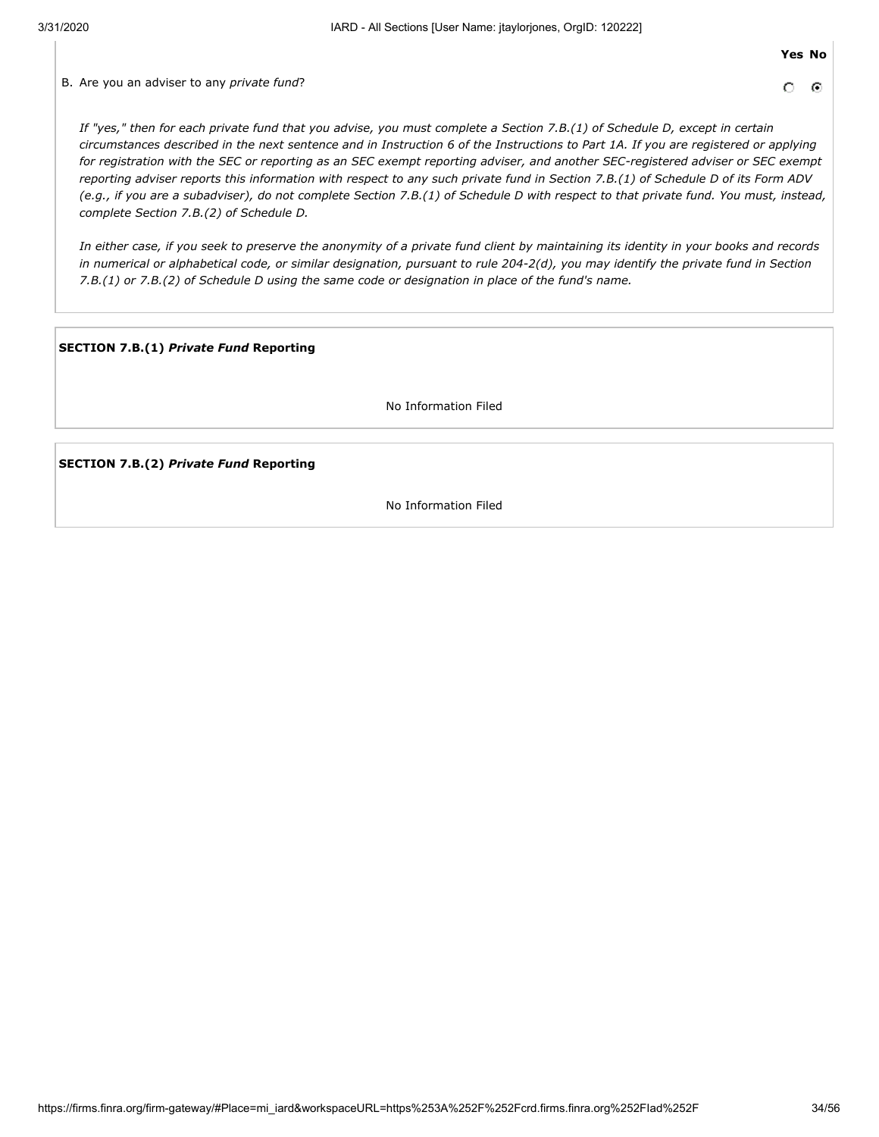**Yes No**

B. Are you an adviser to any *private fund*?

*If "yes," then for each private fund that you advise, you must complete a Section 7.B.(1) of Schedule D, except in certain circumstances described in the next sentence and in Instruction 6 of the Instructions to Part 1A. If you are registered or applying for registration with the SEC or reporting as an SEC exempt reporting adviser, and another SEC-registered adviser or SEC exempt reporting adviser reports this information with respect to any such private fund in Section 7.B.(1) of Schedule D of its Form ADV (e.g., if you are a subadviser), do not complete Section 7.B.(1) of Schedule D with respect to that private fund. You must, instead, complete Section 7.B.(2) of Schedule D.* 

*In either case, if you seek to preserve the anonymity of a private fund client by maintaining its identity in your books and records* in numerical or alphabetical code, or similar designation, pursuant to rule 204-2(d), you may identify the private fund in Section *7.B.(1) or 7.B.(2) of Schedule D using the same code or designation in place of the fund's name.* 

**SECTION 7.B.(1)** *Private Fund* **Reporting**

No Information Filed

**SECTION 7.B.(2)** *Private Fund* **Reporting**

No Information Filed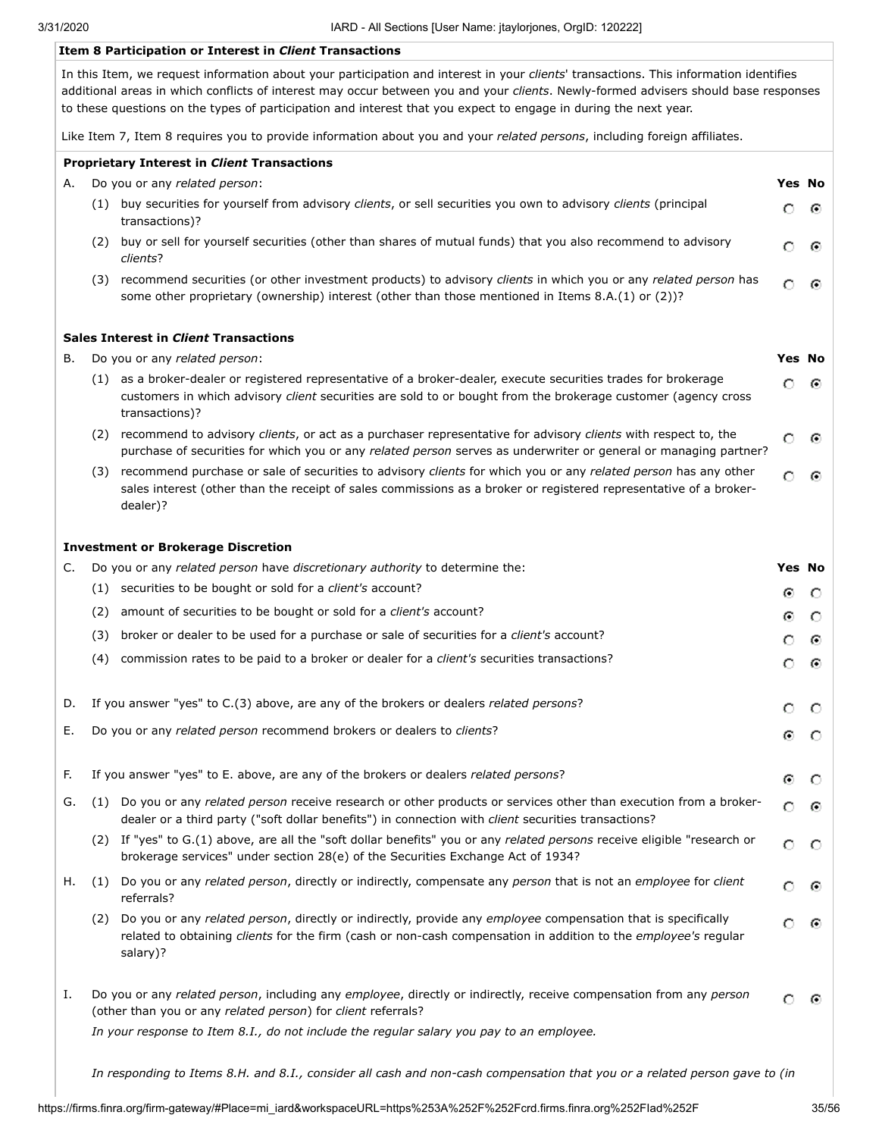## **Item 8 Participation or Interest in** *Client* **Transactions**

In this Item, we request information about your participation and interest in your *clients*' transactions. This information identifies additional areas in which conflicts of interest may occur between you and your *clients*. Newly-formed advisers should base responses to these questions on the types of participation and interest that you expect to engage in during the next year.

Like Item 7, Item 8 requires you to provide information about you and your *related persons*, including foreign affiliates.

|    |     | <b>Proprietary Interest in Client Transactions</b>                                                                                                                                                                                                 |               |           |
|----|-----|----------------------------------------------------------------------------------------------------------------------------------------------------------------------------------------------------------------------------------------------------|---------------|-----------|
| А. |     | Do you or any related person:                                                                                                                                                                                                                      | <b>Yes No</b> |           |
|    |     | (1) buy securities for yourself from advisory clients, or sell securities you own to advisory clients (principal<br>transactions)?                                                                                                                 | O             | ⊙         |
|    |     | (2) buy or sell for yourself securities (other than shares of mutual funds) that you also recommend to advisory<br>clients?                                                                                                                        | о             | $\bullet$ |
|    | (3) | recommend securities (or other investment products) to advisory clients in which you or any related person has<br>some other proprietary (ownership) interest (other than those mentioned in Items 8.A.(1) or (2))?                                |               | ⊙         |
|    |     | <b>Sales Interest in Client Transactions</b>                                                                                                                                                                                                       |               |           |
| В. |     | Do you or any related person:                                                                                                                                                                                                                      | <b>Yes No</b> |           |
|    |     | (1) as a broker-dealer or registered representative of a broker-dealer, execute securities trades for brokerage<br>customers in which advisory client securities are sold to or bought from the brokerage customer (agency cross<br>transactions)? | O             | ⊙         |
|    | (2) | recommend to advisory clients, or act as a purchaser representative for advisory clients with respect to, the<br>purchase of securities for which you or any related person serves as underwriter or general or managing partner?                  | о             | ⊙         |
|    | (3) | recommend purchase or sale of securities to advisory clients for which you or any related person has any other<br>sales interest (other than the receipt of sales commissions as a broker or registered representative of a broker-<br>dealer)?    | Ο             |           |
|    |     | <b>Investment or Brokerage Discretion</b>                                                                                                                                                                                                          |               |           |
| C. |     | Do you or any related person have discretionary authority to determine the:                                                                                                                                                                        | <b>Yes No</b> |           |
|    |     | (1) securities to be bought or sold for a <i>client's</i> account?                                                                                                                                                                                 | ⊙             | O         |
|    | (2) | amount of securities to be bought or sold for a client's account?                                                                                                                                                                                  | ⊙             | O         |
|    | (3) | broker or dealer to be used for a purchase or sale of securities for a client's account?                                                                                                                                                           | O             | ⊙         |
|    | (4) | commission rates to be paid to a broker or dealer for a client's securities transactions?                                                                                                                                                          | O             | ⊙         |
| D. |     | If you answer "yes" to C.(3) above, are any of the brokers or dealers related persons?                                                                                                                                                             | Ω             | O         |
| Ε. |     | Do you or any related person recommend brokers or dealers to clients?                                                                                                                                                                              | ⊙             | O         |
| F. |     | If you answer "yes" to E. above, are any of the brokers or dealers related persons?                                                                                                                                                                | Θ             |           |
| G. |     | (1) Do you or any related person receive research or other products or services other than execution from a broker-<br>dealer or a third party ("soft dollar benefits") in connection with <i>client</i> securities transactions?                  | O             | ⊙         |
|    |     | (2) If "yes" to G.(1) above, are all the "soft dollar benefits" you or any related persons receive eligible "research or<br>brokerage services" under section 28(e) of the Securities Exchange Act of 1934?                                        |               | - 0       |
| Н. | (1) | Do you or any related person, directly or indirectly, compensate any person that is not an employee for client<br>referrals?                                                                                                                       | O             | ⊙         |
|    | (2) | Do you or any related person, directly or indirectly, provide any employee compensation that is specifically<br>related to obtaining clients for the firm (cash or non-cash compensation in addition to the employee's regular<br>salary)?         |               | ⊙         |
| Ι. |     | Do you or any related person, including any employee, directly or indirectly, receive compensation from any person<br>(other than you or any related person) for client referrals?                                                                 |               | ⊙         |
|    |     | In your response to Item 8.1., do not include the regular salary you pay to an employee.                                                                                                                                                           |               |           |
|    |     | In responding to Items 8.H. and 8.I., consider all cash and non-cash compensation that you or a related person gave to (in                                                                                                                         |               |           |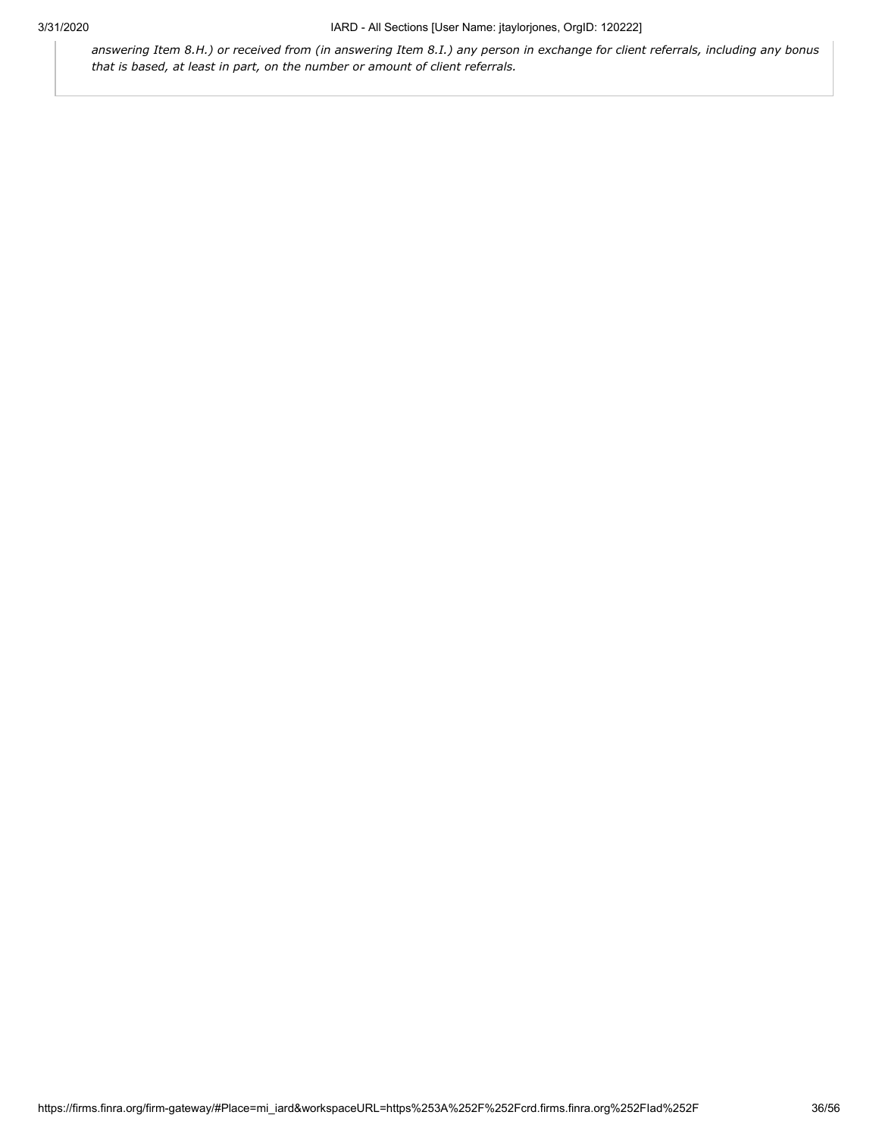*answering Item 8.H.) or received from (in answering Item 8.I.) any person in exchange for client referrals, including any bonus that is based, at least in part, on the number or amount of client referrals.*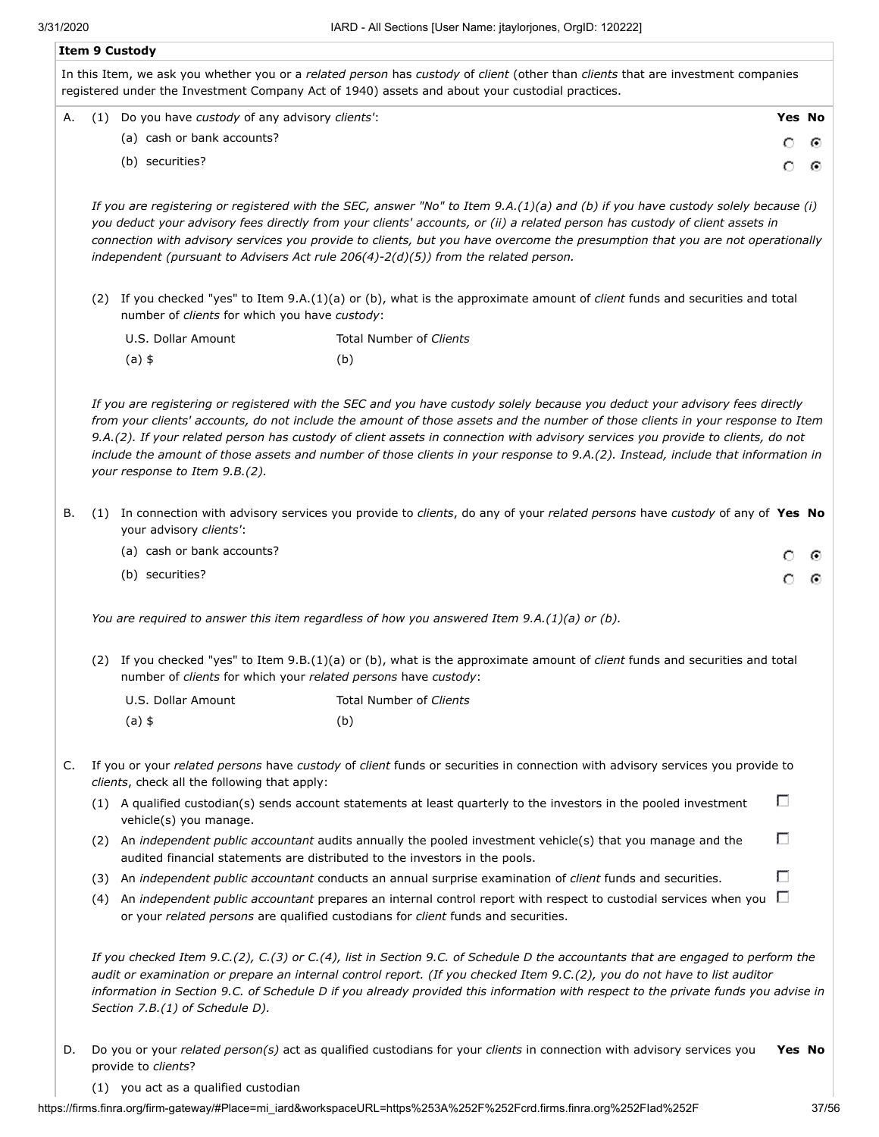|    |     | <b>Item 9 Custody</b>                             |                                                                                                                                                                                                                                                                                                                                                                                                                                                                                                                                         |   |               |
|----|-----|---------------------------------------------------|-----------------------------------------------------------------------------------------------------------------------------------------------------------------------------------------------------------------------------------------------------------------------------------------------------------------------------------------------------------------------------------------------------------------------------------------------------------------------------------------------------------------------------------------|---|---------------|
|    |     |                                                   | In this Item, we ask you whether you or a related person has custody of client (other than clients that are investment companies<br>registered under the Investment Company Act of 1940) assets and about your custodial practices.                                                                                                                                                                                                                                                                                                     |   |               |
| Α. |     | (1) Do you have custody of any advisory clients': |                                                                                                                                                                                                                                                                                                                                                                                                                                                                                                                                         |   | <b>Yes No</b> |
|    |     | (a) cash or bank accounts?                        |                                                                                                                                                                                                                                                                                                                                                                                                                                                                                                                                         | O | $\odot$       |
|    |     | (b) securities?                                   |                                                                                                                                                                                                                                                                                                                                                                                                                                                                                                                                         | о | $\odot$       |
|    |     |                                                   | If you are registering or registered with the SEC, answer "No" to Item $9.A.(1)(a)$ and (b) if you have custody solely because (i)<br>you deduct your advisory fees directly from your clients' accounts, or (ii) a related person has custody of client assets in<br>connection with advisory services you provide to clients, but you have overcome the presumption that you are not operationally<br>independent (pursuant to Advisers Act rule $206(4)-2(d)(5)$ ) from the related person.                                          |   |               |
|    |     | number of clients for which you have custody:     | (2) If you checked "yes" to Item 9.A.(1)(a) or (b), what is the approximate amount of client funds and securities and total                                                                                                                                                                                                                                                                                                                                                                                                             |   |               |
|    |     | U.S. Dollar Amount                                | Total Number of Clients                                                                                                                                                                                                                                                                                                                                                                                                                                                                                                                 |   |               |
|    |     | $(a)$ \$                                          | (b)                                                                                                                                                                                                                                                                                                                                                                                                                                                                                                                                     |   |               |
|    |     | your response to Item 9.B.(2).                    | If you are registering or registered with the SEC and you have custody solely because you deduct your advisory fees directly<br>from your clients' accounts, do not include the amount of those assets and the number of those clients in your response to Item<br>9.A.(2). If your related person has custody of client assets in connection with advisory services you provide to clients, do not<br>include the amount of those assets and number of those clients in your response to 9.A.(2). Instead, include that information in |   |               |
| В. |     | your advisory clients':                           | (1) In connection with advisory services you provide to clients, do any of your related persons have custody of any of Yes No                                                                                                                                                                                                                                                                                                                                                                                                           |   |               |
|    |     | (a) cash or bank accounts?                        |                                                                                                                                                                                                                                                                                                                                                                                                                                                                                                                                         | о | ⊙             |
|    |     | (b) securities?                                   |                                                                                                                                                                                                                                                                                                                                                                                                                                                                                                                                         | о | ⊙             |
|    |     |                                                   | You are required to answer this item regardless of how you answered Item $9.A.(1)(a)$ or (b).                                                                                                                                                                                                                                                                                                                                                                                                                                           |   |               |
|    |     |                                                   | (2) If you checked "yes" to Item 9.B.(1)(a) or (b), what is the approximate amount of client funds and securities and total<br>number of clients for which your related persons have custody:                                                                                                                                                                                                                                                                                                                                           |   |               |
|    |     | U.S. Dollar Amount                                | Total Number of Clients                                                                                                                                                                                                                                                                                                                                                                                                                                                                                                                 |   |               |
|    |     | $(a)$ \$                                          | (b)                                                                                                                                                                                                                                                                                                                                                                                                                                                                                                                                     |   |               |
| C. |     | clients, check all the following that apply:      | If you or your related persons have custody of client funds or securities in connection with advisory services you provide to                                                                                                                                                                                                                                                                                                                                                                                                           |   |               |
|    |     | vehicle(s) you manage.                            | (1) A qualified custodian(s) sends account statements at least quarterly to the investors in the pooled investment                                                                                                                                                                                                                                                                                                                                                                                                                      | П |               |
|    |     |                                                   | (2) An independent public accountant audits annually the pooled investment vehicle(s) that you manage and the<br>audited financial statements are distributed to the investors in the pools.                                                                                                                                                                                                                                                                                                                                            | П |               |
|    |     |                                                   | (3) An independent public accountant conducts an annual surprise examination of client funds and securities.                                                                                                                                                                                                                                                                                                                                                                                                                            | г |               |
|    | (4) |                                                   | An independent public accountant prepares an internal control report with respect to custodial services when you<br>or your related persons are qualified custodians for client funds and securities.                                                                                                                                                                                                                                                                                                                                   | П |               |
|    |     | Section 7.B.(1) of Schedule D).                   | If you checked Item 9.C.(2), C.(3) or C.(4), list in Section 9.C. of Schedule D the accountants that are engaged to perform the<br>audit or examination or prepare an internal control report. (If you checked Item 9.C.(2), you do not have to list auditor<br>information in Section 9.C. of Schedule D if you already provided this information with respect to the private funds you advise in                                                                                                                                      |   |               |
| D. |     | provide to clients?                               | Do you or your related person(s) act as qualified custodians for your clients in connection with advisory services you                                                                                                                                                                                                                                                                                                                                                                                                                  |   | <b>Yes No</b> |

(1) you act as a qualified custodian

https://firms.finra.org/firm-gateway/#Place=mi\_iard&workspaceURL=https%253A%252F%252Fcrd.firms.finra.org%252FIad%252F 37/56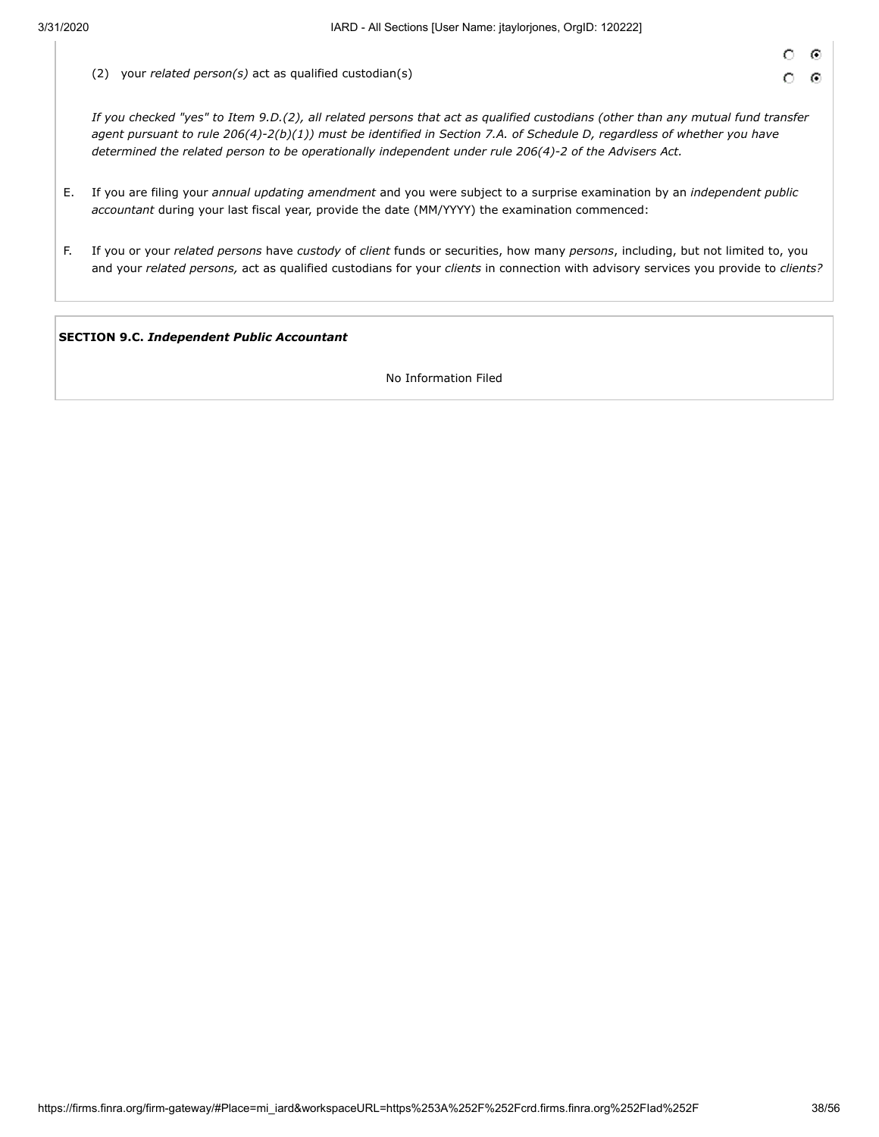(2) your *related person(s)* act as qualified custodian(s)

- E. If you are filing your *annual updating amendment* and you were subject to a surprise examination by an *independent public accountant* during your last fiscal year, provide the date (MM/YYYY) the examination commenced:
- F. If you or your *related persons* have *custody* of *client* funds or securities, how many *persons*, including, but not limited to, you and your *related persons,* act as qualified custodians for your *clients* in connection with advisory services you provide to *clients?*

**SECTION 9.C.** *Independent Public Accountant*

No Information Filed

G ◠

 $\epsilon$ ◠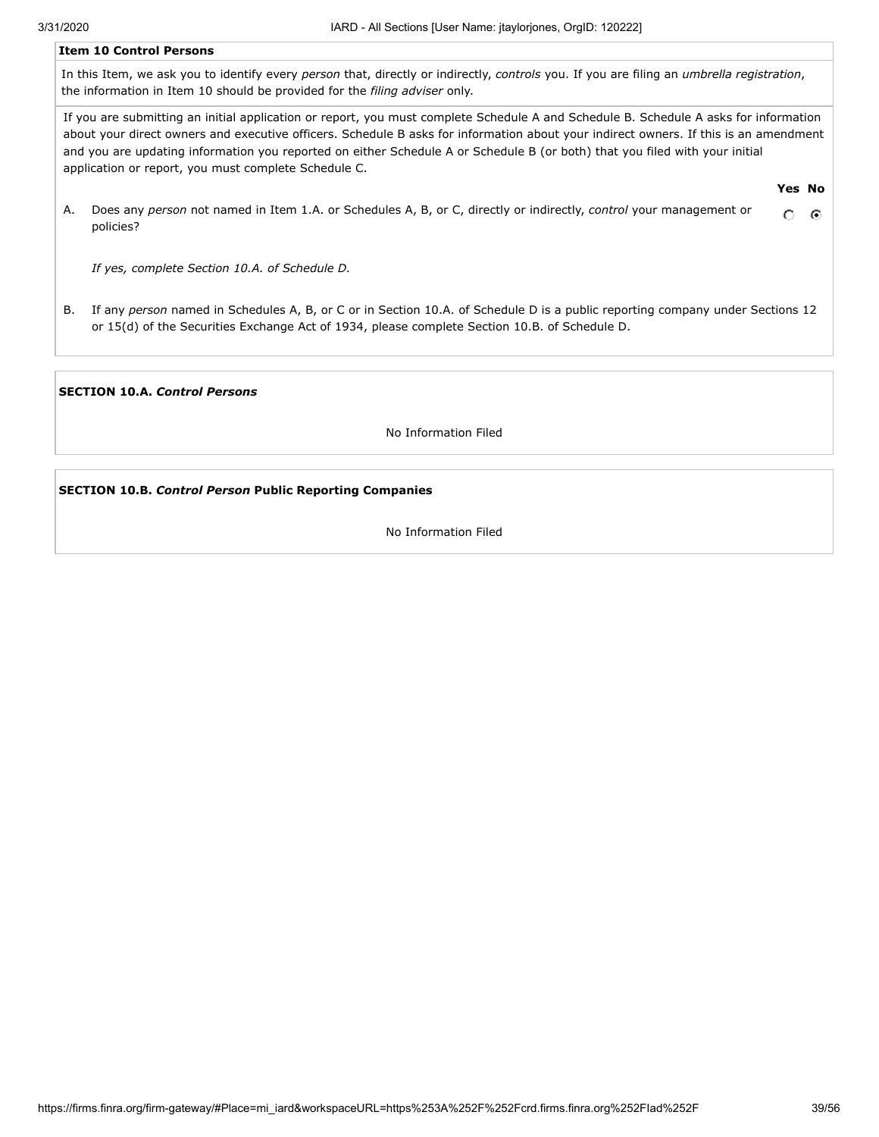## **Item 10 Control Persons**

In this Item, we ask you to identify every *person* that, directly or indirectly, *controls* you. If you are filing an *umbrella registration*, the information in Item 10 should be provided for the *filing adviser* only.

If you are submitting an initial application or report, you must complete Schedule A and Schedule B. Schedule A asks for information about your direct owners and executive officers. Schedule B asks for information about your indirect owners. If this is an amendment and you are updating information you reported on either Schedule A or Schedule B (or both) that you filed with your initial application or report, you must complete Schedule C.

**Yes No**

A. Does any *person* not named in Item 1.A. or Schedules A, B, or C, directly or indirectly, *control* your management or O. ⊙ policies?

*If yes, complete Section 10.A. of Schedule D.*

B. If any *person* named in Schedules A, B, or C or in Section 10.A. of Schedule D is a public reporting company under Sections 12 or 15(d) of the Securities Exchange Act of 1934, please complete Section 10.B. of Schedule D.

## **SECTION 10.A.** *Control Persons*

No Information Filed

## **SECTION 10.B.** *Control Person* **Public Reporting Companies**

No Information Filed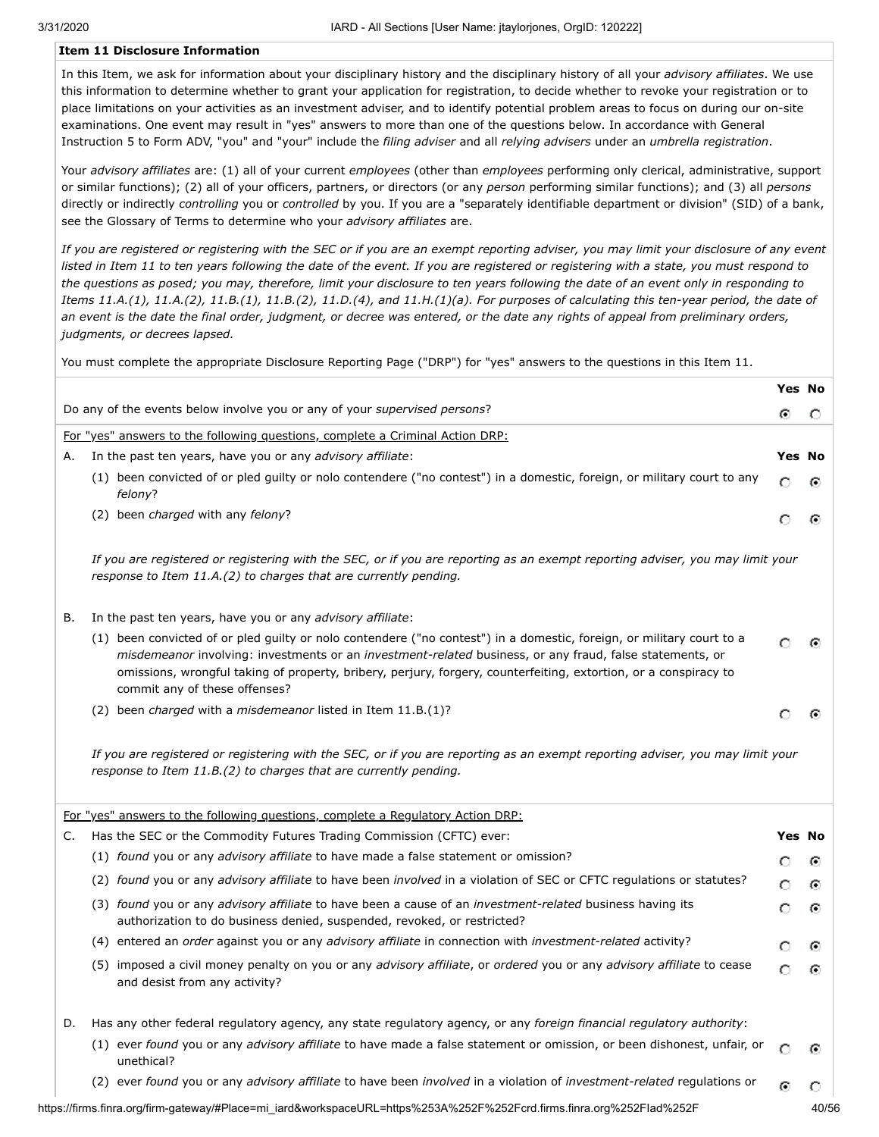## **Item 11 Disclosure Information**

In this Item, we ask for information about your disciplinary history and the disciplinary history of all your *advisory affiliates*. We use this information to determine whether to grant your application for registration, to decide whether to revoke your registration or to place limitations on your activities as an investment adviser, and to identify potential problem areas to focus on during our on-site examinations. One event may result in "yes" answers to more than one of the questions below. In accordance with General Instruction 5 to Form ADV, "you" and "your" include the *filing adviser* and all *relying advisers* under an *umbrella registration*.

Your *advisory affiliates* are: (1) all of your current *employees* (other than *employees* performing only clerical, administrative, support or similar functions); (2) all of your officers, partners, or directors (or any *person* performing similar functions); and (3) all *persons* directly or indirectly *controlling* you or *controlled* by you. If you are a "separately identifiable department or division" (SID) of a bank, see the Glossary of Terms to determine who your *advisory affiliates* are.

*If you are registered or registering with the SEC or if you are an exempt reporting adviser, you may limit your disclosure of any event listed in Item 11 to ten years following the date of the event. If you are registered or registering with a state, you must respond to the questions as posed; you may, therefore, limit your disclosure to ten years following the date of an event only in responding to Items 11.A.(1), 11.A.(2), 11.B.(1), 11.B.(2), 11.D.(4), and 11.H.(1)(a). For purposes of calculating this ten-year period, the date of an event is the date the final order, judgment, or decree was entered, or the date any rights of appeal from preliminary orders, judgments, or decrees lapsed.*

You must complete the appropriate Disclosure Reporting Page ("DRP") for "yes" answers to the questions in this Item 11.

|          |                                                                                                                                                                                                                                                                                                                                                                                        | <b>Yes No</b> |                                 |
|----------|----------------------------------------------------------------------------------------------------------------------------------------------------------------------------------------------------------------------------------------------------------------------------------------------------------------------------------------------------------------------------------------|---------------|---------------------------------|
|          | Do any of the events below involve you or any of your <i>supervised persons?</i>                                                                                                                                                                                                                                                                                                       | ⊙             | O                               |
|          | For "yes" answers to the following questions, complete a Criminal Action DRP:                                                                                                                                                                                                                                                                                                          |               |                                 |
| Α.       | In the past ten years, have you or any advisory affiliate:                                                                                                                                                                                                                                                                                                                             | <b>Yes No</b> |                                 |
|          | (1) been convicted of or pled quilty or nolo contendere ("no contest") in a domestic, foreign, or military court to any<br>felony?                                                                                                                                                                                                                                                     | O             | ⊙                               |
|          | (2) been charged with any felony?                                                                                                                                                                                                                                                                                                                                                      | О             | ⊙                               |
|          | If you are registered or registering with the SEC, or if you are reporting as an exempt reporting adviser, you may limit your<br>response to Item 11.A.(2) to charges that are currently pending.                                                                                                                                                                                      |               |                                 |
| В.       | In the past ten years, have you or any <i>advisory affiliate</i> :                                                                                                                                                                                                                                                                                                                     |               |                                 |
|          | (1) been convicted of or pled guilty or nolo contendere ("no contest") in a domestic, foreign, or military court to a<br>misdemeanor involving: investments or an investment-related business, or any fraud, false statements, or<br>omissions, wrongful taking of property, bribery, perjury, forgery, counterfeiting, extortion, or a conspiracy to<br>commit any of these offenses? | с             | ⊙                               |
|          |                                                                                                                                                                                                                                                                                                                                                                                        |               |                                 |
|          | (2) been <i>charged</i> with a <i>misdemeanor</i> listed in Item 11.B.(1)?<br>If you are registered or registering with the SEC, or if you are reporting as an exempt reporting adviser, you may limit your<br>response to Item 11.B.(2) to charges that are currently pending.                                                                                                        | О             |                                 |
|          | For "yes" answers to the following questions, complete a Regulatory Action DRP:                                                                                                                                                                                                                                                                                                        |               |                                 |
|          | Has the SEC or the Commodity Futures Trading Commission (CFTC) ever:                                                                                                                                                                                                                                                                                                                   | Yes No        |                                 |
|          | (1) found you or any <i>advisory affiliate</i> to have made a false statement or omission?                                                                                                                                                                                                                                                                                             |               |                                 |
|          | (2) found you or any advisory affiliate to have been involved in a violation of SEC or CFTC regulations or statutes?                                                                                                                                                                                                                                                                   | O             |                                 |
|          | (3) found you or any advisory affiliate to have been a cause of an investment-related business having its<br>authorization to do business denied, suspended, revoked, or restricted?                                                                                                                                                                                                   | O<br>Ω        | G                               |
|          | (4) entered an order against you or any advisory affiliate in connection with investment-related activity?                                                                                                                                                                                                                                                                             | O             |                                 |
|          | (5) imposed a civil money penalty on you or any advisory affiliate, or ordered you or any advisory affiliate to cease<br>and desist from any activity?                                                                                                                                                                                                                                 | о             |                                 |
|          | Has any other federal regulatory agency, any state regulatory agency, or any foreign financial regulatory authority:                                                                                                                                                                                                                                                                   |               |                                 |
|          | (1) ever found you or any advisory affiliate to have made a false statement or omission, or been dishonest, unfair, or<br>unethical?                                                                                                                                                                                                                                                   | Ο             |                                 |
| C.<br>D. | (2) ever found you or any advisory affiliate to have been involved in a violation of investment-related regulations or                                                                                                                                                                                                                                                                 |               | ⊙<br>⊙<br>⊙<br>⊙<br>⊙<br>⊙<br>C |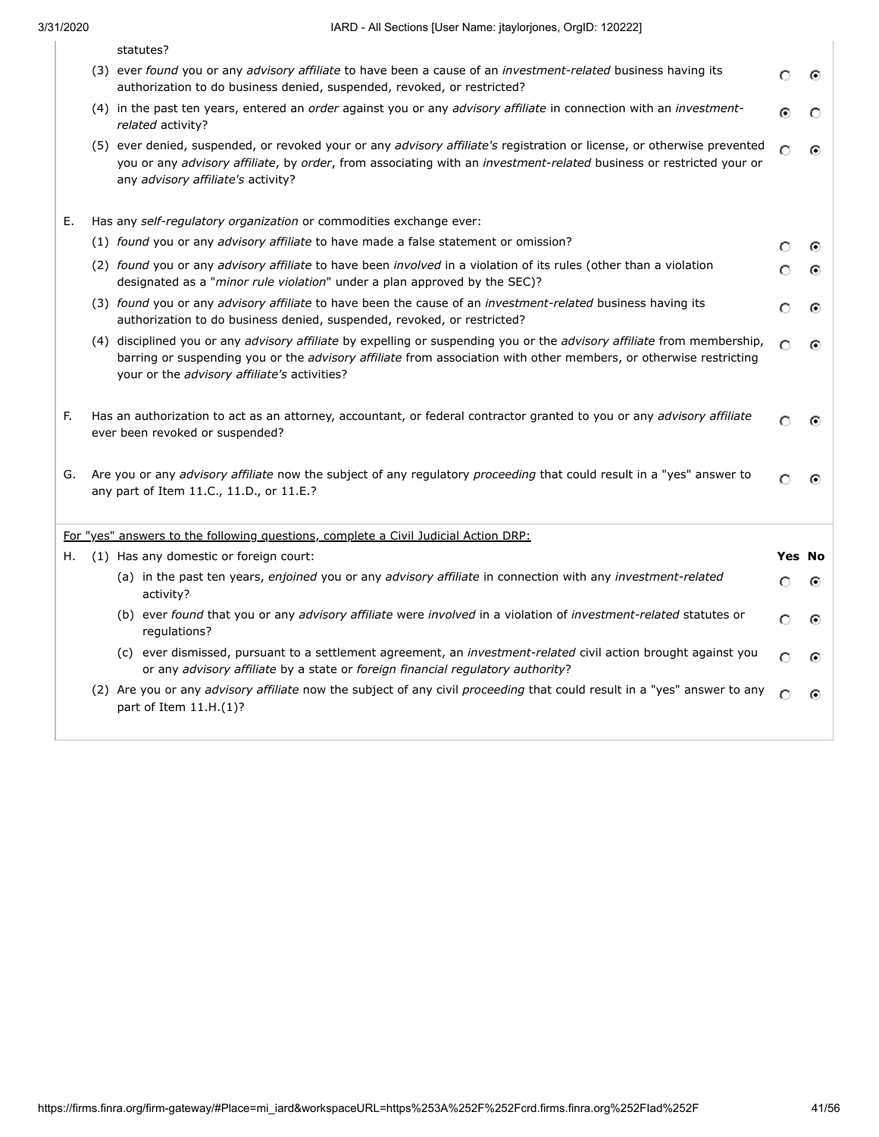|    | statutes?                                                                                                                                                                                                                                                                                    |        |   |
|----|----------------------------------------------------------------------------------------------------------------------------------------------------------------------------------------------------------------------------------------------------------------------------------------------|--------|---|
|    | (3) ever found you or any advisory affiliate to have been a cause of an investment-related business having its<br>authorization to do business denied, suspended, revoked, or restricted?                                                                                                    |        | ⊙ |
|    | (4) in the past ten years, entered an order against you or any <i>advisory affiliate</i> in connection with an <i>investment</i> -<br>related activity?                                                                                                                                      | ⋒      |   |
|    | (5) ever denied, suspended, or revoked your or any <i>advisory affiliate's</i> registration or license, or otherwise prevented<br>you or any advisory affiliate, by order, from associating with an investment-related business or restricted your or<br>any advisory affiliate's activity?  | O      | Θ |
| Ε. | Has any <i>self-regulatory organization</i> or commodities exchange ever:                                                                                                                                                                                                                    |        |   |
|    | (1) found you or any advisory affiliate to have made a false statement or omission?                                                                                                                                                                                                          | О      | ⊙ |
|    | (2) found you or any advisory affiliate to have been involved in a violation of its rules (other than a violation<br>designated as a "minor rule violation" under a plan approved by the SEC)?                                                                                               | O      | ⊙ |
|    | (3) found you or any advisory affiliate to have been the cause of an investment-related business having its<br>authorization to do business denied, suspended, revoked, or restricted?                                                                                                       | O      | Θ |
|    | (4) disciplined you or any advisory affiliate by expelling or suspending you or the advisory affiliate from membership,<br>barring or suspending you or the advisory affiliate from association with other members, or otherwise restricting<br>your or the advisory affiliate's activities? | Ο      | ⊙ |
| F. | Has an authorization to act as an attorney, accountant, or federal contractor granted to you or any <i>advisory affiliate</i><br>ever been revoked or suspended?                                                                                                                             | Ο      | Θ |
| G. | Are you or any advisory affiliate now the subject of any regulatory proceeding that could result in a "yes" answer to<br>any part of Item 11.C., 11.D., or 11.E.?                                                                                                                            | O      | ⊙ |
|    | For "yes" answers to the following questions, complete a Civil Judicial Action DRP:                                                                                                                                                                                                          |        |   |
| н. | (1) Has any domestic or foreign court:                                                                                                                                                                                                                                                       | Yes No |   |
|    | (a) in the past ten years, enjoined you or any advisory affiliate in connection with any investment-related<br>activity?                                                                                                                                                                     | O      | ⊙ |
|    | (b) ever found that you or any advisory affiliate were involved in a violation of investment-related statutes or<br>regulations?                                                                                                                                                             | O      | ⊙ |
|    | (c) ever dismissed, pursuant to a settlement agreement, an investment-related civil action brought against you<br>or any advisory affiliate by a state or foreign financial regulatory authority?                                                                                            | O      | ⊙ |
|    | (2) Are you or any advisory affiliate now the subject of any civil proceeding that could result in a "yes" answer to any<br>part of Item $11.H.(1)?$                                                                                                                                         | O      | ⊙ |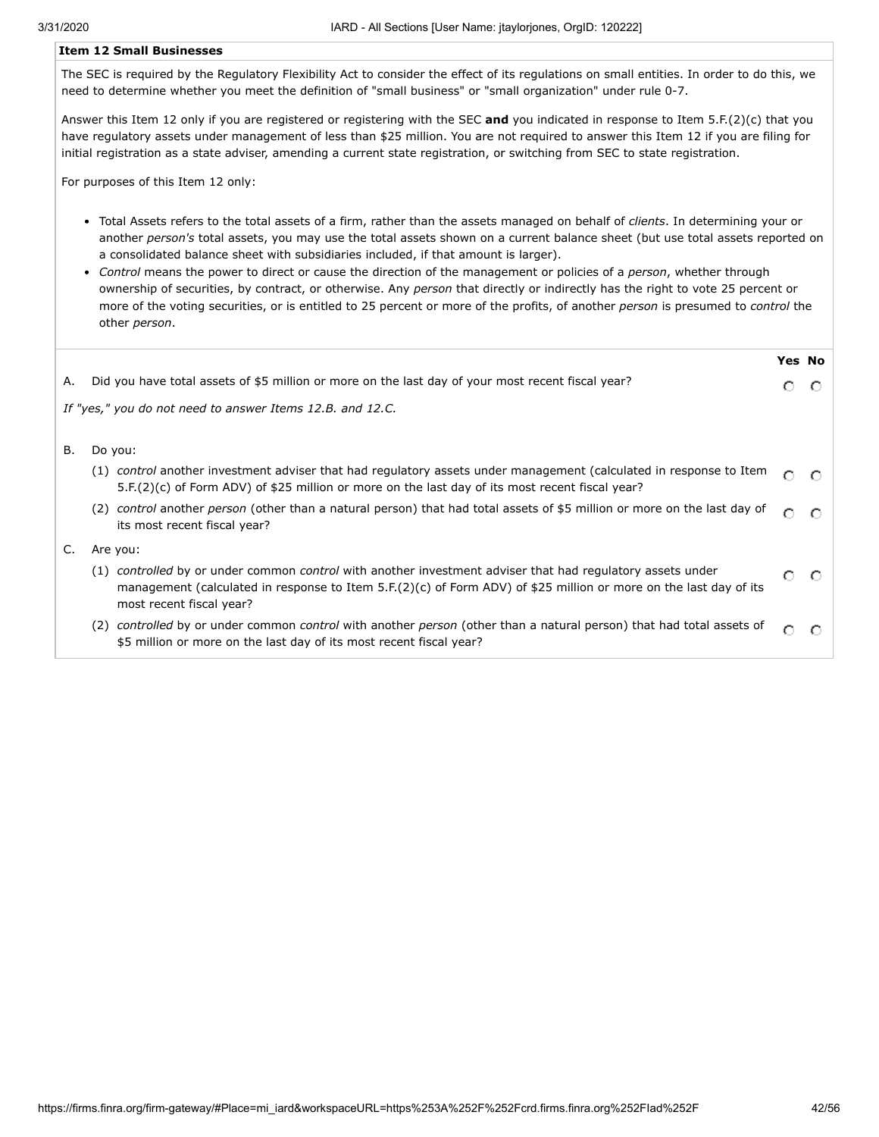## **Item 12 Small Businesses**

The SEC is required by the Regulatory Flexibility Act to consider the effect of its regulations on small entities. In order to do this, we need to determine whether you meet the definition of "small business" or "small organization" under rule 0-7.

Answer this Item 12 only if you are registered or registering with the SEC **and** you indicated in response to Item 5.F.(2)(c) that you have regulatory assets under management of less than \$25 million. You are not required to answer this Item 12 if you are filing for initial registration as a state adviser, amending a current state registration, or switching from SEC to state registration.

For purposes of this Item 12 only:

- Total Assets refers to the total assets of a firm, rather than the assets managed on behalf of *clients*. In determining your or another *person's* total assets, you may use the total assets shown on a current balance sheet (but use total assets reported on a consolidated balance sheet with subsidiaries included, if that amount is larger).
- *Control* means the power to direct or cause the direction of the management or policies of a *person*, whether through ownership of securities, by contract, or otherwise. Any *person* that directly or indirectly has the right to vote 25 percent or more of the voting securities, or is entitled to 25 percent or more of the profits, of another *person* is presumed to *control* the other *person*.

|    |                                                                                                                                                                                                                                                             | <b>Yes No</b> |  |
|----|-------------------------------------------------------------------------------------------------------------------------------------------------------------------------------------------------------------------------------------------------------------|---------------|--|
| А. | Did you have total assets of \$5 million or more on the last day of your most recent fiscal year?                                                                                                                                                           |               |  |
|    | If "yes," you do not need to answer Items 12.B. and 12.C.                                                                                                                                                                                                   |               |  |
| В. | Do you:                                                                                                                                                                                                                                                     |               |  |
|    | (1) control another investment adviser that had regulatory assets under management (calculated in response to Item<br>5.F.(2)(c) of Form ADV) of \$25 million or more on the last day of its most recent fiscal year?                                       |               |  |
|    | control another person (other than a natural person) that had total assets of \$5 million or more on the last day of<br>(2)<br>its most recent fiscal year?                                                                                                 |               |  |
| C. | Are you:                                                                                                                                                                                                                                                    |               |  |
|    | (1) controlled by or under common control with another investment adviser that had regulatory assets under<br>management (calculated in response to Item 5.F.(2)(c) of Form ADV) of \$25 million or more on the last day of its<br>most recent fiscal year? | О             |  |
|    | controlled by or under common control with another person (other than a natural person) that had total assets of<br>(2)<br>\$5 million or more on the last day of its most recent fiscal year?                                                              |               |  |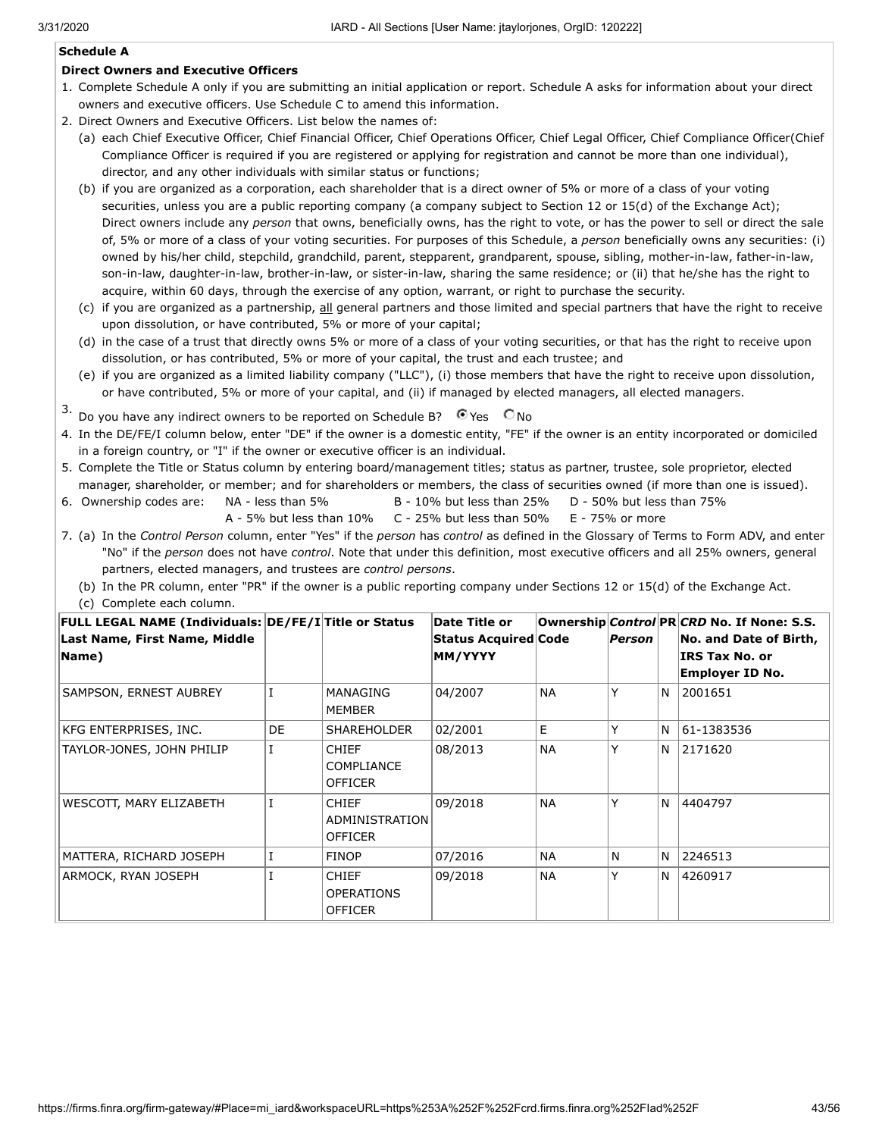# **Schedule A**

# **Direct Owners and Executive Officers**

- 1. Complete Schedule A only if you are submitting an initial application or report. Schedule A asks for information about your direct owners and executive officers. Use Schedule C to amend this information.
- 2. Direct Owners and Executive Officers. List below the names of:
	- (a) each Chief Executive Officer, Chief Financial Officer, Chief Operations Officer, Chief Legal Officer, Chief Compliance Officer(Chief Compliance Officer is required if you are registered or applying for registration and cannot be more than one individual), director, and any other individuals with similar status or functions;
	- (b) if you are organized as a corporation, each shareholder that is a direct owner of 5% or more of a class of your voting securities, unless you are a public reporting company (a company subject to Section 12 or 15(d) of the Exchange Act); Direct owners include any *person* that owns, beneficially owns, has the right to vote, or has the power to sell or direct the sale of, 5% or more of a class of your voting securities. For purposes of this Schedule, a *person* beneficially owns any securities: (i) owned by his/her child, stepchild, grandchild, parent, stepparent, grandparent, spouse, sibling, mother-in-law, father-in-law, son-in-law, daughter-in-law, brother-in-law, or sister-in-law, sharing the same residence; or (ii) that he/she has the right to acquire, within 60 days, through the exercise of any option, warrant, or right to purchase the security.
	- (c) if you are organized as a partnership, all general partners and those limited and special partners that have the right to receive upon dissolution, or have contributed, 5% or more of your capital;
	- (d) in the case of a trust that directly owns 5% or more of a class of your voting securities, or that has the right to receive upon dissolution, or has contributed, 5% or more of your capital, the trust and each trustee; and
	- (e) if you are organized as a limited liability company ("LLC"), (i) those members that have the right to receive upon dissolution, or have contributed, 5% or more of your capital, and (ii) if managed by elected managers, all elected managers.
- 3. Do you have any indirect owners to be reported on Schedule B?  $\bullet$  Yes  $\circ$  No
- 4. In the DE/FE/I column below, enter "DE" if the owner is a domestic entity, "FE" if the owner is an entity incorporated or domiciled in a foreign country, or "I" if the owner or executive officer is an individual.
- 5. Complete the Title or Status column by entering board/management titles; status as partner, trustee, sole proprietor, elected manager, shareholder, or member; and for shareholders or members, the class of securities owned (if more than one is issued).
- 6. Ownership codes are: NA less than 5% B 10% but less than 25% D 50% but less than 75%
	-
	- A 5% but less than  $10\%$  C 25% but less than  $50\%$  E 75% or more

7. (a) In the *Control Person* column, enter "Yes" if the *person* has *control* as defined in the Glossary of Terms to Form ADV, and enter "No" if the *person* does not have *control*. Note that under this definition, most executive officers and all 25% owners, general partners, elected managers, and trustees are *control persons*.

- (b) In the PR column, enter "PR" if the owner is a public reporting company under Sections 12 or 15(d) of the Exchange Act.
- (c) Complete each column.

| FULL LEGAL NAME (Individuals: DE/FE/I Title or Status<br>Last Name, First Name, Middle<br>Name) |    |                                                     | Date Title or<br><b>Status Acquired Code</b><br><b>MM/YYYY</b> |           | Person |   | Ownership Control PR CRD No. If None: S.S.<br>No. and Date of Birth,<br><b>IRS Tax No. or</b><br><b>Employer ID No.</b> |
|-------------------------------------------------------------------------------------------------|----|-----------------------------------------------------|----------------------------------------------------------------|-----------|--------|---|-------------------------------------------------------------------------------------------------------------------------|
| SAMPSON, ERNEST AUBREY                                                                          |    | MANAGING<br><b>MEMBER</b>                           | 04/2007                                                        | <b>NA</b> | Y      | N | 2001651                                                                                                                 |
| KFG ENTERPRISES, INC.                                                                           | DE | <b>SHAREHOLDER</b>                                  | 02/2001                                                        | E         | Y      | N | 61-1383536                                                                                                              |
| TAYLOR-JONES, JOHN PHILIP                                                                       |    | <b>CHIEF</b><br><b>COMPLIANCE</b><br><b>OFFICER</b> | 08/2013                                                        | <b>NA</b> | Υ      | N | 2171620                                                                                                                 |
| WESCOTT, MARY ELIZABETH                                                                         |    | <b>CHIEF</b><br>ADMINISTRATION<br><b>OFFICER</b>    | 09/2018                                                        | <b>NA</b> | Y      | N | 4404797                                                                                                                 |
| MATTERA, RICHARD JOSEPH                                                                         |    | <b>FINOP</b>                                        | 07/2016                                                        | <b>NA</b> | N      | N | 2246513                                                                                                                 |
| ARMOCK, RYAN JOSEPH                                                                             |    | <b>CHIEF</b><br><b>OPERATIONS</b><br><b>OFFICER</b> | 09/2018                                                        | <b>NA</b> | Υ      | N | 4260917                                                                                                                 |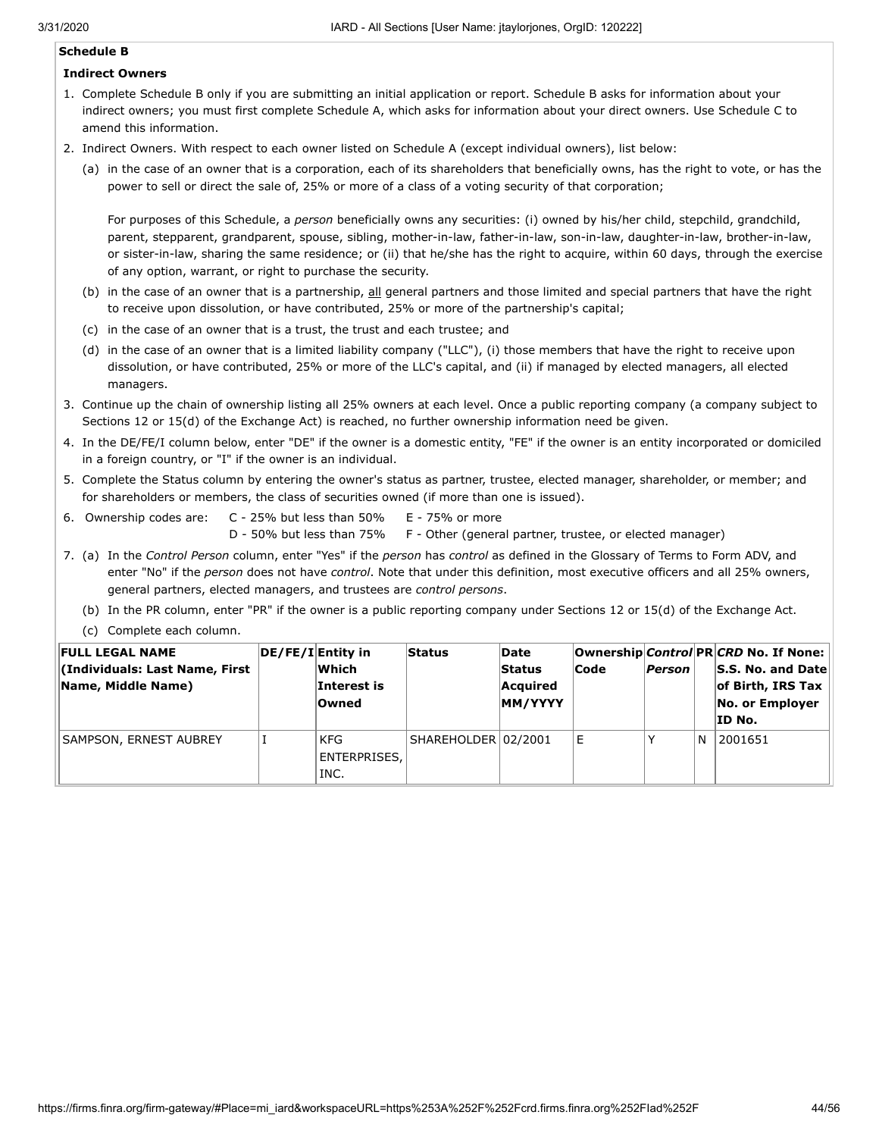## **Schedule B**

## **Indirect Owners**

- 1. Complete Schedule B only if you are submitting an initial application or report. Schedule B asks for information about your indirect owners; you must first complete Schedule A, which asks for information about your direct owners. Use Schedule C to amend this information.
- 2. Indirect Owners. With respect to each owner listed on Schedule A (except individual owners), list below:
	- (a) in the case of an owner that is a corporation, each of its shareholders that beneficially owns, has the right to vote, or has the power to sell or direct the sale of, 25% or more of a class of a voting security of that corporation;

For purposes of this Schedule, a *person* beneficially owns any securities: (i) owned by his/her child, stepchild, grandchild, parent, stepparent, grandparent, spouse, sibling, mother-in-law, father-in-law, son-in-law, daughter-in-law, brother-in-law, or sister-in-law, sharing the same residence; or (ii) that he/she has the right to acquire, within 60 days, through the exercise of any option, warrant, or right to purchase the security.

- (b) in the case of an owner that is a partnership, all general partners and those limited and special partners that have the right to receive upon dissolution, or have contributed, 25% or more of the partnership's capital;
- (c) in the case of an owner that is a trust, the trust and each trustee; and
- (d) in the case of an owner that is a limited liability company ("LLC"), (i) those members that have the right to receive upon dissolution, or have contributed, 25% or more of the LLC's capital, and (ii) if managed by elected managers, all elected managers.
- 3. Continue up the chain of ownership listing all 25% owners at each level. Once a public reporting company (a company subject to Sections 12 or 15(d) of the Exchange Act) is reached, no further ownership information need be given.
- 4. In the DE/FE/I column below, enter "DE" if the owner is a domestic entity, "FE" if the owner is an entity incorporated or domiciled in a foreign country, or "I" if the owner is an individual.
- 5. Complete the Status column by entering the owner's status as partner, trustee, elected manager, shareholder, or member; and for shareholders or members, the class of securities owned (if more than one is issued).
- 6. Ownership codes are: C 25% but less than 50% E 75% or more
	-
	- D 50% but less than 75% F Other (general partner, trustee, or elected manager)
- 7. (a) In the *Control Person* column, enter "Yes" if the *person* has *control* as defined in the Glossary of Terms to Form ADV, and enter "No" if the *person* does not have *control*. Note that under this definition, most executive officers and all 25% owners, general partners, elected managers, and trustees are *control persons*.
	- (b) In the PR column, enter "PR" if the owner is a public reporting company under Sections 12 or 15(d) of the Exchange Act.
	- (c) Complete each column.

| <b>FULL LEGAL NAME</b><br>(Individuals: Last Name, First)<br>Name, Middle Name) | DE/FE/I Entity in | Which<br>Interest is<br><b>Owned</b> | <b>Status</b>         | Date<br><b>Status</b><br>Acquired<br>MM/YYYY | Code | Person |   | Ownership Control PRCRD No. If None:<br><b>S.S. No. and Date</b><br>of Birth, IRS Tax<br>No. or Employer<br>ID No. |
|---------------------------------------------------------------------------------|-------------------|--------------------------------------|-----------------------|----------------------------------------------|------|--------|---|--------------------------------------------------------------------------------------------------------------------|
| SAMPSON, ERNEST AUBREY                                                          |                   | KFG.<br><b>ENTERPRISES.</b><br>INC.  | SHAREHOLDER   02/2001 |                                              | E    |        | N | 2001651                                                                                                            |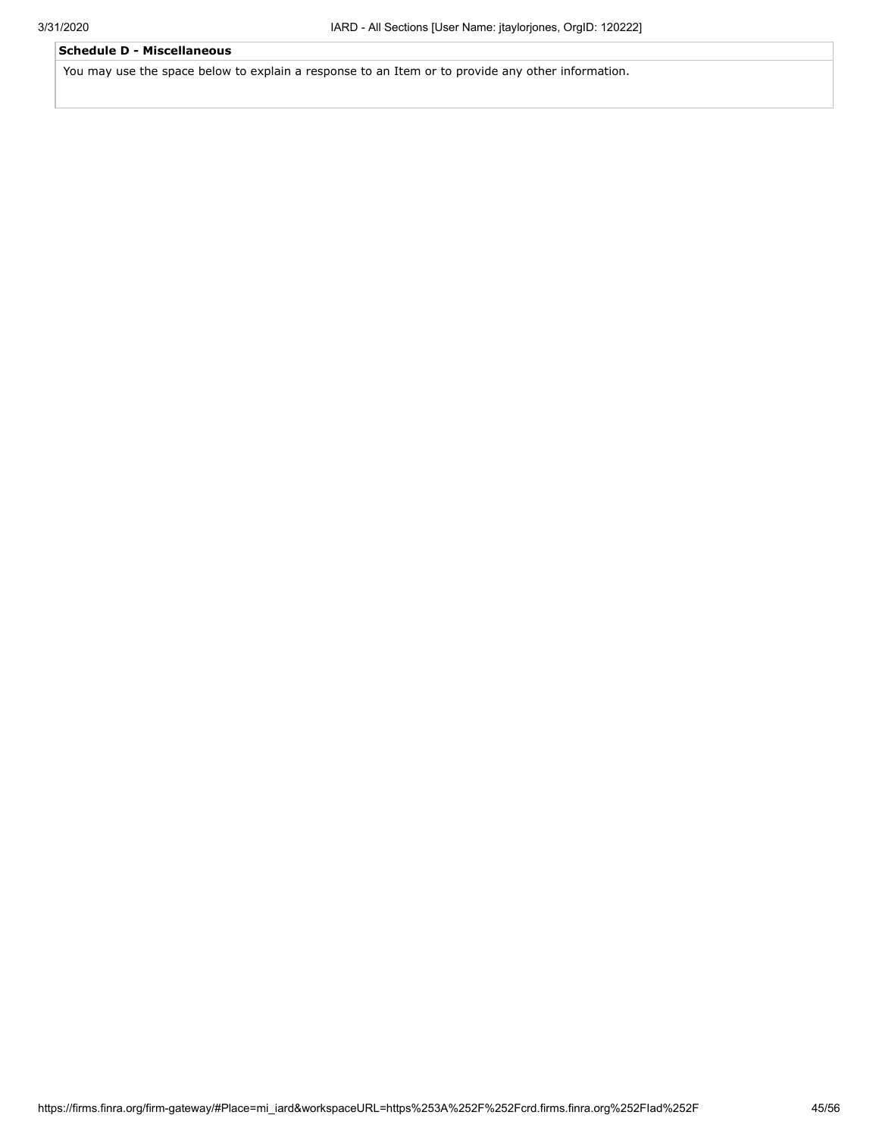# **Schedule D - Miscellaneous**

You may use the space below to explain a response to an Item or to provide any other information.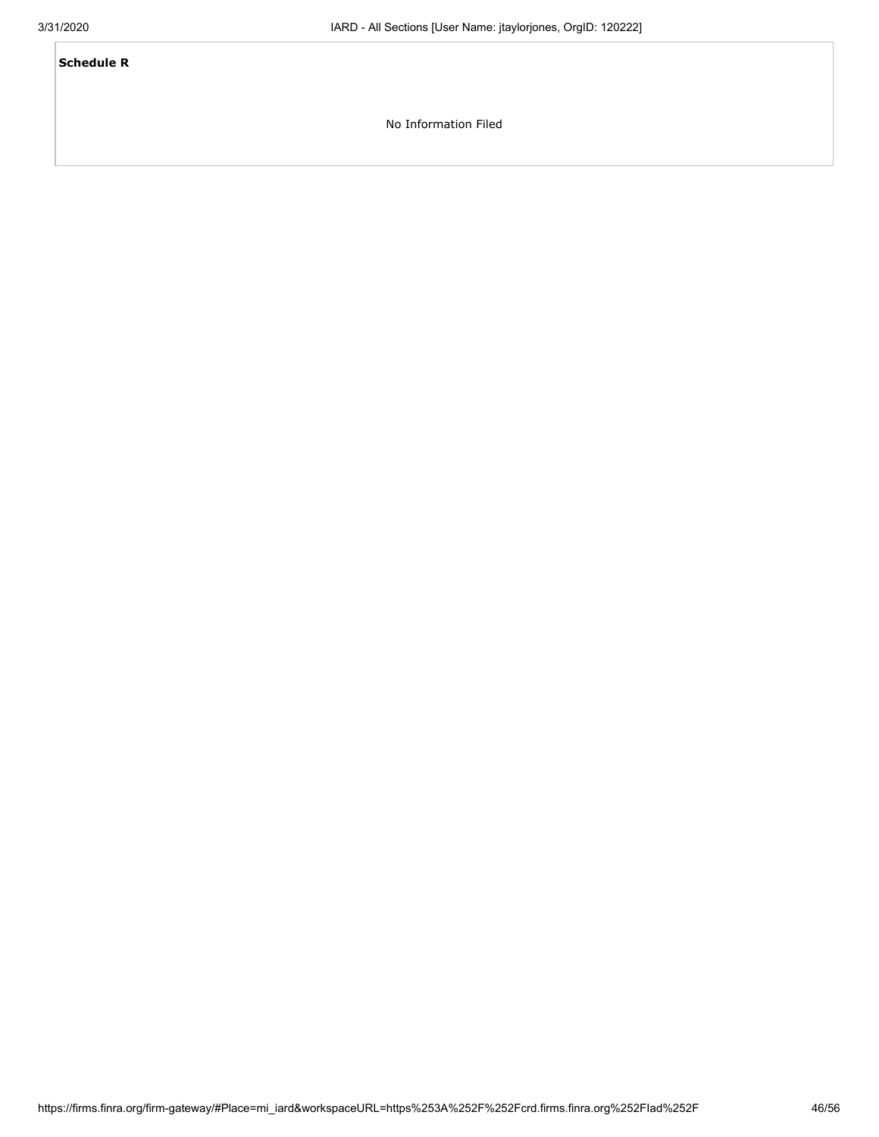No Information Filed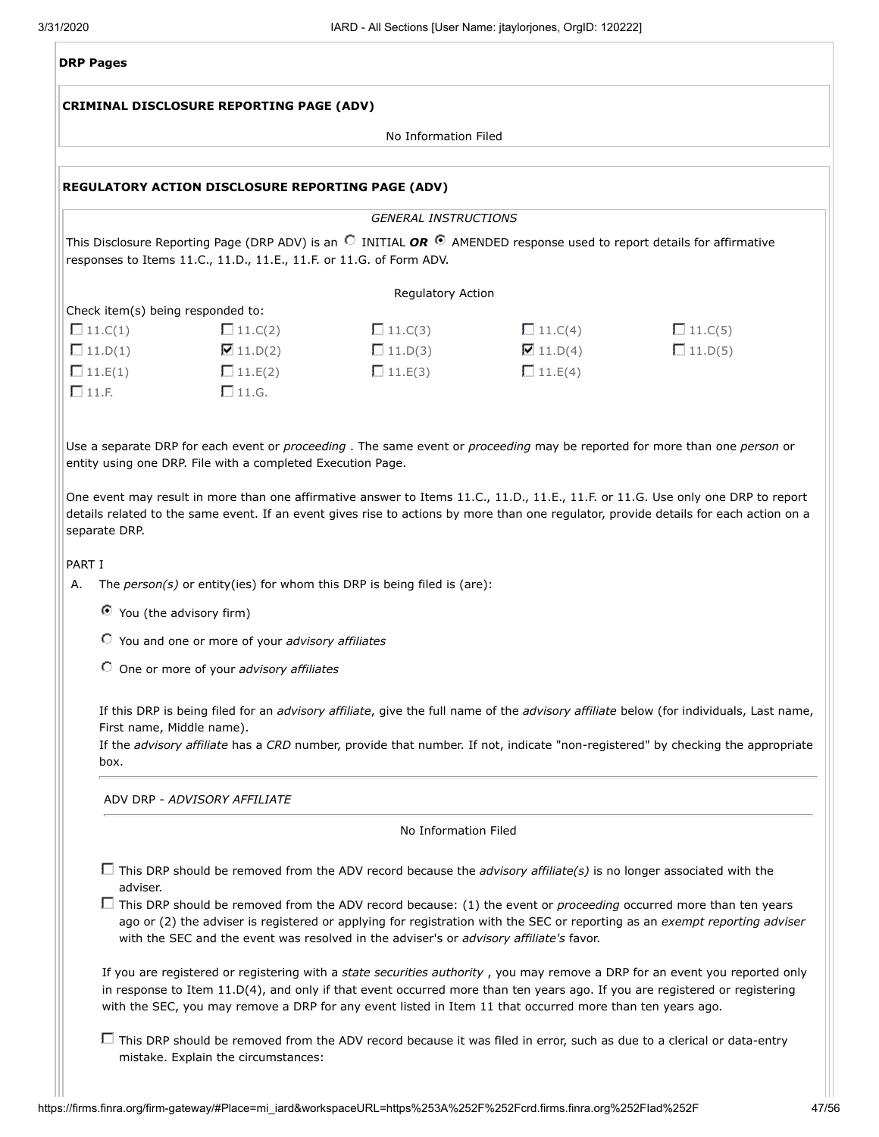| DRP Pages |  |
|-----------|--|
|-----------|--|

# **CRIMINAL DISCLOSURE REPORTING PAGE (ADV)**

No Information Filed

# **REGULATORY ACTION DISCLOSURE REPORTING PAGE (ADV)**

## *GENERAL INSTRUCTIONS*

This Disclosure Reporting Page (DRP ADV) is an  $\Omega$  INITIAL **OR**  $\Omega$  AMENDED response used to report details for affirmative responses to Items 11.C., 11.D., 11.E., 11.F. or 11.G. of Form ADV.

|                                   |                         | Regulatory Action |                         |                |
|-----------------------------------|-------------------------|-------------------|-------------------------|----------------|
| Check item(s) being responded to: |                         |                   |                         |                |
| $\Box$ 11.C(1)                    | 11.C(2)                 | $\Box$ 11.C(3)    | $\Box$ 11.C(4)          | $\Box$ 11.C(5) |
| $\Box$ 11.D(1)                    | $\triangledown$ 11.D(2) | $\Box$ 11.D(3)    | $\triangledown$ 11.D(4) | $\Box$ 11.D(5) |
| $\Box$ 11.E(1)                    | 11.E(2)                 | $\Box$ 11.E(3)    | $\Box$ 11.E(4)          |                |
| $\Box$ 11.E.                      | $\square$ 11.G.         |                   |                         |                |

Use a separate DRP for each event or *proceeding* . The same event or *proceeding* may be reported for more than one *person* or entity using one DRP. File with a completed Execution Page.

One event may result in more than one affirmative answer to Items 11.C., 11.D., 11.E., 11.F. or 11.G. Use only one DRP to report details related to the same event. If an event gives rise to actions by more than one regulator, provide details for each action on a separate DRP.

## PART I

- A. The *person(s)* or entity(ies) for whom this DRP is being filed is (are):
	- $\odot$  You (the advisory firm)
	- You and one or more of your *advisory affiliates*
	- One or more of your *advisory affiliates*

If this DRP is being filed for an *advisory affiliate*, give the full name of the *advisory affiliate* below (for individuals, Last name, First name, Middle name).

If the *advisory affiliate* has a *CRD* number, provide that number. If not, indicate "non-registered" by checking the appropriate box.

ADV DRP - *ADVISORY AFFILIATE*

## No Information Filed

This DRP should be removed from the ADV record because the *advisory affiliate(s)* is no longer associated with the adviser.

This DRP should be removed from the ADV record because: (1) the event or *proceeding* occurred more than ten years ago or (2) the adviser is registered or applying for registration with the SEC or reporting as an *exempt reporting adviser* with the SEC and the event was resolved in the adviser's or *advisory affiliate's* favor.

If you are registered or registering with a *state securities authority* , you may remove a DRP for an event you reported only in response to Item 11.D(4), and only if that event occurred more than ten years ago. If you are registered or registering with the SEC, you may remove a DRP for any event listed in Item 11 that occurred more than ten years ago.

 $\Box$  This DRP should be removed from the ADV record because it was filed in error, such as due to a clerical or data-entry mistake. Explain the circumstances: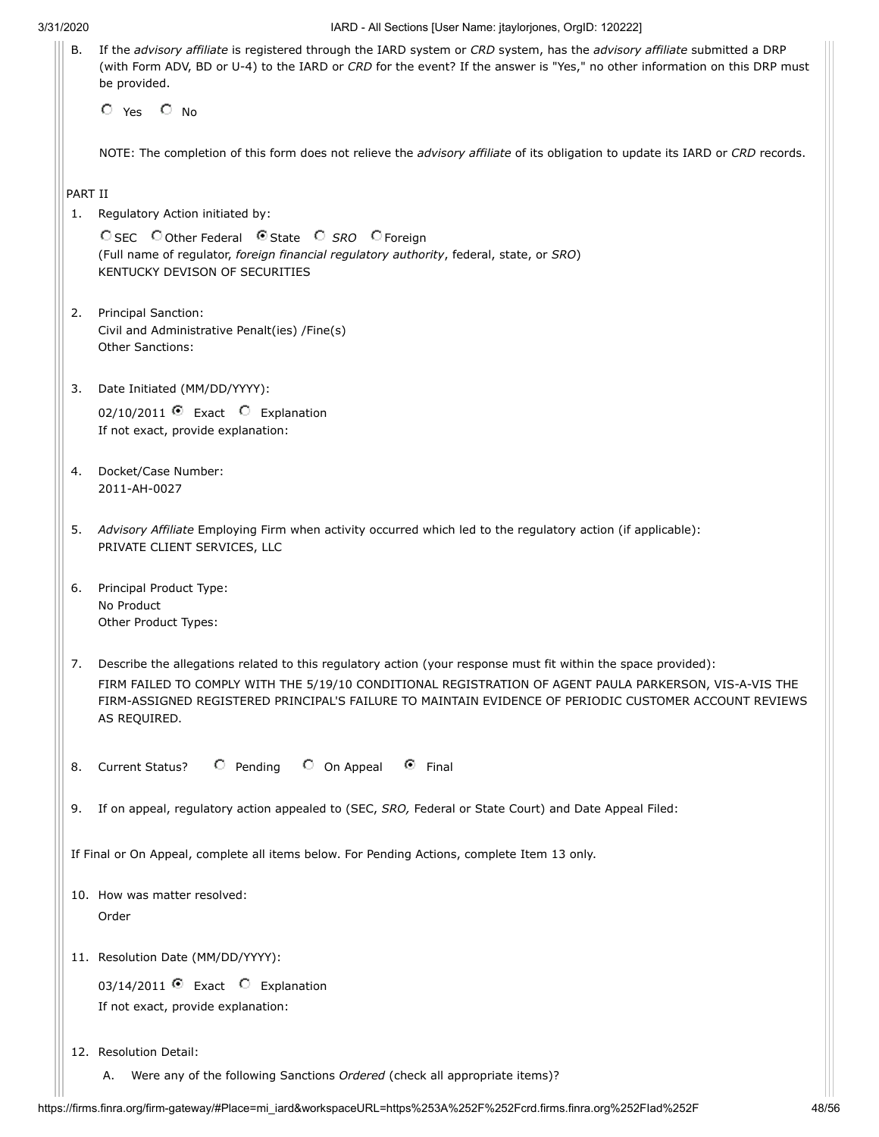B. If the *advisory affiliate* is registered through the IARD system or *CRD* system, has the *advisory affiliate* submitted a DRP (with Form ADV, BD or U-4) to the IARD or *CRD* for the event? If the answer is "Yes," no other information on this DRP must be provided.

 $O$  Yes  $O$  No

NOTE: The completion of this form does not relieve the *advisory affiliate* of its obligation to update its IARD or *CRD* records.

PART II

1. Regulatory Action initiated by:

SEC Other Federal State *SRO* Foreign (Full name of regulator, *foreign financial regulatory authority*, federal, state, or *SRO*) KENTUCKY DEVISON OF SECURITIES

- 2. Principal Sanction: Civil and Administrative Penalt(ies) /Fine(s) Other Sanctions:
- 3. Date Initiated (MM/DD/YYYY):

02/10/2011 Exact C Explanation If not exact, provide explanation:

- 4. Docket/Case Number: 2011-AH-0027
- 5. *Advisory Affiliate* Employing Firm when activity occurred which led to the regulatory action (if applicable): PRIVATE CLIENT SERVICES, LLC
- 6. Principal Product Type: No Product Other Product Types:
- 7. Describe the allegations related to this regulatory action (your response must fit within the space provided):

FIRM FAILED TO COMPLY WITH THE 5/19/10 CONDITIONAL REGISTRATION OF AGENT PAULA PARKERSON, VIS-A-VIS THE FIRM-ASSIGNED REGISTERED PRINCIPAL'S FAILURE TO MAINTAIN EVIDENCE OF PERIODIC CUSTOMER ACCOUNT REVIEWS AS REQUIRED.

- 8. Current Status? C Pending C On Appeal © Final
- 9. If on appeal, regulatory action appealed to (SEC, *SRO,* Federal or State Court) and Date Appeal Filed:

If Final or On Appeal, complete all items below. For Pending Actions, complete Item 13 only.

- 10. How was matter resolved: Order
- 11. Resolution Date (MM/DD/YYYY):

03/14/2011 ■ Exact C Explanation If not exact, provide explanation:

- 12. Resolution Detail:
	- A. Were any of the following Sanctions *Ordered* (check all appropriate items)?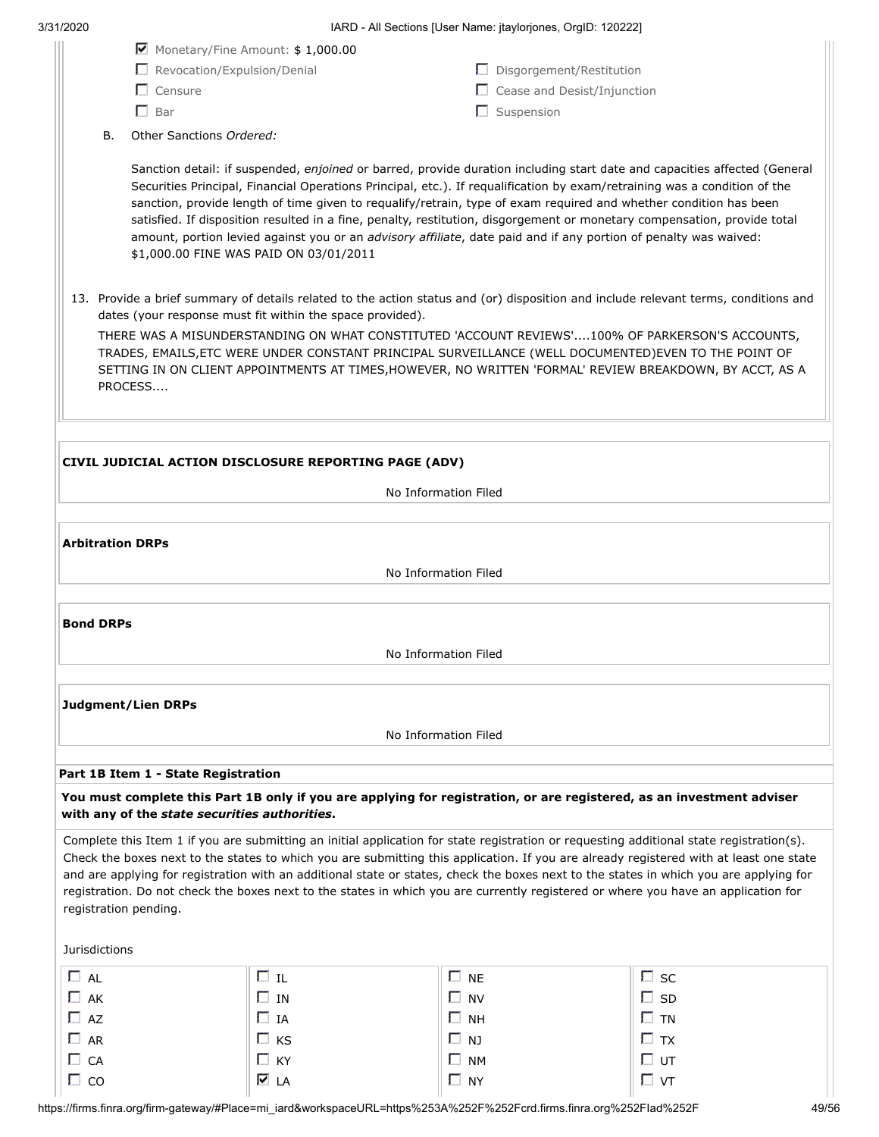|                        |    |                                                           | IARD - All Sections [User Name: jtaylorjones, OrgID: 120222]                                                                                                                                                                                                                                                                                                                                                                                                                                                                                                                                                                |
|------------------------|----|-----------------------------------------------------------|-----------------------------------------------------------------------------------------------------------------------------------------------------------------------------------------------------------------------------------------------------------------------------------------------------------------------------------------------------------------------------------------------------------------------------------------------------------------------------------------------------------------------------------------------------------------------------------------------------------------------------|
|                        |    | Monetary/Fine Amount: $$1,000.00$                         |                                                                                                                                                                                                                                                                                                                                                                                                                                                                                                                                                                                                                             |
|                        |    | Revocation/Expulsion/Denial                               | Disgorgement/Restitution                                                                                                                                                                                                                                                                                                                                                                                                                                                                                                                                                                                                    |
|                        |    | $\Box$ Censure                                            | $\Box$ Cease and Desist/Injunction                                                                                                                                                                                                                                                                                                                                                                                                                                                                                                                                                                                          |
|                        |    | $\Box$ Bar                                                | $\Box$ Suspension                                                                                                                                                                                                                                                                                                                                                                                                                                                                                                                                                                                                           |
|                        | В. | Other Sanctions Ordered:                                  |                                                                                                                                                                                                                                                                                                                                                                                                                                                                                                                                                                                                                             |
|                        |    | \$1,000.00 FINE WAS PAID ON 03/01/2011                    | Sanction detail: if suspended, enjoined or barred, provide duration including start date and capacities affected (General<br>Securities Principal, Financial Operations Principal, etc.). If requalification by exam/retraining was a condition of the<br>sanction, provide length of time given to requalify/retrain, type of exam required and whether condition has been<br>satisfied. If disposition resulted in a fine, penalty, restitution, disgorgement or monetary compensation, provide total<br>amount, portion levied against you or an advisory affiliate, date paid and if any portion of penalty was waived: |
|                        |    | dates (your response must fit within the space provided). | 13. Provide a brief summary of details related to the action status and (or) disposition and include relevant terms, conditions and                                                                                                                                                                                                                                                                                                                                                                                                                                                                                         |
|                        |    | PROCESS                                                   | THERE WAS A MISUNDERSTANDING ON WHAT CONSTITUTED 'ACCOUNT REVIEWS'100% OF PARKERSON'S ACCOUNTS,<br>TRADES, EMAILS, ETC WERE UNDER CONSTANT PRINCIPAL SURVEILLANCE (WELL DOCUMENTED) EVEN TO THE POINT OF<br>SETTING IN ON CLIENT APPOINTMENTS AT TIMES, HOWEVER, NO WRITTEN 'FORMAL' REVIEW BREAKDOWN, BY ACCT, AS A                                                                                                                                                                                                                                                                                                        |
|                        |    | CIVIL JUDICIAL ACTION DISCLOSURE REPORTING PAGE (ADV)     |                                                                                                                                                                                                                                                                                                                                                                                                                                                                                                                                                                                                                             |
|                        |    |                                                           | No Information Filed                                                                                                                                                                                                                                                                                                                                                                                                                                                                                                                                                                                                        |
|                        |    |                                                           |                                                                                                                                                                                                                                                                                                                                                                                                                                                                                                                                                                                                                             |
|                        |    | <b>Arbitration DRPs</b>                                   |                                                                                                                                                                                                                                                                                                                                                                                                                                                                                                                                                                                                                             |
|                        |    |                                                           | No Information Filed                                                                                                                                                                                                                                                                                                                                                                                                                                                                                                                                                                                                        |
|                        |    |                                                           |                                                                                                                                                                                                                                                                                                                                                                                                                                                                                                                                                                                                                             |
|                        |    |                                                           |                                                                                                                                                                                                                                                                                                                                                                                                                                                                                                                                                                                                                             |
| <b>Bond DRPs</b>       |    |                                                           |                                                                                                                                                                                                                                                                                                                                                                                                                                                                                                                                                                                                                             |
|                        |    |                                                           |                                                                                                                                                                                                                                                                                                                                                                                                                                                                                                                                                                                                                             |
|                        |    |                                                           | No Information Filed                                                                                                                                                                                                                                                                                                                                                                                                                                                                                                                                                                                                        |
|                        |    |                                                           |                                                                                                                                                                                                                                                                                                                                                                                                                                                                                                                                                                                                                             |
|                        |    | <b>Judgment/Lien DRPs</b>                                 |                                                                                                                                                                                                                                                                                                                                                                                                                                                                                                                                                                                                                             |
|                        |    |                                                           | No Information Filed                                                                                                                                                                                                                                                                                                                                                                                                                                                                                                                                                                                                        |
|                        |    |                                                           |                                                                                                                                                                                                                                                                                                                                                                                                                                                                                                                                                                                                                             |
|                        |    | Part 1B Item 1 - State Registration                       |                                                                                                                                                                                                                                                                                                                                                                                                                                                                                                                                                                                                                             |
|                        |    | with any of the state securities authorities.             | You must complete this Part 1B only if you are applying for registration, or are registered, as an investment adviser                                                                                                                                                                                                                                                                                                                                                                                                                                                                                                       |
|                        |    | registration pending.                                     | Complete this Item 1 if you are submitting an initial application for state registration or requesting additional state registration(s).<br>and are applying for registration with an additional state or states, check the boxes next to the states in which you are applying for<br>registration. Do not check the boxes next to the states in which you are currently registered or where you have an application for                                                                                                                                                                                                    |
| <b>Jurisdictions</b>   |    |                                                           | Check the boxes next to the states to which you are submitting this application. If you are already registered with at least one state                                                                                                                                                                                                                                                                                                                                                                                                                                                                                      |
| $\Box$ AL              |    | $\Box$ il                                                 | $\square$ NE<br>$\square$ sc                                                                                                                                                                                                                                                                                                                                                                                                                                                                                                                                                                                                |
| $\Box$ AK              |    | $\Box$ IN                                                 | $\Box$ SD<br>$\square$ NV                                                                                                                                                                                                                                                                                                                                                                                                                                                                                                                                                                                                   |
| $\Box$ AZ              |    | $\Box$ TA                                                 | $\Box$ TN<br>$\square$ NH                                                                                                                                                                                                                                                                                                                                                                                                                                                                                                                                                                                                   |
|                        |    |                                                           |                                                                                                                                                                                                                                                                                                                                                                                                                                                                                                                                                                                                                             |
| $\Box$ AR              |    | $\Box$ KS                                                 | $\Box$ TX<br>ΓW Ω                                                                                                                                                                                                                                                                                                                                                                                                                                                                                                                                                                                                           |
| $\Box$ CA<br>$\Box$ co |    | $\Box$ KY<br>M LA                                         | □ ∪т<br>$\square$ NM<br>П vт<br>$\square$ NY                                                                                                                                                                                                                                                                                                                                                                                                                                                                                                                                                                                |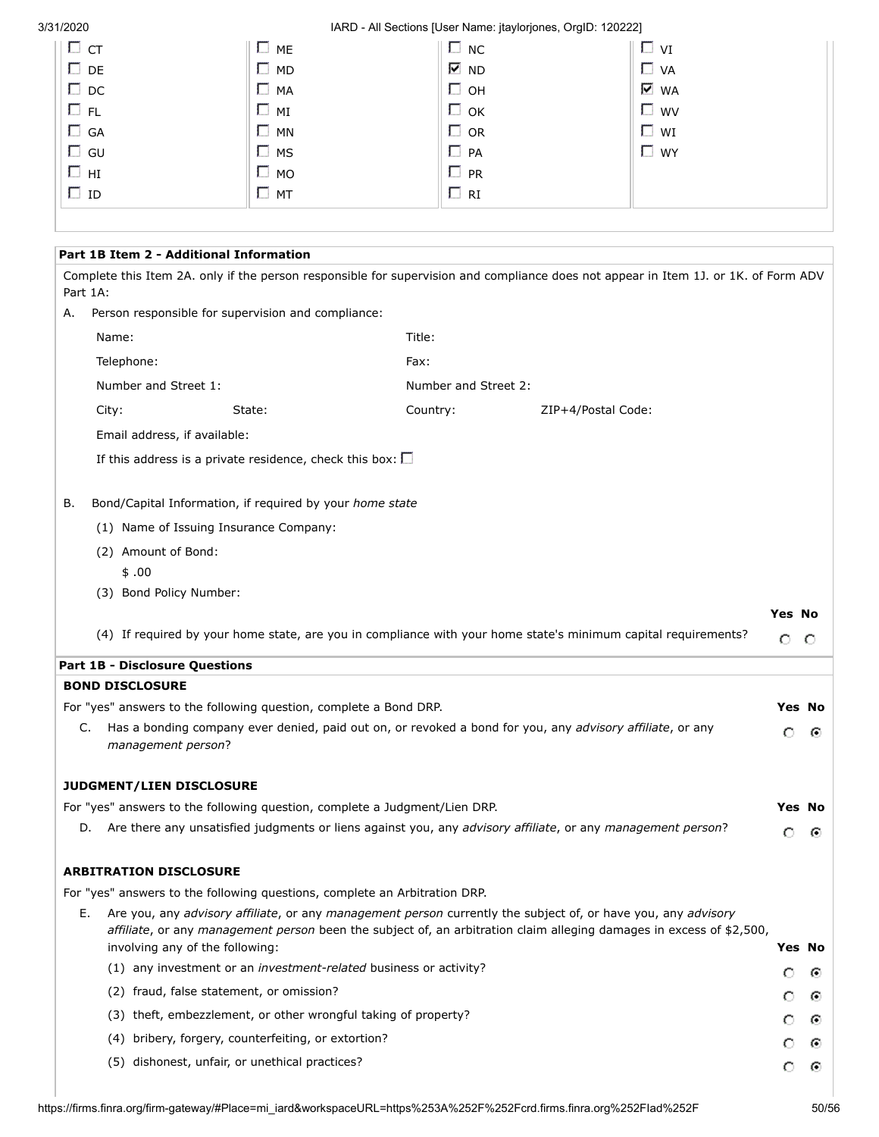| 1720ZU       |              | initio - All Occupiis [Osci Ivaliic, jtayioijoiics, OlyiD. TZUZZZ] |             |
|--------------|--------------|--------------------------------------------------------------------|-------------|
| $\Box$ CT    | $\Box$ ME    | $\Box$ NC                                                          | $\Box$ VI   |
| $\square$ DE | $\Box$ MD    | $\triangledown$ ND                                                 | $\Box$ VA   |
| $\Box$ DC    | $\Box$ MA    | $\Box$ OH                                                          | <b>V</b> WA |
| $\square$ FL | $\square$ MI | $\Box$ OK                                                          | $\Box$ wv   |
| $\Box$ GA    | $\Box$ MN    | $\Box$ OR                                                          | $\Box$ wi   |
| $\Box$ GU    | $\Box$ MS    | $\Box$ PA                                                          | $\Box$ WY   |
| $\square$ HI | $\square$ MO | $\Box$ PR                                                          |             |
| $\square$ ID | $\Box$ MT    | $\Box$ RI                                                          |             |
|              |              |                                                                    |             |

|          | Part 1B Item 2 - Additional Information                           |                                                                |                                                                                                                                                                                                                                       |               |           |
|----------|-------------------------------------------------------------------|----------------------------------------------------------------|---------------------------------------------------------------------------------------------------------------------------------------------------------------------------------------------------------------------------------------|---------------|-----------|
| Part 1A: |                                                                   |                                                                | Complete this Item 2A. only if the person responsible for supervision and compliance does not appear in Item 1J. or 1K. of Form ADV                                                                                                   |               |           |
| А.       | Person responsible for supervision and compliance:                |                                                                |                                                                                                                                                                                                                                       |               |           |
|          | Name:                                                             |                                                                | Title:                                                                                                                                                                                                                                |               |           |
|          | Telephone:                                                        |                                                                | Fax:                                                                                                                                                                                                                                  |               |           |
|          | Number and Street 1:                                              |                                                                | Number and Street 2:                                                                                                                                                                                                                  |               |           |
|          | City:                                                             | State:                                                         | Country:<br>ZIP+4/Postal Code:                                                                                                                                                                                                        |               |           |
|          | Email address, if available:                                      |                                                                |                                                                                                                                                                                                                                       |               |           |
|          | If this address is a private residence, check this box: $\square$ |                                                                |                                                                                                                                                                                                                                       |               |           |
| В.       | Bond/Capital Information, if required by your home state          |                                                                |                                                                                                                                                                                                                                       |               |           |
|          | (1) Name of Issuing Insurance Company:                            |                                                                |                                                                                                                                                                                                                                       |               |           |
|          | (2) Amount of Bond:                                               |                                                                |                                                                                                                                                                                                                                       |               |           |
|          | 00. \$                                                            |                                                                |                                                                                                                                                                                                                                       |               |           |
|          | (3) Bond Policy Number:                                           |                                                                |                                                                                                                                                                                                                                       |               |           |
|          |                                                                   |                                                                |                                                                                                                                                                                                                                       | Yes No        |           |
|          |                                                                   |                                                                | (4) If required by your home state, are you in compliance with your home state's minimum capital requirements?                                                                                                                        | O             | $\circ$   |
|          | <b>Part 1B - Disclosure Questions</b>                             |                                                                |                                                                                                                                                                                                                                       |               |           |
|          | <b>BOND DISCLOSURE</b>                                            |                                                                |                                                                                                                                                                                                                                       |               |           |
|          | For "yes" answers to the following question, complete a Bond DRP. |                                                                |                                                                                                                                                                                                                                       | <b>Yes No</b> |           |
| C.       | management person?                                                |                                                                | Has a bonding company ever denied, paid out on, or revoked a bond for you, any advisory affiliate, or any                                                                                                                             | O             | $\odot$   |
|          | JUDGMENT/LIEN DISCLOSURE                                          |                                                                |                                                                                                                                                                                                                                       |               |           |
|          |                                                                   |                                                                | For "yes" answers to the following question, complete a Judgment/Lien DRP.                                                                                                                                                            | <b>Yes No</b> |           |
| D.       |                                                                   |                                                                | Are there any unsatisfied judgments or liens against you, any advisory affiliate, or any management person?                                                                                                                           | Ω             | ⊙         |
|          | <b>ARBITRATION DISCLOSURE</b>                                     |                                                                |                                                                                                                                                                                                                                       |               |           |
|          |                                                                   |                                                                | For "yes" answers to the following questions, complete an Arbitration DRP.                                                                                                                                                            |               |           |
| Е.       | involving any of the following:                                   |                                                                | Are you, any advisory affiliate, or any management person currently the subject of, or have you, any advisory<br>affiliate, or any management person been the subject of, an arbitration claim alleging damages in excess of \$2,500, | Yes No        |           |
|          |                                                                   |                                                                | (1) any investment or an <i>investment-related</i> business or activity?                                                                                                                                                              |               |           |
|          |                                                                   | (2) fraud, false statement, or omission?                       |                                                                                                                                                                                                                                       | O             | $\bullet$ |
|          |                                                                   | (3) theft, embezzlement, or other wrongful taking of property? |                                                                                                                                                                                                                                       | O             | ⊙<br>⊙    |
|          | (4)                                                               | bribery, forgery, counterfeiting, or extortion?                |                                                                                                                                                                                                                                       | O             | ⊙         |
|          |                                                                   | (5) dishonest, unfair, or unethical practices?                 |                                                                                                                                                                                                                                       | O             | ⊙         |
|          |                                                                   |                                                                |                                                                                                                                                                                                                                       |               |           |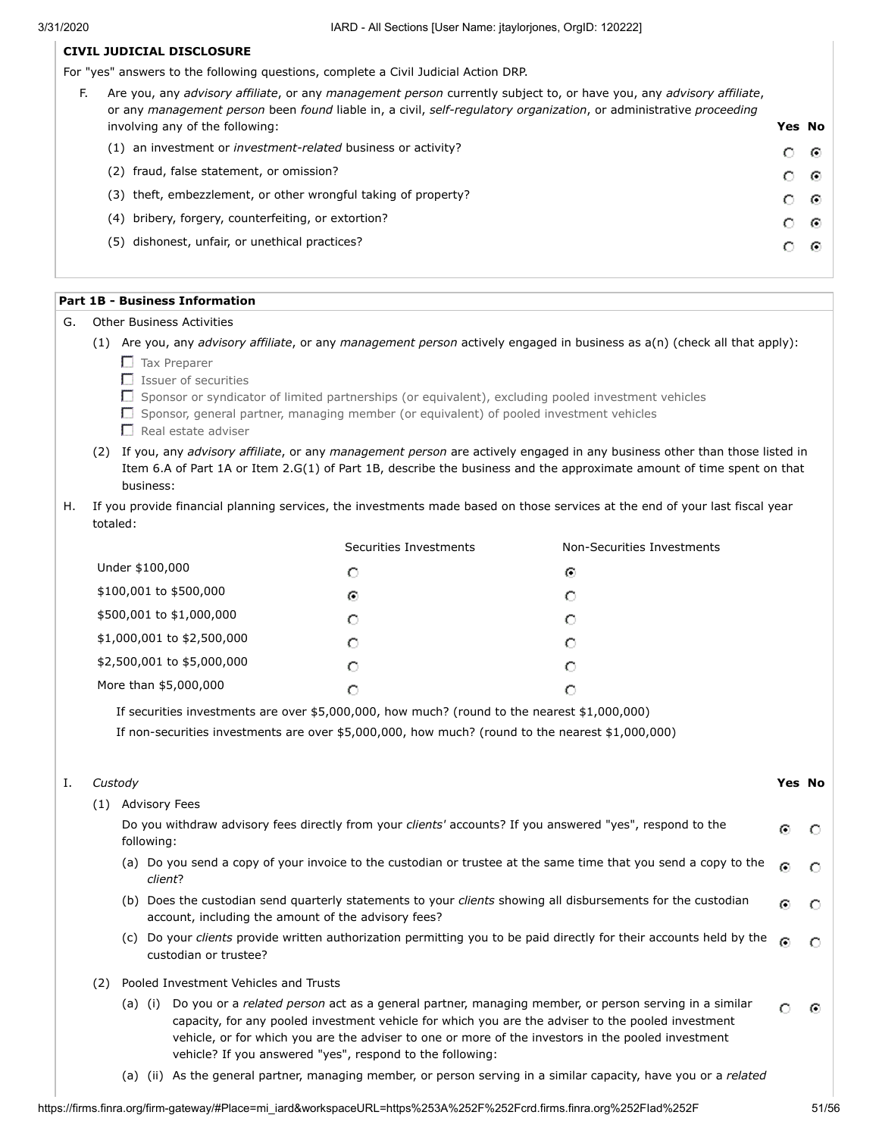# **CIVIL JUDICIAL DISCLOSURE**

For "yes" answers to the following questions, complete a Civil Judicial Action DRP.

| F. | Are you, any advisory affiliate, or any management person currently subject to, or have you, any advisory affiliate,<br>or any management person been found liable in, a civil, self-regulatory organization, or administrative proceeding |        |   |
|----|--------------------------------------------------------------------------------------------------------------------------------------------------------------------------------------------------------------------------------------------|--------|---|
|    | involving any of the following:                                                                                                                                                                                                            | Yes No |   |
|    | an investment or <i>investment-related</i> business or activity?<br>(1)                                                                                                                                                                    | O      | ⊙ |
|    | fraud, false statement, or omission?<br>(2)                                                                                                                                                                                                | O.     | ⊙ |
|    | (3) theft, embezzlement, or other wrongful taking of property?                                                                                                                                                                             | O.     | ⊙ |
|    | (4) bribery, forgery, counterfeiting, or extortion?                                                                                                                                                                                        | O      | ⊙ |
|    | dishonest, unfair, or unethical practices?<br>(5)                                                                                                                                                                                          |        | ⊙ |
|    |                                                                                                                                                                                                                                            |        |   |

# **Part 1B - Business Information**

## G. Other Business Activities

(1) Are you, any *advisory affiliate*, or any *management person* actively engaged in business as a(n) (check all that apply): Tax Preparer

- $\square$  Issuer of securities
- $\Box$  Sponsor or syndicator of limited partnerships (or equivalent), excluding pooled investment vehicles
- $\Box$  Sponsor, general partner, managing member (or equivalent) of pooled investment vehicles
- $\Box$  Real estate adviser
- (2) If you, any *advisory affiliate*, or any *management person* are actively engaged in any business other than those listed in Item 6.A of Part 1A or Item 2.G(1) of Part 1B, describe the business and the approximate amount of time spent on that business:
- H. If you provide financial planning services, the investments made based on those services at the end of your last fiscal year totaled:

|                            | Securities Investments | Non-Securities Investments |
|----------------------------|------------------------|----------------------------|
| Under \$100,000            | О                      | ⊙                          |
| \$100,001 to \$500,000     | Θ                      | O                          |
| \$500,001 to \$1,000,000   | О                      | $\circ$                    |
| \$1,000,001 to \$2,500,000 | O                      | О                          |
| \$2,500,001 to \$5,000,000 | O                      | с                          |
| More than \$5,000,000      | C                      |                            |

If securities investments are over \$5,000,000, how much? (round to the nearest \$1,000,000)

If non-securities investments are over \$5,000,000, how much? (round to the nearest \$1,000,000)

| Ι.                                                                                         | Custody                                                                                                                        |                                                                                                                 |                 | <b>Yes No</b>                                                                                                                                                                                                                                                                                                                                                                 |   |   |
|--------------------------------------------------------------------------------------------|--------------------------------------------------------------------------------------------------------------------------------|-----------------------------------------------------------------------------------------------------------------|-----------------|-------------------------------------------------------------------------------------------------------------------------------------------------------------------------------------------------------------------------------------------------------------------------------------------------------------------------------------------------------------------------------|---|---|
|                                                                                            | (1)                                                                                                                            | <b>Advisory Fees</b>                                                                                            |                 |                                                                                                                                                                                                                                                                                                                                                                               |   |   |
|                                                                                            | Do you withdraw advisory fees directly from your <i>clients'</i> accounts? If you answered "yes", respond to the<br>following: |                                                                                                                 |                 | ⊙                                                                                                                                                                                                                                                                                                                                                                             |   |   |
|                                                                                            |                                                                                                                                |                                                                                                                 | <i>client</i> ? | (a) Do you send a copy of your invoice to the custodian or trustee at the same time that you send a copy to the                                                                                                                                                                                                                                                               | ⊙ |   |
| (b)<br>account, including the amount of the advisory fees?<br>(C)<br>custodian or trustee? |                                                                                                                                | Does the custodian send quarterly statements to your <i>clients</i> showing all disbursements for the custodian | ⊙               | O                                                                                                                                                                                                                                                                                                                                                                             |   |   |
|                                                                                            |                                                                                                                                | Do your clients provide written authorization permitting you to be paid directly for their accounts held by the | ⊙               | O                                                                                                                                                                                                                                                                                                                                                                             |   |   |
|                                                                                            | Pooled Investment Vehicles and Trusts<br>(2)                                                                                   |                                                                                                                 |                 |                                                                                                                                                                                                                                                                                                                                                                               |   |   |
|                                                                                            |                                                                                                                                | (a) (i)                                                                                                         |                 | Do you or a related person act as a general partner, managing member, or person serving in a similar<br>capacity, for any pooled investment vehicle for which you are the adviser to the pooled investment<br>vehicle, or for which you are the adviser to one or more of the investors in the pooled investment<br>vehicle? If you answered "yes", respond to the following: | O | ⊙ |
|                                                                                            |                                                                                                                                | (a)                                                                                                             | (ii)            | As the general partner, managing member, or person serving in a similar capacity, have you or a related                                                                                                                                                                                                                                                                       |   |   |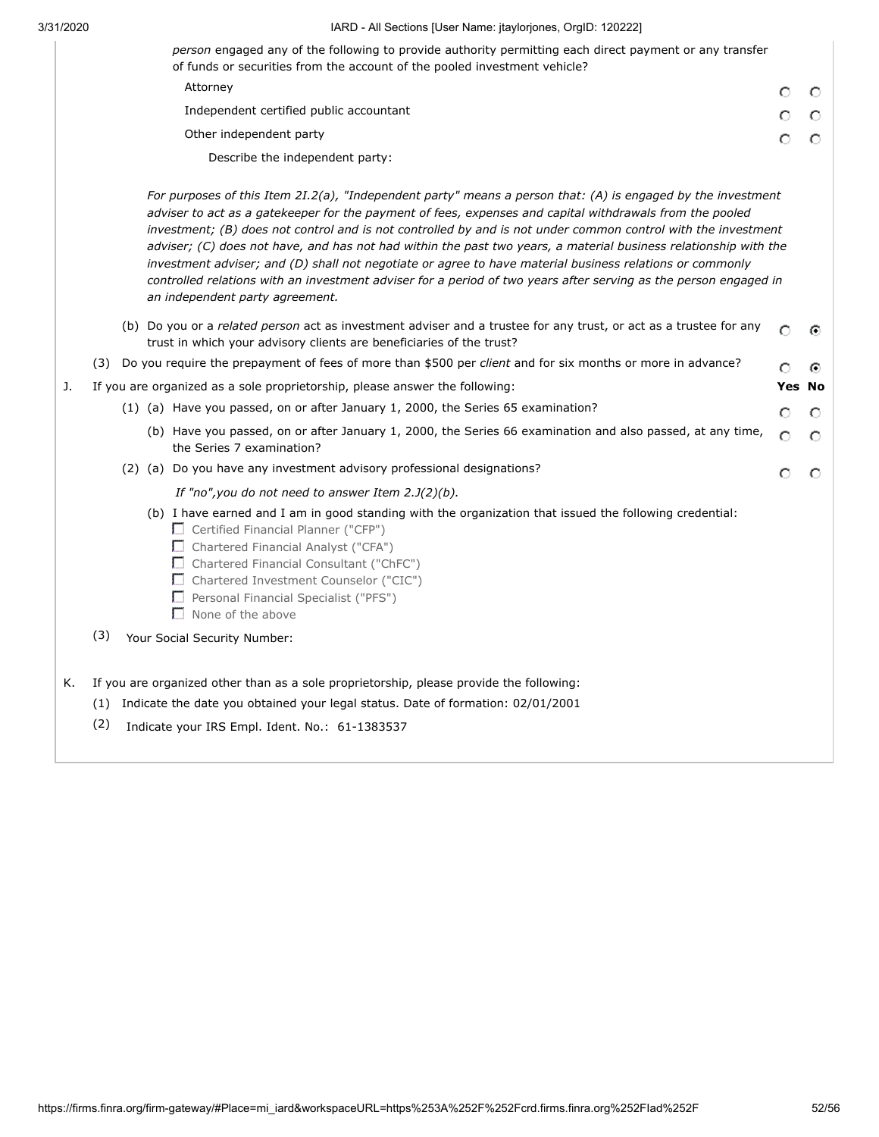| 3/31/2020 | IARD - All Sections [User Name: jtaylorjones, OrgID: 120222]                                                                                                                                                                                                                                                                                                                                                                                                                                                                                                                                                                                                                                                                     |               |         |
|-----------|----------------------------------------------------------------------------------------------------------------------------------------------------------------------------------------------------------------------------------------------------------------------------------------------------------------------------------------------------------------------------------------------------------------------------------------------------------------------------------------------------------------------------------------------------------------------------------------------------------------------------------------------------------------------------------------------------------------------------------|---------------|---------|
|           | person engaged any of the following to provide authority permitting each direct payment or any transfer<br>of funds or securities from the account of the pooled investment vehicle?                                                                                                                                                                                                                                                                                                                                                                                                                                                                                                                                             |               |         |
|           | Attorney                                                                                                                                                                                                                                                                                                                                                                                                                                                                                                                                                                                                                                                                                                                         | O             | O       |
|           | Independent certified public accountant                                                                                                                                                                                                                                                                                                                                                                                                                                                                                                                                                                                                                                                                                          | О             | O       |
|           | Other independent party                                                                                                                                                                                                                                                                                                                                                                                                                                                                                                                                                                                                                                                                                                          | O             | O       |
|           | Describe the independent party:                                                                                                                                                                                                                                                                                                                                                                                                                                                                                                                                                                                                                                                                                                  |               |         |
|           | For purposes of this Item 2I.2(a), "Independent party" means a person that: (A) is engaged by the investment<br>adviser to act as a gatekeeper for the payment of fees, expenses and capital withdrawals from the pooled<br>investment; (B) does not control and is not controlled by and is not under common control with the investment<br>adviser; (C) does not have, and has not had within the past two years, a material business relationship with the<br>investment adviser; and (D) shall not negotiate or agree to have material business relations or commonly<br>controlled relations with an investment adviser for a period of two years after serving as the person engaged in<br>an independent party agreement. |               |         |
|           | (b) Do you or a related person act as investment adviser and a trustee for any trust, or act as a trustee for any<br>trust in which your advisory clients are beneficiaries of the trust?                                                                                                                                                                                                                                                                                                                                                                                                                                                                                                                                        | O             | ⊙       |
|           | (3) Do you require the prepayment of fees of more than \$500 per client and for six months or more in advance?                                                                                                                                                                                                                                                                                                                                                                                                                                                                                                                                                                                                                   | О             | ⊙       |
| J.        | If you are organized as a sole proprietorship, please answer the following:                                                                                                                                                                                                                                                                                                                                                                                                                                                                                                                                                                                                                                                      | <b>Yes No</b> |         |
|           | (1) (a) Have you passed, on or after January 1, 2000, the Series 65 examination?                                                                                                                                                                                                                                                                                                                                                                                                                                                                                                                                                                                                                                                 | O             | $\circ$ |
|           | (b) Have you passed, on or after January 1, 2000, the Series 66 examination and also passed, at any time,<br>the Series 7 examination?                                                                                                                                                                                                                                                                                                                                                                                                                                                                                                                                                                                           | O.            | - 0     |
|           | (2) (a) Do you have any investment advisory professional designations?                                                                                                                                                                                                                                                                                                                                                                                                                                                                                                                                                                                                                                                           | Ο             | O       |
|           | If "no", you do not need to answer Item $2.J(2)(b)$ .                                                                                                                                                                                                                                                                                                                                                                                                                                                                                                                                                                                                                                                                            |               |         |
|           | (b) I have earned and I am in good standing with the organization that issued the following credential:<br>Certified Financial Planner ("CFP")<br>Chartered Financial Analyst ("CFA")<br>Chartered Financial Consultant ("ChFC")<br>Chartered Investment Counselor ("CIC")<br>Personal Financial Specialist ("PFS")<br>$\Box$ None of the above                                                                                                                                                                                                                                                                                                                                                                                  |               |         |
|           | (3)<br>Your Social Security Number:                                                                                                                                                                                                                                                                                                                                                                                                                                                                                                                                                                                                                                                                                              |               |         |
| К.        | If you are organized other than as a sole proprietorship, please provide the following:<br>(1) Indicate the date you obtained your legal status. Date of formation: 02/01/2001<br>(2)<br>Indicate your IRS Empl. Ident. No.: 61-1383537                                                                                                                                                                                                                                                                                                                                                                                                                                                                                          |               |         |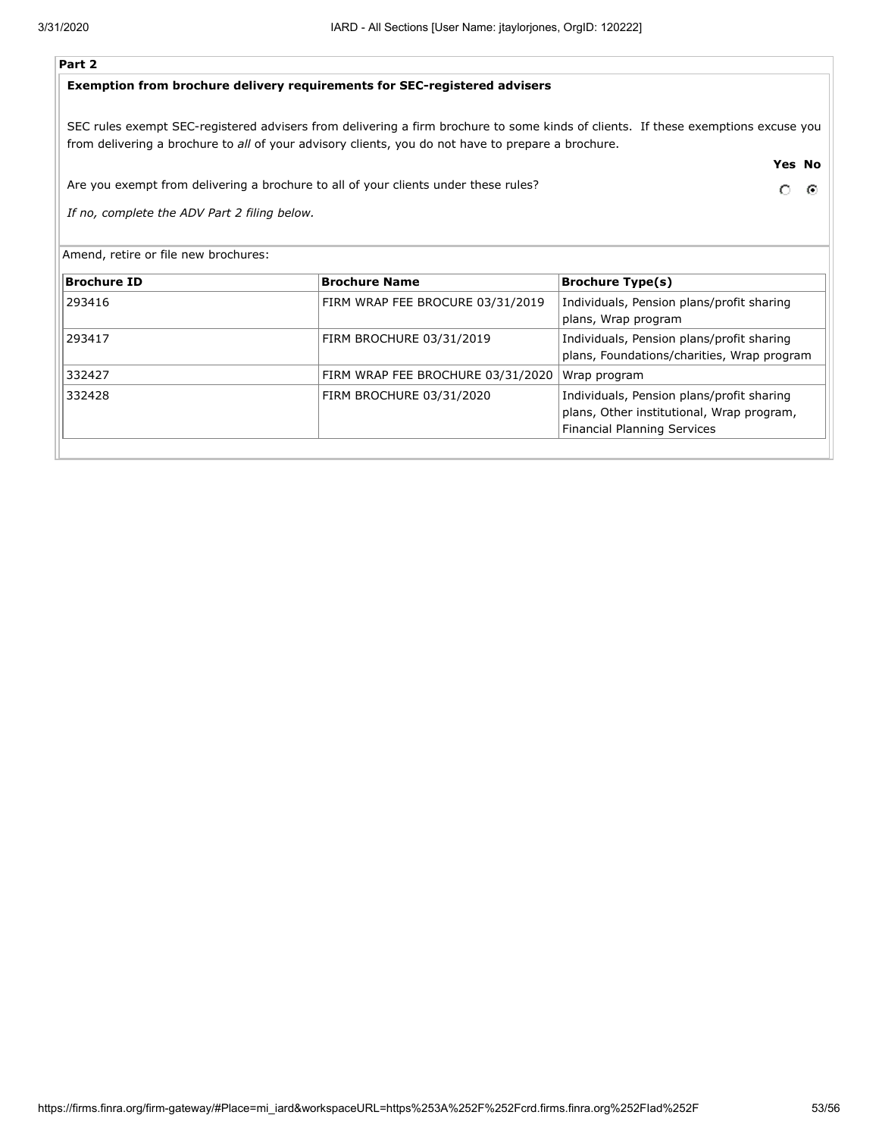Financial Planning Services

## **Part 2**

# **Exemption from brochure delivery requirements for SEC-registered advisers** SEC rules exempt SEC-registered advisers from delivering a firm brochure to some kinds of clients. If these exemptions excuse you from delivering a brochure to *all* of your advisory clients, you do not have to prepare a brochure. **Yes No** Are you exempt from delivering a brochure to all of your clients under these rules?  $\circ$  $\odot$ *If no, complete the ADV Part 2 filing below.* Amend, retire or file new brochures: **Brochure ID Brochure Name Brochure Type(s)** 293416 FIRM WRAP FEE BROCURE 03/31/2019 Individuals, Pension plans/profit sharing plans, Wrap program 293417 **FIRM BROCHURE 03/31/2019** Individuals, Pension plans/profit sharing plans, Foundations/charities, Wrap program 332427 FIRM WRAP FEE BROCHURE 03/31/2020 Wrap program 332428 **FIRM BROCHURE 03/31/2020** Individuals, Pension plans/profit sharing plans, Other institutional, Wrap program,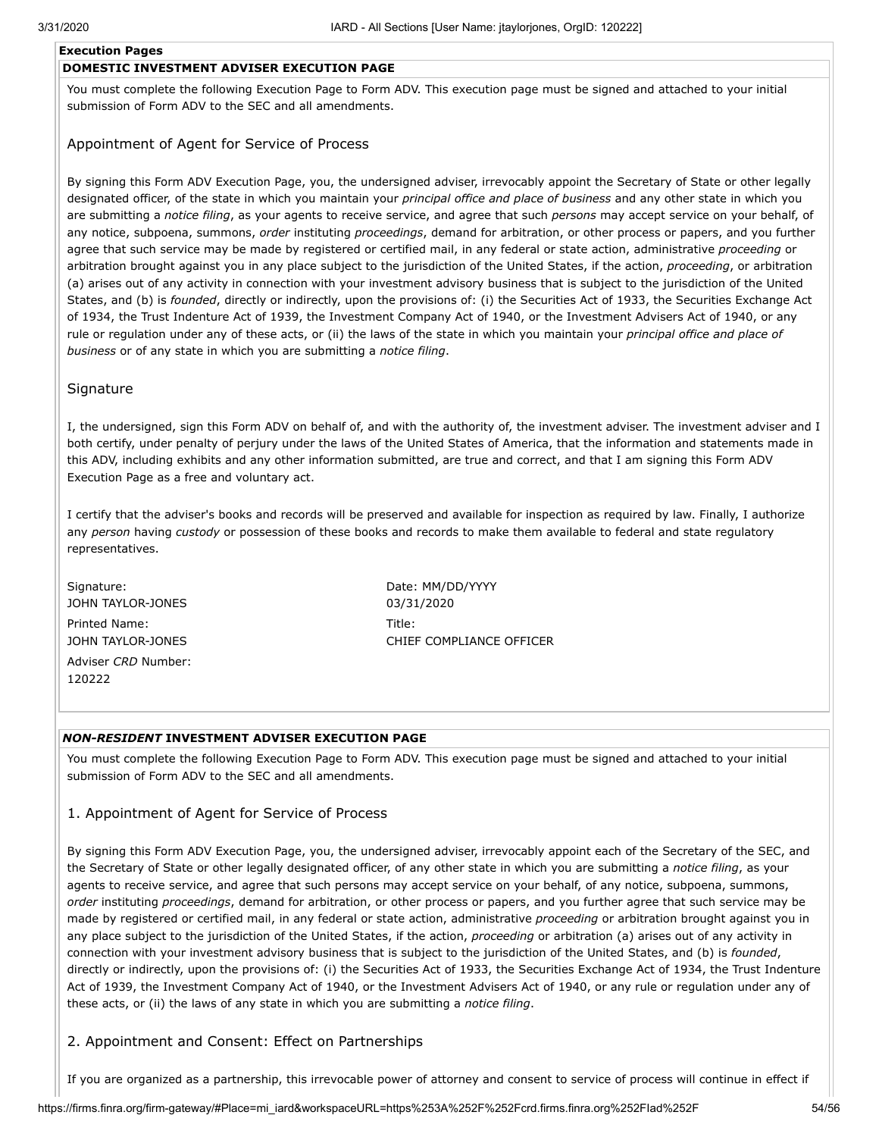## **Execution Pages**

# **DOMESTIC INVESTMENT ADVISER EXECUTION PAGE**

You must complete the following Execution Page to Form ADV. This execution page must be signed and attached to your initial submission of Form ADV to the SEC and all amendments.

# Appointment of Agent for Service of Process

By signing this Form ADV Execution Page, you, the undersigned adviser, irrevocably appoint the Secretary of State or other legally designated officer, of the state in which you maintain your *principal office and place of business* and any other state in which you are submitting a *notice filing*, as your agents to receive service, and agree that such *persons* may accept service on your behalf, of any notice, subpoena, summons, *order* instituting *proceedings*, demand for arbitration, or other process or papers, and you further agree that such service may be made by registered or certified mail, in any federal or state action, administrative *proceeding* or arbitration brought against you in any place subject to the jurisdiction of the United States, if the action, *proceeding*, or arbitration (a) arises out of any activity in connection with your investment advisory business that is subject to the jurisdiction of the United States, and (b) is *founded*, directly or indirectly, upon the provisions of: (i) the Securities Act of 1933, the Securities Exchange Act of 1934, the Trust Indenture Act of 1939, the Investment Company Act of 1940, or the Investment Advisers Act of 1940, or any rule or regulation under any of these acts, or (ii) the laws of the state in which you maintain your *principal office and place of business* or of any state in which you are submitting a *notice filing*.

# **Signature**

I, the undersigned, sign this Form ADV on behalf of, and with the authority of, the investment adviser. The investment adviser and I both certify, under penalty of perjury under the laws of the United States of America, that the information and statements made in this ADV, including exhibits and any other information submitted, are true and correct, and that I am signing this Form ADV Execution Page as a free and voluntary act.

I certify that the adviser's books and records will be preserved and available for inspection as required by law. Finally, I authorize any *person* having *custody* or possession of these books and records to make them available to federal and state regulatory representatives.

Signature: JOHN TAYLOR-JONES Printed Name: JOHN TAYLOR-JONES

Adviser *CRD* Number: 120222

Date: MM/DD/YYYY 03/31/2020 Title: CHIEF COMPLIANCE OFFICER

## *NON-RESIDENT* **INVESTMENT ADVISER EXECUTION PAGE**

You must complete the following Execution Page to Form ADV. This execution page must be signed and attached to your initial submission of Form ADV to the SEC and all amendments.

# 1. Appointment of Agent for Service of Process

By signing this Form ADV Execution Page, you, the undersigned adviser, irrevocably appoint each of the Secretary of the SEC, and the Secretary of State or other legally designated officer, of any other state in which you are submitting a *notice filing*, as your agents to receive service, and agree that such persons may accept service on your behalf, of any notice, subpoena, summons, *order* instituting *proceedings*, demand for arbitration, or other process or papers, and you further agree that such service may be made by registered or certified mail, in any federal or state action, administrative *proceeding* or arbitration brought against you in any place subject to the jurisdiction of the United States, if the action, *proceeding* or arbitration (a) arises out of any activity in connection with your investment advisory business that is subject to the jurisdiction of the United States, and (b) is *founded*, directly or indirectly, upon the provisions of: (i) the Securities Act of 1933, the Securities Exchange Act of 1934, the Trust Indenture Act of 1939, the Investment Company Act of 1940, or the Investment Advisers Act of 1940, or any rule or regulation under any of these acts, or (ii) the laws of any state in which you are submitting a *notice filing*.

# 2. Appointment and Consent: Effect on Partnerships

If you are organized as a partnership, this irrevocable power of attorney and consent to service of process will continue in effect if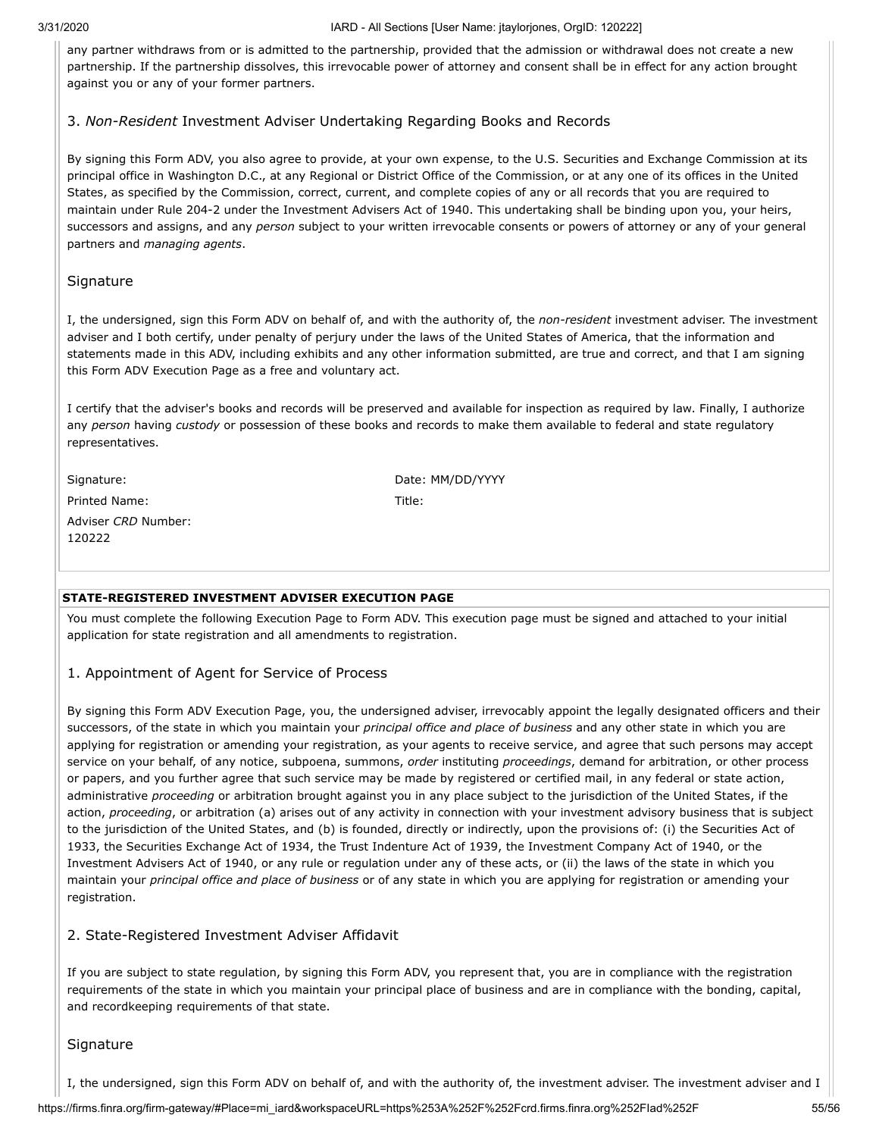any partner withdraws from or is admitted to the partnership, provided that the admission or withdrawal does not create a new partnership. If the partnership dissolves, this irrevocable power of attorney and consent shall be in effect for any action brought against you or any of your former partners.

# 3. *Non-Resident* Investment Adviser Undertaking Regarding Books and Records

By signing this Form ADV, you also agree to provide, at your own expense, to the U.S. Securities and Exchange Commission at its principal office in Washington D.C., at any Regional or District Office of the Commission, or at any one of its offices in the United States, as specified by the Commission, correct, current, and complete copies of any or all records that you are required to maintain under Rule 204-2 under the Investment Advisers Act of 1940. This undertaking shall be binding upon you, your heirs, successors and assigns, and any *person* subject to your written irrevocable consents or powers of attorney or any of your general partners and *managing agents*.

# **Signature**

I, the undersigned, sign this Form ADV on behalf of, and with the authority of, the *non-resident* investment adviser. The investment adviser and I both certify, under penalty of perjury under the laws of the United States of America, that the information and statements made in this ADV, including exhibits and any other information submitted, are true and correct, and that I am signing this Form ADV Execution Page as a free and voluntary act.

I certify that the adviser's books and records will be preserved and available for inspection as required by law. Finally, I authorize any *person* having *custody* or possession of these books and records to make them available to federal and state regulatory representatives.

Signature: Date: MM/DD/YYYY Printed Name: Title: Adviser *CRD* Number: 120222

# **STATE-REGISTERED INVESTMENT ADVISER EXECUTION PAGE**

You must complete the following Execution Page to Form ADV. This execution page must be signed and attached to your initial application for state registration and all amendments to registration.

# 1. Appointment of Agent for Service of Process

By signing this Form ADV Execution Page, you, the undersigned adviser, irrevocably appoint the legally designated officers and their successors, of the state in which you maintain your *principal office and place of business* and any other state in which you are applying for registration or amending your registration, as your agents to receive service, and agree that such persons may accept service on your behalf, of any notice, subpoena, summons, *order* instituting *proceedings*, demand for arbitration, or other process or papers, and you further agree that such service may be made by registered or certified mail, in any federal or state action, administrative *proceeding* or arbitration brought against you in any place subject to the jurisdiction of the United States, if the action, *proceeding*, or arbitration (a) arises out of any activity in connection with your investment advisory business that is subject to the jurisdiction of the United States, and (b) is founded, directly or indirectly, upon the provisions of: (i) the Securities Act of 1933, the Securities Exchange Act of 1934, the Trust Indenture Act of 1939, the Investment Company Act of 1940, or the Investment Advisers Act of 1940, or any rule or regulation under any of these acts, or (ii) the laws of the state in which you maintain your *principal office and place of business* or of any state in which you are applying for registration or amending your registration.

# 2. State-Registered Investment Adviser Affidavit

If you are subject to state regulation, by signing this Form ADV, you represent that, you are in compliance with the registration requirements of the state in which you maintain your principal place of business and are in compliance with the bonding, capital, and recordkeeping requirements of that state.

# **Signature**

I, the undersigned, sign this Form ADV on behalf of, and with the authority of, the investment adviser. The investment adviser and I